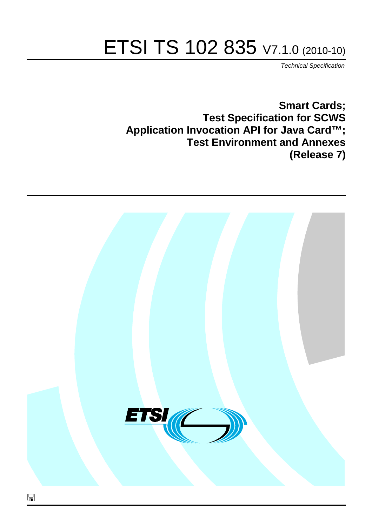# ETSI TS 102 835 V7.1.0 (2010-10)

*Technical Specification*

**Smart Cards; Test Specification for SCWS Application Invocation API for Java Card™; Test Environment and Annexes (Release 7)**

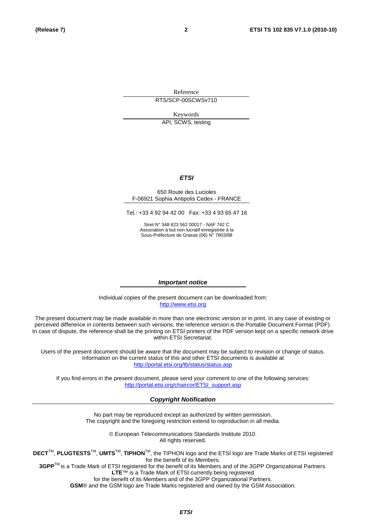Reference RTS/SCP-00SCWSv710

Keywords

API, SCWS, testing

#### *ETSI*

#### 650 Route des Lucioles F-06921 Sophia Antipolis Cedex - FRANCE

Tel.: +33 4 92 94 42 00 Fax: +33 4 93 65 47 16

Siret N° 348 623 562 00017 - NAF 742 C Association à but non lucratif enregistrée à la Sous-Préfecture de Grasse (06) N° 7803/88

#### *Important notice*

Individual copies of the present document can be downloaded from: [http://www.etsi.org](http://www.etsi.org/)

The present document may be made available in more than one electronic version or in print. In any case of existing or perceived difference in contents between such versions, the reference version is the Portable Document Format (PDF). In case of dispute, the reference shall be the printing on ETSI printers of the PDF version kept on a specific network drive within ETSI Secretariat.

Users of the present document should be aware that the document may be subject to revision or change of status. Information on the current status of this and other ETSI documents is available at <http://portal.etsi.org/tb/status/status.asp>

If you find errors in the present document, please send your comment to one of the following services: [http://portal.etsi.org/chaircor/ETSI\\_support.asp](http://portal.etsi.org/chaircor/ETSI_support.asp)

#### *Copyright Notification*

No part may be reproduced except as authorized by written permission. The copyright and the foregoing restriction extend to reproduction in all media.

> © European Telecommunications Standards Institute 2010. All rights reserved.

**DECT**TM, **PLUGTESTS**TM, **UMTS**TM, **TIPHON**TM, the TIPHON logo and the ETSI logo are Trade Marks of ETSI registered for the benefit of its Members.

**3GPP**TM is a Trade Mark of ETSI registered for the benefit of its Members and of the 3GPP Organizational Partners. **LTE**™ is a Trade Mark of ETSI currently being registered

for the benefit of its Members and of the 3GPP Organizational Partners.

**GSM**® and the GSM logo are Trade Marks registered and owned by the GSM Association.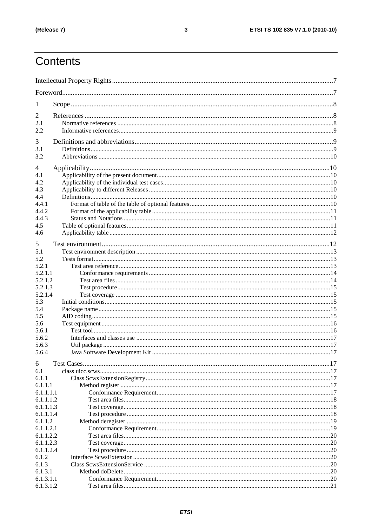# Contents

| 1                      |  |
|------------------------|--|
| 2                      |  |
| 2.1                    |  |
| 2.2                    |  |
| 3                      |  |
| 3.1                    |  |
| 3.2                    |  |
|                        |  |
| 4                      |  |
| 4.1                    |  |
| 4.2                    |  |
| 4.3                    |  |
| 4.4<br>4.4.1           |  |
| 4.4.2                  |  |
| 4.4.3                  |  |
| 4.5                    |  |
| 4.6                    |  |
|                        |  |
| 5                      |  |
| 5.1                    |  |
| 5.2                    |  |
| 5.2.1<br>5.2.1.1       |  |
| 5.2.1.2                |  |
| 5.2.1.3                |  |
| 5.2.1.4                |  |
| 5.3                    |  |
| 5.4                    |  |
| 5.5                    |  |
| 5.6                    |  |
| 5.6.1                  |  |
| 5.6.2                  |  |
| 5.6.3                  |  |
| 5.6.4                  |  |
| 6                      |  |
| 6.1                    |  |
| 6.1.1                  |  |
| 6.1.1.1                |  |
| 6.1.1.1.1              |  |
| 6.1.1.1.2              |  |
| 6.1.1.1.3              |  |
| 6.1.1.1.4              |  |
| 6.1.1.2                |  |
| 6.1.1.2.1              |  |
| 6.1.1.2.2<br>6.1.1.2.3 |  |
| 6.1.1.2.4              |  |
| 6.1.2                  |  |
| 6.1.3                  |  |
| 6.1.3.1                |  |
| 6.1.3.1.1              |  |
| 6.1.3.1.2              |  |
|                        |  |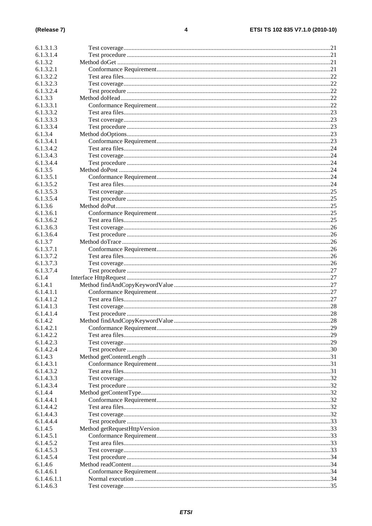| 6.1.3.1.3                |  |
|--------------------------|--|
| 6.1.3.1.4                |  |
| 6.1.3.2                  |  |
| 6.1.3.2.1                |  |
| 6.1.3.2.2                |  |
|                          |  |
| 6.1.3.2.3                |  |
| 6.1.3.2.4                |  |
| 6.1.3.3                  |  |
| 6.1.3.3.1                |  |
| 6.1.3.3.2                |  |
| 6.1.3.3.3                |  |
| 6.1.3.3.4                |  |
| 6.1.3.4                  |  |
| 6.1.3.4.1                |  |
| 6.1.3.4.2                |  |
| 6.1.3.4.3                |  |
| 6.1.3.4.4                |  |
| 6.1.3.5                  |  |
| 6.1.3.5.1                |  |
| 6.1.3.5.2                |  |
| 6.1.3.5.3                |  |
| 6.1.3.5.4                |  |
|                          |  |
| 6.1.3.6                  |  |
| 6.1.3.6.1                |  |
| 6.1.3.6.2                |  |
| 6.1.3.6.3                |  |
| 6.1.3.6.4                |  |
| 6.1.3.7                  |  |
| 6.1.3.7.1                |  |
| 6.1.3.7.2                |  |
| 6.1.3.7.3                |  |
| 6.1.3.7.4                |  |
| 6.1.4                    |  |
| 6.1.4.1                  |  |
|                          |  |
|                          |  |
| 6.1.4.1.1                |  |
| 6.1.4.1.2                |  |
| 6.1.4.1.3                |  |
| 6.1.4.1.4                |  |
| 6.1.4.2                  |  |
| 6.1.4.2.1                |  |
| 6.1.4.2.2                |  |
| 6.1.4.2.3                |  |
| 6.1.4.2.4                |  |
| 6.1.4.3                  |  |
| 6.1.4.3.1                |  |
| 6.1.4.3.2                |  |
| 6.1.4.3.3                |  |
| 6.1.4.3.4                |  |
| 6.1.4.4                  |  |
| 6.1.4.4.1                |  |
| 6.1.4.4.2                |  |
| 6.1.4.4.3                |  |
| 6.1.4.4.4                |  |
|                          |  |
| 6.1.4.5                  |  |
| 6.1.4.5.1                |  |
| 6.1.4.5.2                |  |
| 6.1.4.5.3                |  |
| 6.1.4.5.4                |  |
| 6.1.4.6                  |  |
| 6.1.4.6.1                |  |
| 6.1.4.6.1.1<br>6.1.4.6.3 |  |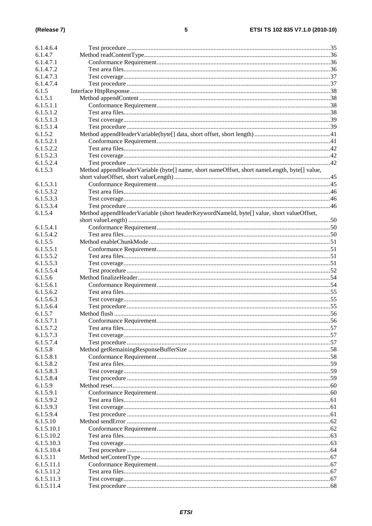| 6.1.4.6.4  |                                                                                             |  |
|------------|---------------------------------------------------------------------------------------------|--|
| 6.1.4.7    |                                                                                             |  |
| 6.1.4.7.1  |                                                                                             |  |
| 6.1.4.7.2  |                                                                                             |  |
| 6.1.4.7.3  |                                                                                             |  |
| 6.1.4.7.4  |                                                                                             |  |
| 6.1.5      |                                                                                             |  |
| 6.1.5.1    |                                                                                             |  |
| 6.1.5.1.1  |                                                                                             |  |
| 6.1.5.1.2  |                                                                                             |  |
| 6.1.5.1.3  |                                                                                             |  |
| 6.1.5.1.4  |                                                                                             |  |
| 6.1.5.2    |                                                                                             |  |
| 6.1.5.2.1  |                                                                                             |  |
| 6.1.5.2.2  |                                                                                             |  |
| 6.1.5.2.3  |                                                                                             |  |
| 6.1.5.2.4  |                                                                                             |  |
| 6.1.5.3    |                                                                                             |  |
|            | Method appendHeaderVariable (byte[] name, short nameOffset, short nameLength, byte[] value, |  |
|            |                                                                                             |  |
| 6.1.5.3.1  |                                                                                             |  |
| 6.1.5.3.2  |                                                                                             |  |
| 6.1.5.3.3  |                                                                                             |  |
| 6.1.5.3.4  |                                                                                             |  |
| 6.1.5.4    | Method appendHeaderVariable (short headerKeywordNameId, byte[] value, short valueOffset,    |  |
|            |                                                                                             |  |
| 6.1.5.4.1  |                                                                                             |  |
| 6.1.5.4.2  |                                                                                             |  |
| 6.1.5.5    |                                                                                             |  |
| 6.1.5.5.1  |                                                                                             |  |
| 6.1.5.5.2  |                                                                                             |  |
| 6.1.5.5.3  |                                                                                             |  |
| 6.1.5.5.4  |                                                                                             |  |
| 6.1.5.6    |                                                                                             |  |
| 6.1.5.6.1  |                                                                                             |  |
| 6.1.5.6.2  |                                                                                             |  |
| 6.1.5.6.3  |                                                                                             |  |
| 6.1.5.6.4  |                                                                                             |  |
| 6.1.5.7    |                                                                                             |  |
| 6.1.5.7.1  |                                                                                             |  |
| 6.1.5.7.2  |                                                                                             |  |
| 6.1.5.7.3  |                                                                                             |  |
| 6.1.5.7.4  |                                                                                             |  |
| 6.1.5.8    |                                                                                             |  |
| 6.1.5.8.1  |                                                                                             |  |
| 6.1.5.8.2  |                                                                                             |  |
| 6.1.5.8.3  |                                                                                             |  |
| 6.1.5.8.4  |                                                                                             |  |
| 6.1.5.9    |                                                                                             |  |
| 6.1.5.9.1  |                                                                                             |  |
| 6.1.5.9.2  |                                                                                             |  |
| 6.1.5.9.3  |                                                                                             |  |
| 6.1.5.9.4  |                                                                                             |  |
| 6.1.5.10   |                                                                                             |  |
| 6.1.5.10.1 |                                                                                             |  |
| 6.1.5.10.2 |                                                                                             |  |
| 6.1.5.10.3 |                                                                                             |  |
| 6.1.5.10.4 |                                                                                             |  |
| 6.1.5.11   |                                                                                             |  |
| 6.1.5.11.1 |                                                                                             |  |
| 6.1.5.11.2 |                                                                                             |  |
| 6.1.5.11.3 |                                                                                             |  |
| 6.1.5.11.4 |                                                                                             |  |
|            |                                                                                             |  |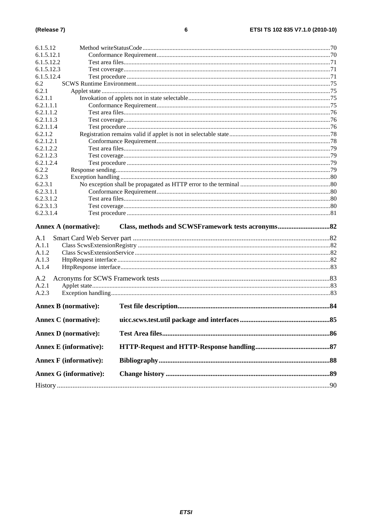| 6.1.5.12.1<br>6.1.5.12.2<br>6.1.5.12.3<br>6.1.5.12.4<br>6.2<br>6.2.1<br>6.2.1.1<br>6.2.1.1.1<br>6.2.1.1.2<br>6.2.1.1.3<br>6.2.1.1.4<br>6.2.1.2<br>6.2.1.2.1<br>6.2.1.2.2<br>6.2.1.2.3<br>6.2.1.2.4<br>6.2.2<br>6.2.3<br>6.2.3.1<br>6.2.3.1.1<br>6.2.3.1.2<br>6.2.3.1.3<br>6.2.3.1.4<br><b>Annex A (normative):</b><br>A.1<br>A.1.1<br>A.1.2<br>A.1.3<br>A.1.4<br>A.2<br>A.2.1<br>A.2.3<br><b>Annex B</b> (normative):<br><b>Annex C</b> (normative):<br>.85<br><b>Annex D</b> (normative):<br><b>Annex E</b> (informative):<br><b>Annex F</b> (informative):<br><b>Annex G (informative):</b> | 6.1.5.12 |  |
|-----------------------------------------------------------------------------------------------------------------------------------------------------------------------------------------------------------------------------------------------------------------------------------------------------------------------------------------------------------------------------------------------------------------------------------------------------------------------------------------------------------------------------------------------------------------------------------------------|----------|--|
|                                                                                                                                                                                                                                                                                                                                                                                                                                                                                                                                                                                               |          |  |
|                                                                                                                                                                                                                                                                                                                                                                                                                                                                                                                                                                                               |          |  |
|                                                                                                                                                                                                                                                                                                                                                                                                                                                                                                                                                                                               |          |  |
|                                                                                                                                                                                                                                                                                                                                                                                                                                                                                                                                                                                               |          |  |
|                                                                                                                                                                                                                                                                                                                                                                                                                                                                                                                                                                                               |          |  |
|                                                                                                                                                                                                                                                                                                                                                                                                                                                                                                                                                                                               |          |  |
|                                                                                                                                                                                                                                                                                                                                                                                                                                                                                                                                                                                               |          |  |
|                                                                                                                                                                                                                                                                                                                                                                                                                                                                                                                                                                                               |          |  |
|                                                                                                                                                                                                                                                                                                                                                                                                                                                                                                                                                                                               |          |  |
|                                                                                                                                                                                                                                                                                                                                                                                                                                                                                                                                                                                               |          |  |
|                                                                                                                                                                                                                                                                                                                                                                                                                                                                                                                                                                                               |          |  |
|                                                                                                                                                                                                                                                                                                                                                                                                                                                                                                                                                                                               |          |  |
|                                                                                                                                                                                                                                                                                                                                                                                                                                                                                                                                                                                               |          |  |
|                                                                                                                                                                                                                                                                                                                                                                                                                                                                                                                                                                                               |          |  |
|                                                                                                                                                                                                                                                                                                                                                                                                                                                                                                                                                                                               |          |  |
|                                                                                                                                                                                                                                                                                                                                                                                                                                                                                                                                                                                               |          |  |
|                                                                                                                                                                                                                                                                                                                                                                                                                                                                                                                                                                                               |          |  |
|                                                                                                                                                                                                                                                                                                                                                                                                                                                                                                                                                                                               |          |  |
|                                                                                                                                                                                                                                                                                                                                                                                                                                                                                                                                                                                               |          |  |
|                                                                                                                                                                                                                                                                                                                                                                                                                                                                                                                                                                                               |          |  |
|                                                                                                                                                                                                                                                                                                                                                                                                                                                                                                                                                                                               |          |  |
|                                                                                                                                                                                                                                                                                                                                                                                                                                                                                                                                                                                               |          |  |
|                                                                                                                                                                                                                                                                                                                                                                                                                                                                                                                                                                                               |          |  |
|                                                                                                                                                                                                                                                                                                                                                                                                                                                                                                                                                                                               |          |  |
|                                                                                                                                                                                                                                                                                                                                                                                                                                                                                                                                                                                               |          |  |
|                                                                                                                                                                                                                                                                                                                                                                                                                                                                                                                                                                                               |          |  |
|                                                                                                                                                                                                                                                                                                                                                                                                                                                                                                                                                                                               |          |  |
|                                                                                                                                                                                                                                                                                                                                                                                                                                                                                                                                                                                               |          |  |
|                                                                                                                                                                                                                                                                                                                                                                                                                                                                                                                                                                                               |          |  |
|                                                                                                                                                                                                                                                                                                                                                                                                                                                                                                                                                                                               |          |  |
|                                                                                                                                                                                                                                                                                                                                                                                                                                                                                                                                                                                               |          |  |
|                                                                                                                                                                                                                                                                                                                                                                                                                                                                                                                                                                                               |          |  |
|                                                                                                                                                                                                                                                                                                                                                                                                                                                                                                                                                                                               |          |  |
|                                                                                                                                                                                                                                                                                                                                                                                                                                                                                                                                                                                               |          |  |
|                                                                                                                                                                                                                                                                                                                                                                                                                                                                                                                                                                                               |          |  |
|                                                                                                                                                                                                                                                                                                                                                                                                                                                                                                                                                                                               |          |  |
|                                                                                                                                                                                                                                                                                                                                                                                                                                                                                                                                                                                               |          |  |
|                                                                                                                                                                                                                                                                                                                                                                                                                                                                                                                                                                                               |          |  |
|                                                                                                                                                                                                                                                                                                                                                                                                                                                                                                                                                                                               |          |  |
|                                                                                                                                                                                                                                                                                                                                                                                                                                                                                                                                                                                               |          |  |
|                                                                                                                                                                                                                                                                                                                                                                                                                                                                                                                                                                                               |          |  |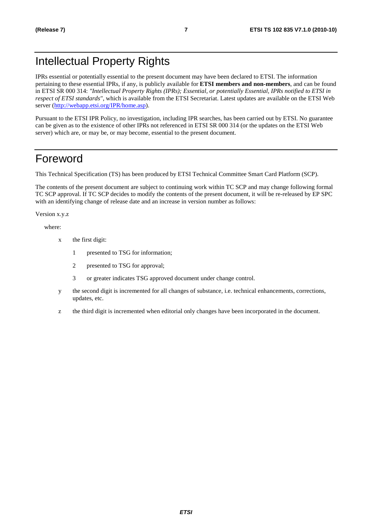# Intellectual Property Rights

IPRs essential or potentially essential to the present document may have been declared to ETSI. The information pertaining to these essential IPRs, if any, is publicly available for **ETSI members and non-members**, and can be found in ETSI SR 000 314: *"Intellectual Property Rights (IPRs); Essential, or potentially Essential, IPRs notified to ETSI in respect of ETSI standards"*, which is available from the ETSI Secretariat. Latest updates are available on the ETSI Web server [\(http://webapp.etsi.org/IPR/home.asp](http://webapp.etsi.org/IPR/home.asp)).

Pursuant to the ETSI IPR Policy, no investigation, including IPR searches, has been carried out by ETSI. No guarantee can be given as to the existence of other IPRs not referenced in ETSI SR 000 314 (or the updates on the ETSI Web server) which are, or may be, or may become, essential to the present document.

# Foreword

This Technical Specification (TS) has been produced by ETSI Technical Committee Smart Card Platform (SCP).

The contents of the present document are subject to continuing work within TC SCP and may change following formal TC SCP approval. If TC SCP decides to modify the contents of the present document, it will be re-released by EP SPC with an identifying change of release date and an increase in version number as follows:

Version x.y.z

where:

- x the first digit:
	- 1 presented to TSG for information;
	- 2 presented to TSG for approval;
	- 3 or greater indicates TSG approved document under change control.
- y the second digit is incremented for all changes of substance, i.e. technical enhancements, corrections, updates, etc.
- z the third digit is incremented when editorial only changes have been incorporated in the document.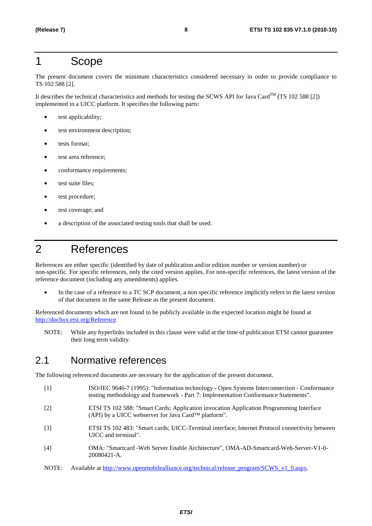# 1 Scope

The present document covers the minimum characteristics considered necessary in order to provide compliance to TS 102 588 [2].

It describes the technical characteristics and methods for testing the SCWS API for Java Card<sup>TM</sup> (TS 102 588 [2]) implemented in a UICC platform. It specifies the following parts:

- test applicability;
- test environment description;
- tests format;
- test area reference:
- conformance requirements;
- test suite files;
- test procedure:
- test coverage; and
- a description of the associated testing tools that shall be used.

# 2 References

References are either specific (identified by date of publication and/or edition number or version number) or non-specific. For specific references, only the cited version applies. For non-specific references, the latest version of the reference document (including any amendments) applies.

• In the case of a reference to a TC SCP document, a non specific reference implicitly refers to the latest version of that document in the same Release as the present document.

Referenced documents which are not found to be publicly available in the expected location might be found at <http://docbox.etsi.org/Reference>.

NOTE: While any hyperlinks included in this clause were valid at the time of publication ETSI cannot guarantee their long term validity.

### 2.1 Normative references

The following referenced documents are necessary for the application of the present document.

- [1] ISO/IEC 9646-7 (1995): "Information technology Open Systems Interconnection Conformance testing methodology and framework - Part 7: Implementation Conformance Statements".
- [2] ETSI TS 102 588: "Smart Cards; Application invocation Application Programming Interface (API) by a UICC webserver for Java Card™ platform".
- [3] ETSI TS 102 483: "Smart cards; UICC-Terminal interface; Internet Protocol connectivity between UICC and terminal".
- [4] OMA: "Smartcard -Web Server Enable Architecture", OMA-AD-Smartcard-Web-Server-V1-0- 20080421-A.
- NOTE: Available at [http://www.openmobilealliance.org/technical/release\\_program/SCWS\\_v1\\_0.aspx](http://www.openmobilealliance.org/technical/release_program/SCWS_v1_0.aspx).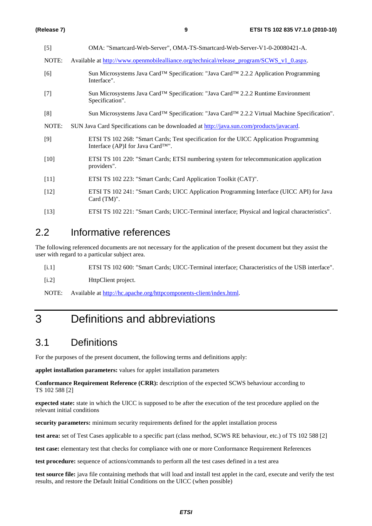| $[5]$  | OMA: "Smartcard-Web-Server", OMA-TS-Smartcard-Web-Server-V1-0-20080421-A.                                                                |
|--------|------------------------------------------------------------------------------------------------------------------------------------------|
| NOTE:  | Available at http://www.openmobilealliance.org/technical/release program/SCWS v1 0.aspx.                                                 |
| [6]    | Sun Microsystems Java Card™ Specification: "Java Card™ 2.2.2 Application Programming<br>Interface".                                      |
| $[7]$  | Sun Microsystems Java Card™ Specification: "Java Card™ 2.2.2 Runtime Environment<br>Specification".                                      |
| [8]    | Sun Microsystems Java Card™ Specification: "Java Card™ 2.2.2 Virtual Machine Specification".                                             |
| NOTE:  | SUN Java Card Specifications can be downloaded at http://java.sun.com/products/javacard.                                                 |
| $[9]$  | ETSI TS 102 268: "Smart Cards; Test specification for the UICC Application Programming<br>Interface (AP)I for Java Card <sup>TM"</sup> . |
| $[10]$ | ETSI TS 101 220: "Smart Cards; ETSI numbering system for telecommunication application<br>providers".                                    |
| $[11]$ | ETSI TS 102 223: "Smart Cards; Card Application Toolkit (CAT)".                                                                          |
| $[12]$ | ETSI TS 102 241: "Smart Cards; UICC Application Programming Interface (UICC API) for Java<br>Card (TM)".                                 |
| $[13]$ | ETSI TS 102 221: "Smart Cards; UICC-Terminal interface; Physical and logical characteristics".                                           |

# 2.2 Informative references

The following referenced documents are not necessary for the application of the present document but they assist the user with regard to a particular subject area.

[i.1] ETSI TS 102 600: "Smart Cards; UICC-Terminal interface; Characteristics of the USB interface".

[i.2] HttpClient project.

NOTE: Available at<http://hc.apache.org/httpcomponents-client/index.html>.

# 3 Definitions and abbreviations

# 3.1 Definitions

For the purposes of the present document, the following terms and definitions apply:

**applet installation parameters:** values for applet installation parameters

**Conformance Requirement Reference (CRR):** description of the expected SCWS behaviour according to TS 102 588 [2]

**expected state:** state in which the UICC is supposed to be after the execution of the test procedure applied on the relevant initial conditions

**security parameters:** minimum security requirements defined for the applet installation process

**test area:** set of Test Cases applicable to a specific part (class method, SCWS RE behaviour, etc.) of TS 102 588 [2]

**test case:** elementary test that checks for compliance with one or more Conformance Requirement References

**test procedure:** sequence of actions/commands to perform all the test cases defined in a test area

**test source file:** java file containing methods that will load and install test applet in the card, execute and verify the test results, and restore the Default Initial Conditions on the UICC (when possible)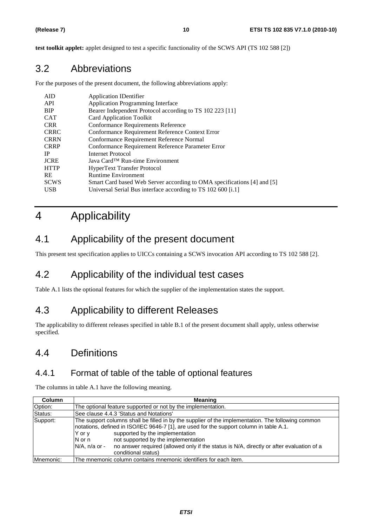**test toolkit applet:** applet designed to test a specific functionality of the SCWS API (TS 102 588 [2])

# 3.2 Abbreviations

For the purposes of the present document, the following abbreviations apply:

| <b>Application IDentifier</b>                                           |
|-------------------------------------------------------------------------|
| <b>Application Programming Interface</b>                                |
| Bearer Independent Protocol according to TS 102 223 [11]                |
| <b>Card Application Toolkit</b>                                         |
| Conformance Requirements Reference                                      |
| Conformance Requirement Reference Context Error                         |
| Conformance Requirement Reference Normal                                |
| Conformance Requirement Reference Parameter Error                       |
| Internet Protocol                                                       |
| Java Card <sup>TM</sup> Run-time Environment                            |
| <b>HyperText Transfer Protocol</b>                                      |
| <b>Runtime Environment</b>                                              |
| Smart Card based Web Server according to OMA specifications [4] and [5] |
| Universal Serial Bus interface according to TS 102 600 [i.1]            |
|                                                                         |

# 4 Applicability

# 4.1 Applicability of the present document

This present test specification applies to UICCs containing a SCWS invocation API according to TS 102 588 [2].

# 4.2 Applicability of the individual test cases

Table A.1 lists the optional features for which the supplier of the implementation states the support.

# 4.3 Applicability to different Releases

The applicability to different releases specified in table B.1 of the present document shall apply, unless otherwise specified.

# 4.4 Definitions

### 4.4.1 Format of table of the table of optional features

The columns in table A.1 have the following meaning.

| Column    | Meaning                                                                                                                                                                                                                                                                                                                                                                                                                               |  |  |
|-----------|---------------------------------------------------------------------------------------------------------------------------------------------------------------------------------------------------------------------------------------------------------------------------------------------------------------------------------------------------------------------------------------------------------------------------------------|--|--|
| Option:   | The optional feature supported or not by the implementation.                                                                                                                                                                                                                                                                                                                                                                          |  |  |
| Status:   | See clause 4.4.3 'Status and Notations'                                                                                                                                                                                                                                                                                                                                                                                               |  |  |
| Support:  | The support columns shall be filled in by the supplier of the implementation. The following common<br>Inotations, defined in ISO/IEC 9646-7 [1], are used for the support column in table A.1.<br>supported by the implementation<br>Y or y<br>not supported by the implementation<br>$N$ or n<br>$N/A$ , n/a or -<br>no answer required (allowed only if the status is N/A, directly or after evaluation of a<br>conditional status) |  |  |
| Mnemonic: | The mnemonic column contains mnemonic identifiers for each item.                                                                                                                                                                                                                                                                                                                                                                      |  |  |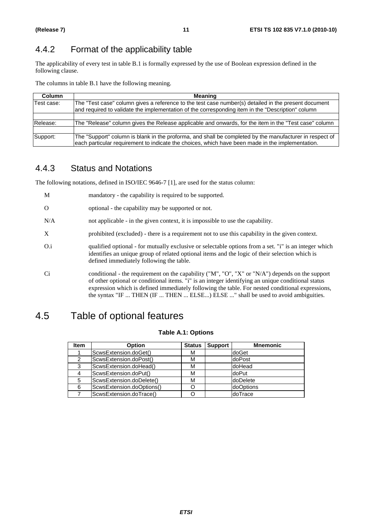# 4.4.2 Format of the applicability table

The applicability of every test in table B.1 is formally expressed by the use of Boolean expression defined in the following clause.

The columns in table B.1 have the following meaning.

| <b>Column</b> | Meaning                                                                                                                                                                                                     |  |
|---------------|-------------------------------------------------------------------------------------------------------------------------------------------------------------------------------------------------------------|--|
| Test case:    | The "Test case" column gives a reference to the test case number(s) detailed in the present document<br>and required to validate the implementation of the corresponding item in the "Description" column   |  |
|               |                                                                                                                                                                                                             |  |
| Release:      | The "Release" column gives the Release applicable and onwards, for the item in the "Test case" column                                                                                                       |  |
|               |                                                                                                                                                                                                             |  |
| Support:      | The "Support" column is blank in the proforma, and shall be completed by the manufacturer in respect of<br>each particular requirement to indicate the choices, which have been made in the implementation. |  |

### 4.4.3 Status and Notations

The following notations, defined in ISO/IEC 9646-7 [1], are used for the status column:

| M        | mandatory - the capability is required to be supported.                                                                                                                                                                                                                                                                                                                                       |
|----------|-----------------------------------------------------------------------------------------------------------------------------------------------------------------------------------------------------------------------------------------------------------------------------------------------------------------------------------------------------------------------------------------------|
| $\Omega$ | optional - the capability may be supported or not.                                                                                                                                                                                                                                                                                                                                            |
| N/A      | not applicable - in the given context, it is impossible to use the capability.                                                                                                                                                                                                                                                                                                                |
| X        | prohibited (excluded) - there is a requirement not to use this capability in the given context.                                                                                                                                                                                                                                                                                               |
| O.i      | qualified optional - for mutually exclusive or selectable options from a set. "i" is an integer which<br>identifies an unique group of related optional items and the logic of their selection which is<br>defined immediately following the table.                                                                                                                                           |
| Ci       | conditional - the requirement on the capability ("M", "O", "X" or "N/A") depends on the support<br>of other optional or conditional items. "i" is an integer identifying an unique conditional status<br>expression which is defined immediately following the table. For nested conditional expressions,<br>the syntax "IF  THEN (IF  THEN  ELSE) ELSE " shall be used to avoid ambiguities. |

# 4.5 Table of optional features

#### **Table A.1: Options**

| <b>Item</b> | <b>Option</b>             | <b>Status</b> | <b>Support</b> | <b>Mnemonic</b> |
|-------------|---------------------------|---------------|----------------|-----------------|
|             | ScwsExtension.doGet()     | М             |                | doGet           |
| 2           | ScwsExtension.doPost()    | М             |                | doPost          |
| 3           | ScwsExtension.doHead()    | М             |                | doHead          |
|             | ScwsExtension.doPut()     | м             |                | doPut           |
| 5           | ScwsExtension.doDelete()  | М             |                | doDelete        |
| 6           | ScwsExtension.doOptions() |               |                | doOptions       |
|             | ScwsExtension.doTrace()   |               |                | doTrace         |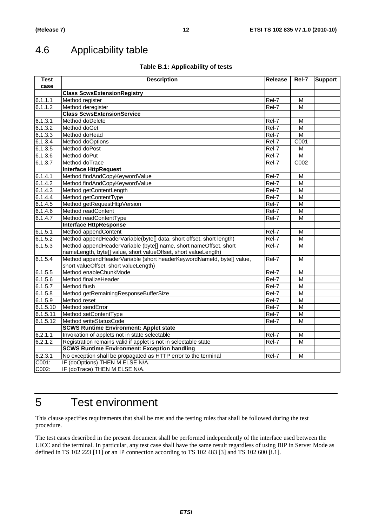# 4.6 Applicability table

#### **Table B.1: Applicability of tests**

| <b>Test</b> | <b>Description</b>                                                    | Release             | Rel-7                   | <b>Support</b> |
|-------------|-----------------------------------------------------------------------|---------------------|-------------------------|----------------|
| case        |                                                                       |                     |                         |                |
|             | <b>Class ScwsExtensionRegistry</b>                                    |                     |                         |                |
| 6.1.1.1     | Method register                                                       | Rel-7               | м                       |                |
| 6.1.1.2     | Method deregister                                                     | Rel-7               | M                       |                |
|             | <b>Class ScwsExtensionService</b>                                     |                     |                         |                |
| 6.1.3.1     | Method doDelete                                                       | Rel-7               | М                       |                |
| 6.1.3.2     | Method doGet                                                          | Rel-7               | М                       |                |
| 6.1.3.3     | Method doHead                                                         | Rel-7               | $\overline{\mathsf{M}}$ |                |
| 6.1.3.4     | Method doOptions                                                      | Rel-7               | C001                    |                |
| 6.1.3.5     | Method doPost                                                         | $\overline{Rel}$ -7 | М                       |                |
| 6.1.3.6     | Method doPut                                                          | Rel-7               | $\overline{\mathsf{M}}$ |                |
| 6.1.3.7     | Method doTrace                                                        | Rel-7               | C002                    |                |
|             | <b>Interface HttpRequest</b>                                          |                     |                         |                |
| 6.1.4.1     | Method findAndCopyKeywordValue                                        | Rel-7               | M                       |                |
| 6.1.4.2     | Method findAndCopyKeywordValue                                        | Rel-7               | M                       |                |
| 6.1.4.3     | Method getContentLength                                               | Rel-7               | M                       |                |
| 6.1.4.4     | Method getContentType                                                 | Rel-7               | M                       |                |
| 6.1.4.5     | Method getRequestHttpVersion                                          | Rel-7               | M                       |                |
| 6.1.4.6     | Method readContent                                                    | Rel-7               | M                       |                |
| 6.1.4.7     | Method readContentType                                                | Rel-7               | M                       |                |
|             | <b>Interface HttpResponse</b>                                         |                     |                         |                |
| 6.1.5.1     | Method appendContent                                                  | Rel-7               | М                       |                |
| 6.1.5.2     | Method appendHeaderVariable(byte[] data, short offset, short length)  | Rel-7               | М                       |                |
| 6.1.5.3     | Method appendHeaderVariable (byte[] name, short nameOffset, short     | Rel-7               | М                       |                |
|             | nameLength, byte[] value, short valueOffset, short valueLength)       |                     |                         |                |
| 6.1.5.4     | Method appendHeaderVariable (short headerKeywordNameld, byte[] value, | Rel-7               | M                       |                |
|             | short valueOffset, short valueLength)                                 |                     |                         |                |
| 6.1.5.5     | Method enableChunkMode                                                | Rel-7               | М                       |                |
| 6.1.5.6     | Method finalizeHeader                                                 | Rel-7               | M                       |                |
| 6.1.5.7     | Method flush                                                          | Rel-7               | M                       |                |
| 6.1.5.8     | Method getRemainingResponseBufferSize                                 | Rel-7               | M                       |                |
| 6.1.5.9     | Method reset                                                          | Rel-7               | M                       |                |
| 6.1.5.10    | Method sendError                                                      | $\overline{R}$ el-7 | M                       |                |
| 6.1.5.11    | Method setContentType                                                 | Rel-7               | M                       |                |
| 6.1.5.12    | Method writeStatusCode                                                | Rel-7               | M                       |                |
|             | <b>SCWS Runtime Environment: Applet state</b>                         |                     |                         |                |
| 6.2.1.1     | Invokation of applets not in state selectable                         | Rel-7               | M                       |                |
| 6.2.1.2     | Registration remains valid if applet is not in selectable state       | Rel-7               | М                       |                |
|             | <b>SCWS Runtime Environment: Exception handling</b>                   |                     |                         |                |
| 6.2.3.1     | No exception shall be propagated as HTTP error to the terminal        | Rel-7               | M                       |                |
| C001:       | IF (doOptions) THEN M ELSE N/A.                                       |                     |                         |                |
| C002:       | IF (doTrace) THEN M ELSE N/A.                                         |                     |                         |                |

# 5 Test environment

This clause specifies requirements that shall be met and the testing rules that shall be followed during the test procedure.

The test cases described in the present document shall be performed independently of the interface used between the UICC and the terminal. In particular, any test case shall have the same result regardless of using BIP in Server Mode as defined in TS 102 223 [11] or an IP connection according to TS 102 483 [3] and TS 102 600 [i.1].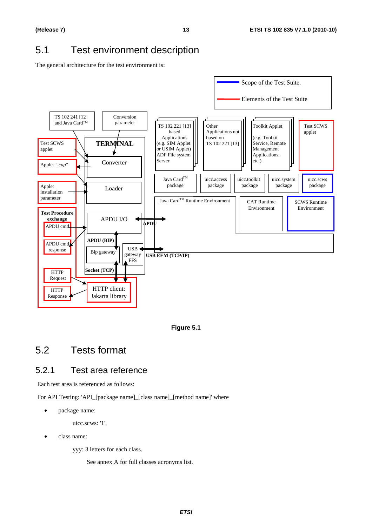# 5.1 Test environment description

The general architecture for the test environment is:



**Figure 5.1** 

# 5.2 Tests format

### 5.2.1 Test area reference

Each test area is referenced as follows:

For API Testing: 'API\_[package name]\_[class name]\_[method name]' where

• package name:

uicc.scws: '1'.

class name:

yyy: 3 letters for each class.

See annex A for full classes acronyms list.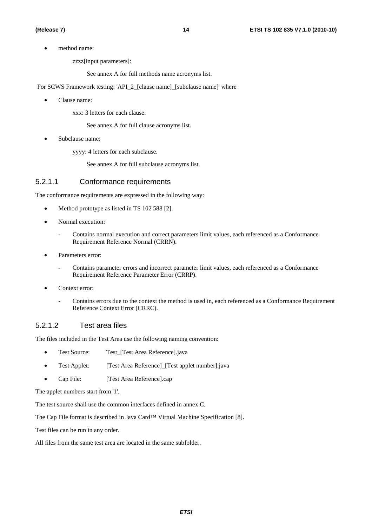• method name:

zzzz[input parameters]:

See annex A for full methods name acronyms list.

For SCWS Framework testing: 'API\_2\_[clause name]\_[subclause name]' where

• Clause name:

xxx: 3 letters for each clause.

See annex A for full clause acronyms list.

Subclause name:

yyyy: 4 letters for each subclause.

See annex A for full subclause acronyms list.

#### 5.2.1.1 Conformance requirements

The conformance requirements are expressed in the following way:

- Method prototype as listed in TS 102 588 [2].
- Normal execution:
	- Contains normal execution and correct parameters limit values, each referenced as a Conformance Requirement Reference Normal (CRRN).
- Parameters error:
	- Contains parameter errors and incorrect parameter limit values, each referenced as a Conformance Requirement Reference Parameter Error (CRRP).
- Context error:
	- Contains errors due to the context the method is used in, each referenced as a Conformance Requirement Reference Context Error (CRRC).

#### 5.2.1.2 Test area files

The files included in the Test Area use the following naming convention:

- Test Source: Test [Test Area Reference].java
- Test Applet: [Test Area Reference] [Test applet number].java
- Cap File: [Test Area Reference].cap

The applet numbers start from '1'.

The test source shall use the common interfaces defined in annex C.

The Cap File format is described in Java Card™ Virtual Machine Specification [8].

Test files can be run in any order.

All files from the same test area are located in the same subfolder.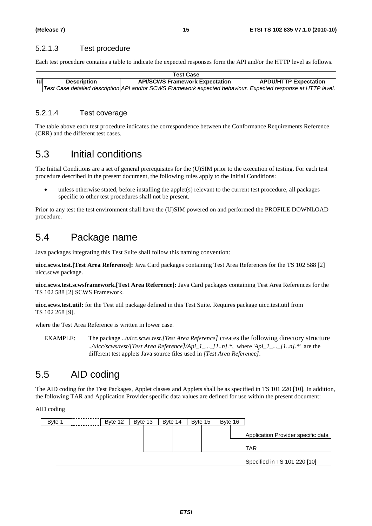#### 5.2.1.3 Test procedure

Each test procedure contains a table to indicate the expected responses form the API and/or the HTTP level as follows.

|                                                                    | <b>Test Case</b> |                                                                                                               |                              |  |  |
|--------------------------------------------------------------------|------------------|---------------------------------------------------------------------------------------------------------------|------------------------------|--|--|
| lld<br><b>API/SCWS Framework Expectation</b><br><b>Description</b> |                  |                                                                                                               | <b>APDU/HTTP Expectation</b> |  |  |
|                                                                    |                  | Test Case detailed description API and/or SCWS Framework expected behaviour. Expected response at HTTP level. |                              |  |  |

#### 5.2.1.4 Test coverage

The table above each test procedure indicates the correspondence between the Conformance Requirements Reference (CRR) and the different test cases.

# 5.3 Initial conditions

The Initial Conditions are a set of general prerequisites for the (U)SIM prior to the execution of testing. For each test procedure described in the present document, the following rules apply to the Initial Conditions:

• unless otherwise stated, before installing the applet(s) relevant to the current test procedure, all packages specific to other test procedures shall not be present.

Prior to any test the test environment shall have the (U)SIM powered on and performed the PROFILE DOWNLOAD procedure.

# 5.4 Package name

Java packages integrating this Test Suite shall follow this naming convention:

**uicc.scws.test.[Test Area Reference]:** Java Card packages containing Test Area References for the TS 102 588 [2] uicc.scws package.

**uicc.scws.test.scwsframework.[Test Area Reference]:** Java Card packages containing Test Area References for the TS 102 588 [2] SCWS Framework.

**uicc.scws.test.util:** for the Test util package defined in this Test Suite. Requires package uicc.test.util from TS 102 268 [9].

where the Test Area Reference is written in lower case.

EXAMPLE: The package *../uicc.scws.test.[Test Area Reference]* creates the following directory structure *../uicc/scws/test/[Test Area Reference]/Api\_1\_...\_[1..n].\*,* where '*Api\_1\_...\_[1..n].\**' are the different test applets Java source files used in *[Test Area Reference]*.

# 5.5 AID coding

The AID coding for the Test Packages, Applet classes and Applets shall be as specified in TS 101 220 [10]. In addition, the following TAR and Application Provider specific data values are defined for use within the present document:

AID coding

| Byte 1 | Byte 12 | Byte 13 | Byte 14 | Byte 15 | Byte 16 |                                    |
|--------|---------|---------|---------|---------|---------|------------------------------------|
|        |         |         |         |         |         | Application Provider specific data |
|        |         |         |         |         |         | TAR                                |
|        |         |         |         |         |         | Specified in TS 101 220 [10]       |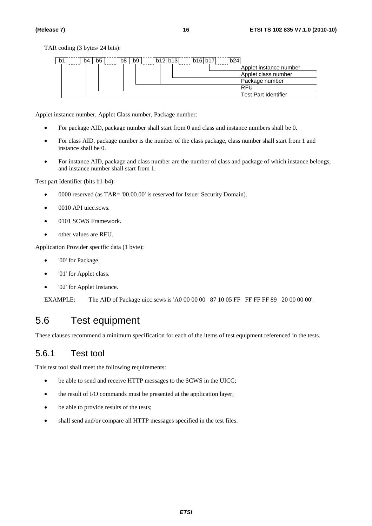| b1 | b <sub>5</sub><br>b4 | b8 | b9 | b12 b13 | b16 b17 | b24 |                             |
|----|----------------------|----|----|---------|---------|-----|-----------------------------|
|    |                      |    |    |         |         |     | Applet instance number      |
|    |                      |    |    |         |         |     | Applet class number         |
|    |                      |    |    |         |         |     | Package number              |
|    |                      |    |    |         |         |     | RFL                         |
|    |                      |    |    |         |         |     | <b>Test Part Identifier</b> |

Applet instance number, Applet Class number, Package number:

- For package AID, package number shall start from 0 and class and instance numbers shall be 0.
- For class AID, package number is the number of the class package, class number shall start from 1 and instance shall be 0.
- For instance AID, package and class number are the number of class and package of which instance belongs, and instance number shall start from 1.

Test part Identifier (bits b1-b4):

- 0000 reserved (as TAR= '00.00.00' is reserved for Issuer Security Domain).
- 0010 API uicc.scws.
- 0101 SCWS Framework.
- other values are RFU.

Application Provider specific data (1 byte):

- '00' for Package.
- '01' for Applet class.
- '02' for Applet Instance.

EXAMPLE: The AID of Package uicc.scws is 'A0 00 00 00 87 10 05 FF FF FF FF 89 20 00 00 00'.

# 5.6 Test equipment

These clauses recommend a minimum specification for each of the items of test equipment referenced in the tests.

### 5.6.1 Test tool

This test tool shall meet the following requirements:

- be able to send and receive HTTP messages to the SCWS in the UICC;
- the result of I/O commands must be presented at the application layer;
- be able to provide results of the tests;
- shall send and/or compare all HTTP messages specified in the test files.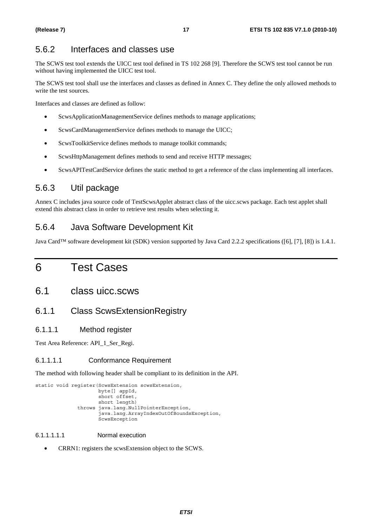### 5.6.2 Interfaces and classes use

The SCWS test tool extends the UICC test tool defined in TS 102 268 [9]. Therefore the SCWS test tool cannot be run without having implemented the UICC test tool.

The SCWS test tool shall use the interfaces and classes as defined in Annex C. They define the only allowed methods to write the test sources.

Interfaces and classes are defined as follow:

- ScwsApplicationManagementService defines methods to manage applications;
- ScwsCardManagementService defines methods to manage the UICC;
- ScwsToolkitService defines methods to manage toolkit commands;
- ScwsHttpManagement defines methods to send and receive HTTP messages;
- ScwsAPITestCardService defines the static method to get a reference of the class implementing all interfaces.

### 5.6.3 Util package

Annex C includes java source code of TestScwsApplet abstract class of the uicc.scws package. Each test applet shall extend this abstract class in order to retrieve test results when selecting it.

### 5.6.4 Java Software Development Kit

Java Card™ software development kit (SDK) version supported by Java Card 2.2.2 specifications ([6], [7], [8]) is 1.4.1.

# 6 Test Cases

### 6.1 class uicc.scws

### 6.1.1 Class ScwsExtensionRegistry

#### 6.1.1.1 Method register

Test Area Reference: API\_1\_Ser\_Regi.

#### 6.1.1.1.1 Conformance Requirement

The method with following header shall be compliant to its definition in the API.

```
static void register(ScwsExtension scwsExtension, 
            byte[] appId, 
            short offset, 
           short length)
     throws java.lang.NullPointerException, 
            java.lang.ArrayIndexOutOfBoundsException, 
           ScwsException
```
#### 6.1.1.1.1.1 Normal execution

• CRRN1: registers the scwsExtension object to the SCWS.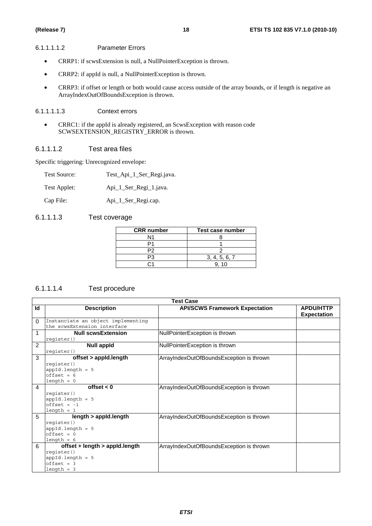#### 6.1.1.1.1.2 Parameter Errors

- CRRP1: if scwsExtension is null, a NullPointerException is thrown.
- CRRP2: if appId is null, a NullPointerException is thrown.
- CRRP3: if offset or length or both would cause access outside of the array bounds, or if length is negative an ArrayIndexOutOfBoundsException is thrown.

#### 6.1.1.1.1.3 Context errors

• CRRC1: if the appId is already registered, an ScwsException with reason code SCWSEXTENSION\_REGISTRY\_ERROR is thrown.

#### 6.1.1.1.2 Test area files

Specific triggering: Unrecognized envelope:

| Test Source: | Test_Api_1_Ser_Regi.java. |
|--------------|---------------------------|
|--------------|---------------------------|

Test Applet: Api\_1\_Ser\_Regi\_1.java.

Cap File: Api\_1\_Ser\_Regi.cap.

#### 6.1.1.1.3 Test coverage

| <b>CRR</b> number | Test case number |
|-------------------|------------------|
| N1                |                  |
|                   |                  |
| P2                |                  |
|                   | 3, 4, 5, 6, 7    |
|                   | 10               |

#### 6.1.1.1.4 Test procedure

|                |                                    | <b>Test Case</b>                         |                    |
|----------------|------------------------------------|------------------------------------------|--------------------|
| Id             | <b>Description</b>                 | <b>API/SCWS Framework Expectation</b>    | <b>APDU/HTTP</b>   |
|                |                                    |                                          | <b>Expectation</b> |
| $\Omega$       | Instanciate an object implementing |                                          |                    |
|                | the scwsExtension interface        |                                          |                    |
| 1              | <b>Null scwsExtension</b>          | NullPointerException is thrown           |                    |
|                | register()                         |                                          |                    |
| $\overline{2}$ | <b>Null appld</b>                  | NullPointerException is thrown           |                    |
|                | register()                         |                                          |                    |
| 3              | offset > appld.length              | ArrayIndexOutOfBoundsException is thrown |                    |
|                | register()                         |                                          |                    |
|                | $appId.length = 5$                 |                                          |                    |
|                | $offset = 6$                       |                                          |                    |
|                | $length = 0$                       |                                          |                    |
| 4              | offset $< 0$                       | ArrayIndexOutOfBoundsException is thrown |                    |
|                | register()                         |                                          |                    |
|                | $appId.length = 5$                 |                                          |                    |
|                | $offset = -1$                      |                                          |                    |
| 5              | $length = 1$                       |                                          |                    |
|                | length > appld.length              | ArrayIndexOutOfBoundsException is thrown |                    |
|                | register()<br>$appId.length = 5$   |                                          |                    |
|                | $offset = 0$                       |                                          |                    |
|                | $length = 6$                       |                                          |                    |
| 6              | offset + $length > applied.length$ | ArrayIndexOutOfBoundsException is thrown |                    |
|                | register()                         |                                          |                    |
|                | $appId.length = 5$                 |                                          |                    |
|                | $offset = 3$                       |                                          |                    |
|                | $length = 3$                       |                                          |                    |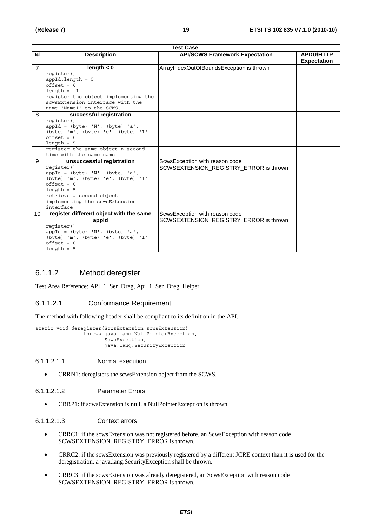|                |                                                    | <b>Test Case</b>                         |                                        |
|----------------|----------------------------------------------------|------------------------------------------|----------------------------------------|
| Id             | <b>Description</b>                                 | <b>API/SCWS Framework Expectation</b>    | <b>APDU/HTTP</b><br><b>Expectation</b> |
| $\overline{7}$ | length $< 0$                                       | ArrayIndexOutOfBoundsException is thrown |                                        |
|                | register()                                         |                                          |                                        |
|                | $appId.length = 5$                                 |                                          |                                        |
|                | $offset = 0$                                       |                                          |                                        |
|                | $length = -1$                                      |                                          |                                        |
|                | register the object implementing the               |                                          |                                        |
|                | scwsExtension interface with the                   |                                          |                                        |
|                | name "Name1" to the SCWS.                          |                                          |                                        |
| 8              | successful registration                            |                                          |                                        |
|                | reqister()                                         |                                          |                                        |
|                | $appId = (byte) 'N', (byte) 'a',$                  |                                          |                                        |
|                | (byte) 'm', (byte) 'e', (byte) '1'<br>$offset = 0$ |                                          |                                        |
|                | $length = 5$                                       |                                          |                                        |
|                | reqister the same object a second                  |                                          |                                        |
|                | time with the same name                            |                                          |                                        |
| 9              | unsuccessful registration                          | ScwsException with reason code           |                                        |
|                | register()                                         | SCWSEXTENSION_REGISTRY_ERROR is thrown   |                                        |
|                | $appId = (byte) 'N', (byte) 'a',$                  |                                          |                                        |
|                | (byte) 'm', (byte) 'e', (byte) '1'                 |                                          |                                        |
|                | $offset = 0$                                       |                                          |                                        |
|                | $length = 5$                                       |                                          |                                        |
|                | retrieve a second object                           |                                          |                                        |
|                | implementing the scwsExtension                     |                                          |                                        |
|                | interface                                          |                                          |                                        |
| 10             | register different object with the same            | ScwsException with reason code           |                                        |
|                | appid                                              | SCWSEXTENSION_REGISTRY_ERROR is thrown   |                                        |
|                | reqister()                                         |                                          |                                        |
|                | $appId = (byte) 'N', (byte) 'a',$                  |                                          |                                        |
|                | (byte) 'm', (byte) 'e', (byte) '1'                 |                                          |                                        |
|                | $offset = 0$                                       |                                          |                                        |
|                | $length = 5$                                       |                                          |                                        |

#### 6.1.1.2 Method deregister

Test Area Reference: API\_1\_Ser\_Dreg, Api\_1\_Ser\_Dreg\_Helper

#### 6.1.1.2.1 Conformance Requirement

The method with following header shall be compliant to its definition in the API.

```
static void deregister(ScwsExtension scwsExtension) 
       throws java.lang.NullPointerException, 
              ScwsException, 
              java.lang.SecurityException
```
#### 6.1.1.2.1.1 Normal execution

• CRRN1: deregisters the scwsExtension object from the SCWS.

#### 6.1.1.2.1.2 Parameter Errors

• CRRP1: if scwsExtension is null, a NullPointerException is thrown.

#### 6.1.1.2.1.3 Context errors

- CRRC1: if the scwsExtension was not registered before, an ScwsException with reason code SCWSEXTENSION\_REGISTRY\_ERROR is thrown.
- CRRC2: if the scwsExtension was previously registered by a different JCRE context than it is used for the deregistration, a java.lang.SecurityException shall be thrown.
- CRRC3: if the scwsExtension was already deregistered, an ScwsException with reason code SCWSEXTENSION\_REGISTRY\_ERROR is thrown.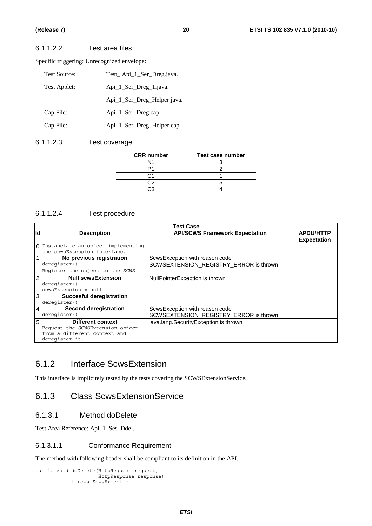#### 6.1.1.2.2 Test area files

Specific triggering: Unrecognized envelope:

| <b>Test Source:</b> | Test_Api_1_Ser_Dreg.java.   |
|---------------------|-----------------------------|
| Test Applet:        | Api_1_Ser_Dreg_1.java.      |
|                     | Api_1_Ser_Dreg_Helper.java. |
| Cap File:           | Api_1_Ser_Dreg.cap.         |
| Cap File:           | Api_1_Ser_Dreg_Helper.cap.  |

#### 6.1.1.2.3 Test coverage

| <b>CRR</b> number | Test case number |
|-------------------|------------------|
| N1                |                  |
|                   |                  |
|                   |                  |
|                   |                  |
|                   |                  |

#### 6.1.1.2.4 Test procedure

|                | <b>Test Case</b>                            |                                        |                    |  |  |
|----------------|---------------------------------------------|----------------------------------------|--------------------|--|--|
| Id             | <b>Description</b>                          | <b>API/SCWS Framework Expectation</b>  | <b>APDU/HTTP</b>   |  |  |
|                |                                             |                                        | <b>Expectation</b> |  |  |
|                | $\Omega$ Instanciate an object implementing |                                        |                    |  |  |
|                | the scwsExtension interface.                |                                        |                    |  |  |
|                | No previous registration                    | ScwsException with reason code         |                    |  |  |
|                | deregister()                                | SCWSEXTENSION_REGISTRY_ERROR is thrown |                    |  |  |
|                | Register the object to the SCWS             |                                        |                    |  |  |
| 2              | <b>Null scwsExtension</b>                   | NullPointerException is thrown         |                    |  |  |
|                | deregister()                                |                                        |                    |  |  |
|                | $scwsExtension = null$                      |                                        |                    |  |  |
| 3 <sup>1</sup> | <b>Succesful deregistration</b>             |                                        |                    |  |  |
|                | deregister()                                |                                        |                    |  |  |
| 4              | Second deregistration                       | ScwsException with reason code         |                    |  |  |
|                | deregister()                                | SCWSEXTENSION_REGISTRY_ERROR is thrown |                    |  |  |
| 5 <sup>1</sup> | <b>Different context</b>                    | java.lang.SecurityException is thrown  |                    |  |  |
|                | Request the SCWSExtension object            |                                        |                    |  |  |
|                | from a different context and                |                                        |                    |  |  |
|                | deregister it.                              |                                        |                    |  |  |

### 6.1.2 Interface ScwsExtension

This interface is implicitely tested by the tests covering the SCWSExtensionService.

# 6.1.3 Class ScwsExtensionService

#### 6.1.3.1 Method doDelete

Test Area Reference: Api\_1\_Ses\_Ddel.

#### 6.1.3.1.1 Conformance Requirement

The method with following header shall be compliant to its definition in the API.

```
public void doDelete(HttpRequest request, 
           HttpResponse response) 
  throws ScwsException
```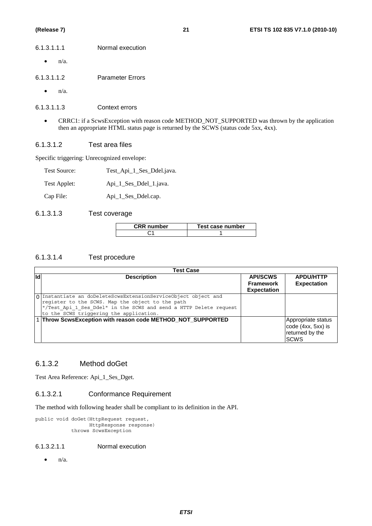| 6.1.3.1.1.1 | Normal execution |
|-------------|------------------|
|             |                  |

 $\bullet$   $n/a$ .

6.1.3.1.1.2 Parameter Errors

 $\bullet$   $n/a$ .

6.1.3.1.1.3 Context errors

• CRRC1: if a ScwsException with reason code METHOD\_NOT\_SUPPORTED was thrown by the application then an appropriate HTML status page is returned by the SCWS (status code 5xx, 4xx).

#### 6.1.3.1.2 Test area files

Specific triggering: Unrecognized envelope:

| <b>Test Source:</b> | Test_Api_1_Ses_Ddel.java. |
|---------------------|---------------------------|
|---------------------|---------------------------|

Test Applet: Api 1 Ses Ddel 1.java.

Cap File: Api\_1\_Ses\_Ddel.cap.

#### 6.1.3.1.3 Test coverage

| <b>CRR</b> number | Test case number |
|-------------------|------------------|
|                   |                  |

#### 6.1.3.1.4 Test procedure

| Test Case |                                                                                                                                                                                                                                    |                                                           |                                                                             |
|-----------|------------------------------------------------------------------------------------------------------------------------------------------------------------------------------------------------------------------------------------|-----------------------------------------------------------|-----------------------------------------------------------------------------|
| lld       | <b>Description</b>                                                                                                                                                                                                                 | <b>API/SCWS</b><br><b>Framework</b><br><b>Expectation</b> | <b>APDU/HTTP</b><br><b>Expectation</b>                                      |
|           | 0 Instantiate an doDeleteScwsExtensionServiceObject object and<br>register to the SCWS. Map the object to the path<br>"/Test Api 1 Ses Ddel" in the SCWS and send a HTTP Delete request<br>to the SCWS triggering the application. |                                                           |                                                                             |
|           | 1 Throw ScwsException with reason code METHOD_NOT_SUPPORTED                                                                                                                                                                        |                                                           | Appropriate status<br>code (4xx, 5xx) is<br>returned by the<br><b>ISCWS</b> |

#### 6.1.3.2 Method doGet

Test Area Reference: Api\_1\_Ses\_Dget.

#### 6.1.3.2.1 Conformance Requirement

The method with following header shall be compliant to its definition in the API.

```
public void doGet(HttpRequest request, 
         HttpResponse response) 
   throws ScwsException
```
#### 6.1.3.2.1.1 Normal execution

 $\bullet$   $n/a$ .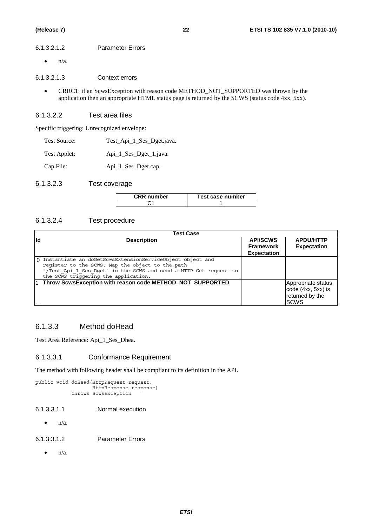#### 6.1.3.2.1.2 Parameter Errors

 $\bullet$   $n/a$ .

6.1.3.2.1.3 Context errors

• CRRC1: if an ScwsException with reason code METHOD\_NOT\_SUPPORTED was thrown by the application then an appropriate HTML status page is returned by the SCWS (status code 4xx, 5xx).

#### 6.1.3.2.2 Test area files

Specific triggering: Unrecognized envelope:

- Test Source: Test Api 1 Ses Dget.java.
- Test Applet: Api\_1\_Ses\_Dget\_1.java.

Cap File: Api\_1\_Ses\_Dget.cap.

6.1.3.2.3 Test coverage

| <b>CRR</b> number | Test case number |
|-------------------|------------------|
|                   |                  |

#### 6.1.3.2.4 Test procedure

|           | <b>Test Case</b>                                                                                                                                                                                                             |                                                    |                                                                            |
|-----------|------------------------------------------------------------------------------------------------------------------------------------------------------------------------------------------------------------------------------|----------------------------------------------------|----------------------------------------------------------------------------|
| <b>Id</b> | <b>Description</b>                                                                                                                                                                                                           | <b>API/SCWS</b><br>Framework<br><b>Expectation</b> | <b>APDU/HTTP</b><br><b>Expectation</b>                                     |
|           | 0 Instantiate an doGetScwsExtensionServiceObject object and<br>register to the SCWS. Map the object to the path<br>"/Test_Api_1_Ses_Dget" in the SCWS and send a HTTP Get request to<br>the SCWS triggering the application. |                                                    |                                                                            |
|           | 1 Throw ScwsException with reason code METHOD_NOT_SUPPORTED                                                                                                                                                                  |                                                    | Appropriate status<br>code (4xx, 5xx) is<br>returned by the<br><b>SCWS</b> |

#### 6.1.3.3 Method doHead

Test Area Reference: Api\_1\_Ses\_Dhea.

#### 6.1.3.3.1 Conformance Requirement

The method with following header shall be compliant to its definition in the API.

```
public void doHead(HttpRequest request, 
          HttpResponse response) 
   throws ScwsException
```
- 6.1.3.3.1.1 Normal execution
	- $n/a$ .
- 6.1.3.3.1.2 Parameter Errors
	- $\bullet$   $n/a$ .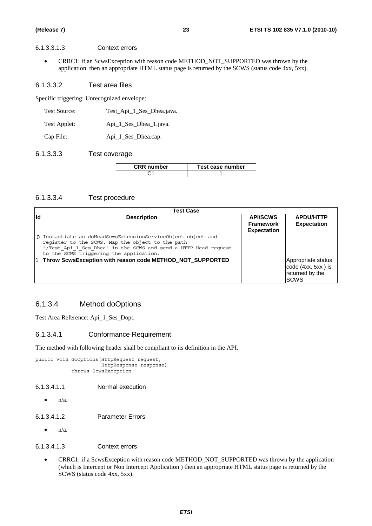#### 6.1.3.3.1.3 Context errors

• CRRC1: if an ScwsException with reason code METHOD\_NOT\_SUPPORTED was thrown by the application then an appropriate HTML status page is returned by the SCWS (status code 4xx, 5xx).

#### 6.1.3.3.2 Test area files

Specific triggering: Unrecognized envelope:

| Test Source: | Test_Api_1_Ses_Dhea.java. |
|--------------|---------------------------|
|--------------|---------------------------|

Test Applet: Api\_1\_Ses\_Dhea\_1.java.

Cap File: Api 1 Ses Dhea.cap.

#### 6.1.3.3.3 Test coverage

| <b>CRR</b> number | Test case number |
|-------------------|------------------|
|                   |                  |

#### 6.1.3.3.4 Test procedure

|    | <b>Test Case</b>                                                                                                                                                                                                               |                                                           |                                                                            |
|----|--------------------------------------------------------------------------------------------------------------------------------------------------------------------------------------------------------------------------------|-----------------------------------------------------------|----------------------------------------------------------------------------|
| Id | <b>Description</b>                                                                                                                                                                                                             | <b>API/SCWS</b><br><b>Framework</b><br><b>Expectation</b> | <b>APDU/HTTP</b><br><b>Expectation</b>                                     |
|    | 0 Instantiate an doHeadScwsExtensionServiceObject object and<br>register to the SCWS. Map the object to the path<br>"/Test Api 1 Ses Dhea" in the SCWS and send a HTTP Head request<br>to the SCWS triggering the application. |                                                           |                                                                            |
|    | Throw ScwsException with reason code METHOD_NOT_SUPPORTED                                                                                                                                                                      |                                                           | Appropriate status<br>code (4xx, 5xx) is<br>returned by the<br><b>SCWS</b> |

#### 6.1.3.4 Method doOptions

Test Area Reference: Api\_1\_Ses\_Dopt.

#### 6.1.3.4.1 Conformance Requirement

The method with following header shall be compliant to its definition in the API.

public void doOptions(HttpRequest request, HttpResponse response) throws ScwsException

#### 6.1.3.4.1.1 Normal execution

- $\bullet$   $n/a$ .
- 6.1.3.4.1.2 Parameter Errors
	- $n/a$ .

#### 6.1.3.4.1.3 Context errors

• CRRC1: if a ScwsException with reason code METHOD\_NOT\_SUPPORTED was thrown by the application (which is Intercept or Non Intercept Application ) then an appropriate HTML status page is returned by the SCWS (status code 4xx, 5xx).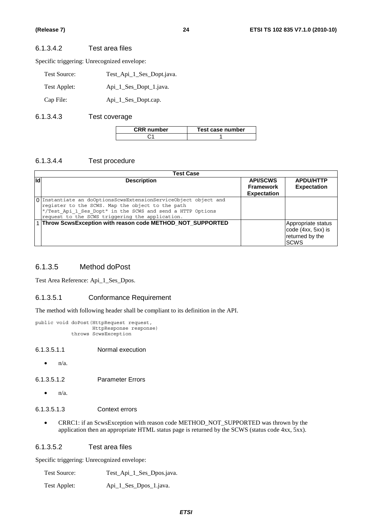#### 6.1.3.4.2 Test area files

Specific triggering: Unrecognized envelope:

| Test Source: | Test_Api_1_Ses_Dopt.java. |
|--------------|---------------------------|
| Test Applet: | Api_1_Ses_Dopt_1.java.    |
| Cap File:    | Api_1_Ses_Dopt.cap.       |

#### 6.1.3.4.3 Test coverage

| CRR number | Test case number |
|------------|------------------|
|            |                  |

#### 6.1.3.4.4 Test procedure

|     | <b>Test Case</b>                                                                                                                                                                                                                     |                                                           |                                                                             |
|-----|--------------------------------------------------------------------------------------------------------------------------------------------------------------------------------------------------------------------------------------|-----------------------------------------------------------|-----------------------------------------------------------------------------|
| lld | <b>Description</b>                                                                                                                                                                                                                   | <b>API/SCWS</b><br><b>Framework</b><br><b>Expectation</b> | <b>APDU/HTTP</b><br><b>Expectation</b>                                      |
|     | 0 Instantiate an doOptionsScwsExtensionServiceObject object and<br>register to the SCWS. Map the object to the path<br>"/Test_Api_1_Ses_Dopt" in the SCWS and send a HTTP Options<br>request to the SCWS triggering the application. |                                                           |                                                                             |
|     | 1 Throw ScwsException with reason code METHOD_NOT_SUPPORTED                                                                                                                                                                          |                                                           | Appropriate status<br>code (4xx, 5xx) is<br>returned by the<br><b>ISCWS</b> |

#### 6.1.3.5 Method doPost

Test Area Reference: Api\_1\_Ses\_Dpos.

#### 6.1.3.5.1 Conformance Requirement

The method with following header shall be compliant to its definition in the API.

```
public void doPost(HttpRequest request, 
          HttpResponse response) 
  throws ScwsException
```
6.1.3.5.1.1 Normal execution

 $\bullet$  n/a.

6.1.3.5.1.2 Parameter Errors

 $n/a$ .

#### 6.1.3.5.1.3 Context errors

• CRRC1: if an ScwsException with reason code METHOD\_NOT\_SUPPORTED was thrown by the application then an appropriate HTML status page is returned by the SCWS (status code 4xx, 5xx).

#### 6.1.3.5.2 Test area files

Specific triggering: Unrecognized envelope:

Test Source: Test\_Api\_1\_Ses\_Dpos.java.

Test Applet: Api\_1\_Ses\_Dpos\_1.java.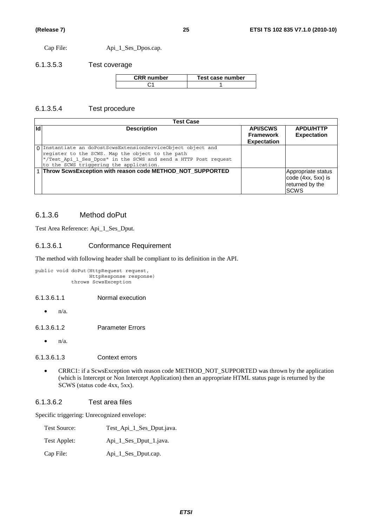Cap File: Api\_1\_Ses\_Dpos.cap.

6.1.3.5.3 Test coverage

| <b>CRR</b> number | Test case number |
|-------------------|------------------|
|                   |                  |

#### 6.1.3.5.4 Test procedure

|    | <b>Test Case</b>                                                                                                                                                                                                               |                                                           |                                                                            |
|----|--------------------------------------------------------------------------------------------------------------------------------------------------------------------------------------------------------------------------------|-----------------------------------------------------------|----------------------------------------------------------------------------|
| Id | <b>Description</b>                                                                                                                                                                                                             | <b>API/SCWS</b><br><b>Framework</b><br><b>Expectation</b> | <b>APDU/HTTP</b><br><b>Expectation</b>                                     |
|    | 0 Instantiate an doPostScwsExtensionServiceObject object and<br>register to the SCWS. Map the object to the path<br>"/Test Api 1 Ses Dpos" in the SCWS and send a HTTP Post request<br>to the SCWS triggering the application. |                                                           |                                                                            |
|    | 1 Throw ScwsException with reason code METHOD_NOT_SUPPORTED                                                                                                                                                                    |                                                           | Appropriate status<br>code (4xx, 5xx) is<br>returned by the<br><b>SCWS</b> |

### 6.1.3.6 Method doPut

Test Area Reference: Api\_1\_Ses\_Dput.

#### 6.1.3.6.1 Conformance Requirement

The method with following header shall be compliant to its definition in the API.

```
public void doPut(HttpRequest request, 
         HttpResponse response) 
  throws ScwsException
```
#### 6.1.3.6.1.1 Normal execution

 $\bullet$  n/a.

6.1.3.6.1.2 Parameter Errors

 $\bullet$   $n/a$ .

#### 6.1.3.6.1.3 Context errors

• CRRC1: if a ScwsException with reason code METHOD\_NOT\_SUPPORTED was thrown by the application (which is Intercept or Non Intercept Application) then an appropriate HTML status page is returned by the SCWS (status code 4xx, 5xx).

#### 6.1.3.6.2 Test area files

| <b>Test Source:</b> | Test_Api_1_Ses_Dput.java. |
|---------------------|---------------------------|
| Test Applet:        | Api 1 Ses Dput 1. java.   |
| Cap File:           | Api_1_Ses_Dput.cap.       |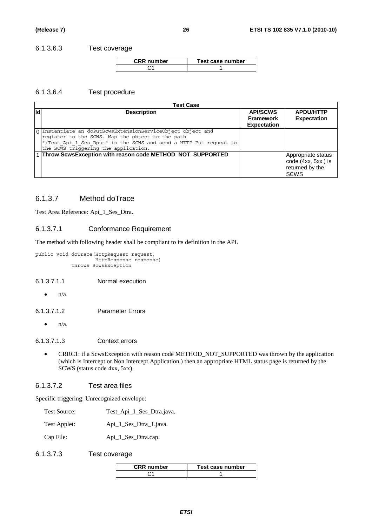#### 6.1.3.6.3 Test coverage

| <b>CRR</b> number | Test case number |
|-------------------|------------------|
|                   |                  |

#### 6.1.3.6.4 Test procedure

|            | <b>Test Case</b>                                                                                                                                                                                                             |                                                           |                                                                            |  |  |
|------------|------------------------------------------------------------------------------------------------------------------------------------------------------------------------------------------------------------------------------|-----------------------------------------------------------|----------------------------------------------------------------------------|--|--|
| <b>I</b> d | <b>Description</b>                                                                                                                                                                                                           | <b>API/SCWS</b><br><b>Framework</b><br><b>Expectation</b> | <b>APDU/HTTP</b><br><b>Expectation</b>                                     |  |  |
|            | O Instantiate an doPutScwsExtensionServiceObject object and<br>register to the SCWS. Map the object to the path<br>"/Test_Api_1_Ses_Dput" in the SCWS and send a HTTP Put request to<br>the SCWS triggering the application. |                                                           |                                                                            |  |  |
|            | 1 Throw ScwsException with reason code METHOD_NOT_SUPPORTED                                                                                                                                                                  |                                                           | Appropriate status<br>code (4xx, 5xx) is<br>returned by the<br><b>SCWS</b> |  |  |

#### 6.1.3.7 Method doTrace

Test Area Reference: Api\_1\_Ses\_Dtra.

#### 6.1.3.7.1 Conformance Requirement

The method with following header shall be compliant to its definition in the API.

```
public void doTrace(HttpRequest request, 
           HttpResponse response) 
  throws ScwsException
```
#### 6.1.3.7.1.1 Normal execution

 $\bullet$   $n/a$ .

#### 6.1.3.7.1.2 Parameter Errors

 $n/a$ .

#### 6.1.3.7.1.3 Context errors

• CRRC1: if a ScwsException with reason code METHOD\_NOT\_SUPPORTED was thrown by the application (which is Intercept or Non Intercept Application ) then an appropriate HTML status page is returned by the SCWS (status code 4xx, 5xx).

#### 6.1.3.7.2 Test area files

| Test Source: | Test_Api_1_Ses_Dtra.java. |
|--------------|---------------------------|
|--------------|---------------------------|

- Test Applet: Api\_1\_Ses\_Dtra\_1.java.
- Cap File: Api\_1\_Ses\_Dtra.cap.
- 6.1.3.7.3 Test coverage

| <b>CRR</b> number | Test case number |
|-------------------|------------------|
|                   |                  |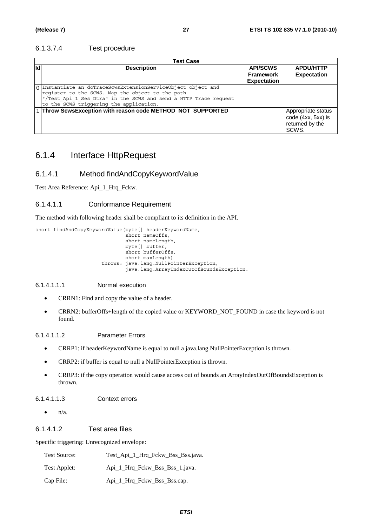#### 6.1.3.7.4 Test procedure

|     | <b>Test Case</b>                                                                                                                                                                                                                 |                                                           |                                                                      |  |  |
|-----|----------------------------------------------------------------------------------------------------------------------------------------------------------------------------------------------------------------------------------|-----------------------------------------------------------|----------------------------------------------------------------------|--|--|
| lld | <b>Description</b>                                                                                                                                                                                                               | <b>API/SCWS</b><br><b>Framework</b><br><b>Expectation</b> | <b>APDU/HTTP</b><br><b>Expectation</b>                               |  |  |
|     | 0 Instantiate an doTraceScwsExtensionServiceObject object and<br>register to the SCWS. Map the object to the path<br>"/Test Api 1 Ses Dtra" in the SCWS and send a HTTP Trace request<br>to the SCWS triggering the application. |                                                           |                                                                      |  |  |
|     | 1 Throw ScwsException with reason code METHOD_NOT_SUPPORTED                                                                                                                                                                      |                                                           | Appropriate status<br>code (4xx, 5xx) is<br>returned by the<br>SCWS. |  |  |

### 6.1.4 Interface HttpRequest

#### 6.1.4.1 Method findAndCopyKeywordValue

Test Area Reference: Api\_1\_Hrq\_Fckw.

#### 6.1.4.1.1 Conformance Requirement

The method with following header shall be compliant to its definition in the API.

short findAndCopyKeywordValue(byte[] headerKeywordName,  $short$  nameOffs, short nameLength, byte[] buffer, short bufferOffs, short maxLength) throws: java.lang.NullPointerException, java.lang.ArrayIndexOutOfBoundsException.

#### 6.1.4.1.1.1 Normal execution

- CRRN1: Find and copy the value of a header.
- CRRN2: bufferOffs+length of the copied value or KEYWORD\_NOT\_FOUND in case the keyword is not found.

#### 6.1.4.1.1.2 Parameter Errors

- CRRP1: if headerKeywordName is equal to null a java.lang.NullPointerException is thrown.
- CRRP2: if buffer is equal to null a NullPointerException is thrown.
- CRRP3: if the copy operation would cause access out of bounds an ArrayIndexOutOfBoundsException is thrown.

#### 6.1.4.1.1.3 Context errors

 $\bullet$   $n/a$ .

#### 6.1.4.1.2 Test area files

| <b>Test Source:</b> | Test_Api_1_Hrq_Fckw_Bss_Bss.java. |
|---------------------|-----------------------------------|
| Test Applet:        | Api 1 Hrq Fckw Bss Bss 1.java.    |
| Cap File:           | Api_1_Hrq_Fckw_Bss_Bss.cap.       |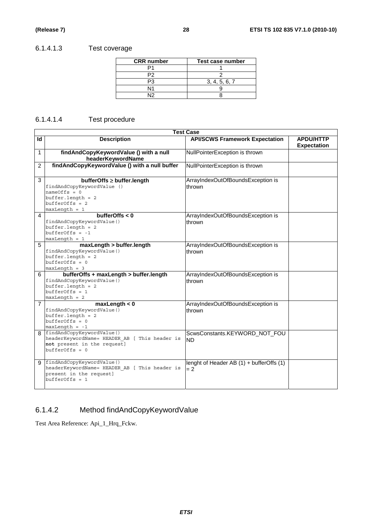### 6.1.4.1.3 Test coverage

| <b>CRR</b> number | Test case number |
|-------------------|------------------|
|                   |                  |
|                   |                  |
|                   | 3, 4, 5, 6, 7    |
| N1                |                  |
| N۱O               |                  |

### 6.1.4.1.4 Test procedure

|                | <b>Test Case</b>                                                                                                                         |                                                   |                                        |  |  |
|----------------|------------------------------------------------------------------------------------------------------------------------------------------|---------------------------------------------------|----------------------------------------|--|--|
| Id             | <b>Description</b>                                                                                                                       | <b>API/SCWS Framework Expectation</b>             | <b>APDU/HTTP</b><br><b>Expectation</b> |  |  |
| 1              | findAndCopyKeywordValue () with a null<br>headerKeywordName                                                                              | NullPointerException is thrown                    |                                        |  |  |
| 2              | findAndCopyKeywordValue () with a null buffer                                                                                            | NullPointerException is thrown                    |                                        |  |  |
| 3              | bufferOffs ≥ buffer.length<br>findAndCopyKeywordValue ()<br>$nameOffs = 0$<br>$buffer.length = 2$<br>$bufferOffs = 2$<br>$maxLength = 1$ | ArrayIndexOutOfBoundsException is<br>thrown       |                                        |  |  |
| $\overline{4}$ | bufferOffs $< 0$<br>findAndCopyKeywordValue()<br>$buffer.length = 2$<br>$bufferOffs = -1$<br>$maxLength = 1$                             | ArrayIndexOutOfBoundsException is<br>thrown       |                                        |  |  |
| 5              | maxLength > buffer.length<br>findAndCopyKeywordValue()<br>$buffer.length = 2$<br>$bufferOffs = 0$<br>$maxLength = 3$                     | ArrayIndexOutOfBoundsException is<br>thrown       |                                        |  |  |
| 6              | bufferOffs + maxLength > buffer.length<br>findAndCopyKeywordValue()<br>$buffer.length = 2$<br>$bufferOffs = 1$<br>$maxLength = 2$        | ArrayIndexOutOfBoundsException is<br>thrown       |                                        |  |  |
| $\overline{7}$ | maxLength < 0<br>findAndCopyKeywordValue()<br>$buffer.length = 2$<br>$bufferOffs = 0$<br>$maxLength = -1$                                | ArrayIndexOutOfBoundsException is<br>thrown       |                                        |  |  |
| 8              | findAndCopyKeywordValue()<br>headerKeywordName= HEADER AB [ This header is<br>not present in the request]<br>$bufferOffs = 0$            | ScwsConstants.KEYWORD_NOT_FOU<br><b>ND</b>        |                                        |  |  |
| Й              | findAndCopyKeywordValue()<br>headerKeywordName= HEADER AB [ This header is<br>present in the request]<br>$bufferOffs = 1$                | lenght of Header AB (1) + bufferOffs (1)<br>$= 2$ |                                        |  |  |

# 6.1.4.2 Method findAndCopyKeywordValue

Test Area Reference: Api\_1\_Hrq\_Fckw.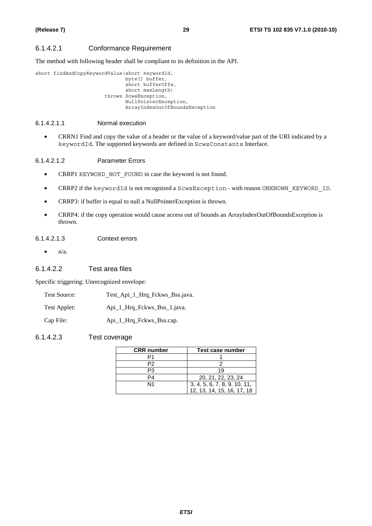#### 6.1.4.2.1 Conformance Requirement

The method with following header shall be compliant to its definition in the API.

```
short findAndCopyKeywordValue(short keywordId, 
                      byte[] buffer, 
                      short bufferOffs, 
                      short maxLength) 
               throws ScwsException, 
                      NullPointerException, 
                      ArrayIndexOutOfBoundsException
```
#### 6.1.4.2.1.1 Normal execution

• CRRN1 Find and copy the value of a header or the value of a keyword/value part of the URI indicated by a keywordId. The supported keywords are defined in ScwsConstants Interface.

#### 6.1.4.2.1.2 Parameter Errors

- CRRP1 KEYWORD NOT FOUND in case the keyword is not found.
- CRRP2 if the keywordId is not recognized a ScwsException with reason UNKNOWN KEYWORD ID.
- CRRP3: if buffer is equal to null a NullPointerException is thrown.
- CRRP4: if the copy operation would cause access out of bounds an ArrayIndexOutOfBoundsException is thrown.

#### 6.1.4.2.1.3 Context errors

 $\bullet$  n/a.

#### 6.1.4.2.2 Test area files

Specific triggering: Unrecognized envelope:

| <b>Test Source:</b> | Test_Api_1_Hrq_Fckws_Bss.java. |
|---------------------|--------------------------------|
| Test Applet:        | Api_1_Hrq_Fckws_Bss_1.java.    |

Cap File: Api\_1 Hrq\_Fckws\_Bss.cap.

#### 6.1.4.2.3 Test coverage

| <b>CRR</b> number | Test case number             |  |
|-------------------|------------------------------|--|
|                   |                              |  |
| P2                |                              |  |
| P3                | 19                           |  |
| P4                | 20, 21, 22, 23, 24           |  |
| N1                | 3, 4, 5, 6, 7, 8, 9, 10, 11, |  |
|                   | 12, 13, 14, 15, 16, 17, 18   |  |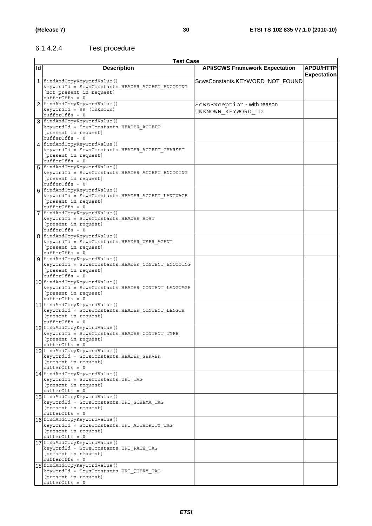### 6.1.4.2.4 Test procedure

|    | <b>Test Case</b>                                                                                                                |                                                   |                                        |  |
|----|---------------------------------------------------------------------------------------------------------------------------------|---------------------------------------------------|----------------------------------------|--|
| ld | <b>Description</b>                                                                                                              | <b>API/SCWS Framework Expectation</b>             | <b>APDU/HTTP</b><br><b>Expectation</b> |  |
|    | 1 findAndCopyKeywordValue()<br>keywordId = ScwsConstants.HEADER_ACCEPT_ENCODING<br>[not present in request]<br>$bufferOffs = 0$ | ScwsConstants.KEYWORD_NOT_FOUND                   |                                        |  |
|    | 2   findAndCopyKeywordValue()<br>keywordId = 99 (Unknown)<br>$bufferOffs = 0$                                                   | ScwsException - with reason<br>UNKNOWN KEYWORD ID |                                        |  |
|    | 3 findAndCopyKeywordValue()<br>keywordId = ScwsConstants.HEADER ACCEPT<br>[present in request]<br>$bufferOffs = 0$              |                                                   |                                        |  |
|    | 4 findAndCopyKeywordValue()<br>keywordId = ScwsConstants.HEADER ACCEPT CHARSET<br>[present in request]<br>$bufferOffs = 0$      |                                                   |                                        |  |
|    | 5 findAndCopyKeywordValue()<br>keywordId = ScwsConstants.HEADER ACCEPT ENCODING<br>[present in request]<br>$bufferOffs = 0$     |                                                   |                                        |  |
|    | 6 findAndCopyKeywordValue()<br>keywordId = ScwsConstants.HEADER ACCEPT LANGUAGE<br>[present in request]<br>$bufferOffs = 0$     |                                                   |                                        |  |
|    | 7 findAndCopyKeywordValue()<br>keywordId = ScwsConstants.HEADER HOST<br>[present in request]<br>$bufferOffs = 0$                |                                                   |                                        |  |
|    | 8 findAndCopyKeywordValue()<br>keywordId = ScwsConstants.HEADER_USER_AGENT<br>[present in request]<br>$bufferOffs = 0$          |                                                   |                                        |  |
|    | 9 findAndCopyKeywordValue()<br>keywordId = ScwsConstants.HEADER CONTENT ENCODING<br>[present in request]<br>$bufferOffs = 0$    |                                                   |                                        |  |
|    | 10 findAndCopyKeywordValue()<br>keywordId = ScwsConstants.HEADER_CONTENT_LANGUAGE<br>[present in request]<br>$bufferOffs = 0$   |                                                   |                                        |  |
|    | 11 findAndCopyKeywordValue()<br>keywordId = ScwsConstants.HEADER_CONTENT_LENGTH<br>[present in request]<br>$bufferOffs = 0$     |                                                   |                                        |  |
|    | 12 findAndCopyKeywordValue()<br>keywordId = ScwsConstants.HEADER CONTENT TYPE<br>[present in request]<br>$bufferOffs = 0$       |                                                   |                                        |  |
|    | 13 findAndCopyKeywordValue()<br>keywordId = ScwsConstants.HEADER SERVER<br>[present in request]<br>$bufferOffs = 0$             |                                                   |                                        |  |
|    | 14 findAndCopyKeywordValue()<br>keywordId = ScwsConstants.URI TAG<br>[present in request]<br>$bufferOffs = 0$                   |                                                   |                                        |  |
|    | 15 findAndCopyKeywordValue()<br>keywordId = ScwsConstants.URI SCHEMA TAG<br>[present in request]<br>$bufferOffs = 0$            |                                                   |                                        |  |
|    | 16 findAndCopyKeywordValue()<br>keywordId = ScwsConstants.URI AUTHORITY TAG<br>[present in request]<br>$bufferOffs = 0$         |                                                   |                                        |  |
|    | 17 findAndCopyKeywordValue()<br>keywordId = ScwsConstants.URI PATH TAG<br>[present in request]<br>$bufferOffs = 0$              |                                                   |                                        |  |
|    | 18 findAndCopyKeywordValue()<br>keywordId = ScwsConstants.URI QUERY TAG<br>[present in request]<br>bufferOffs = 0               |                                                   |                                        |  |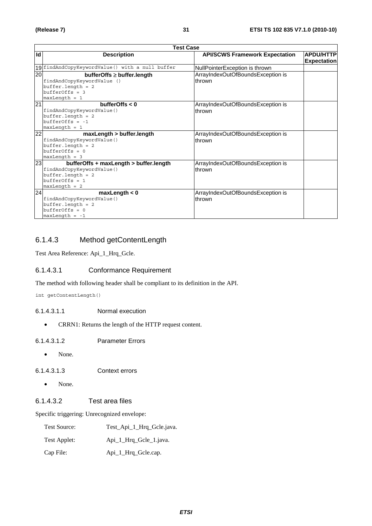|                 | <b>Test Case</b>                                                                                                                  |                                             |                                        |  |  |
|-----------------|-----------------------------------------------------------------------------------------------------------------------------------|---------------------------------------------|----------------------------------------|--|--|
| Id              | <b>Description</b>                                                                                                                | <b>API/SCWS Framework Expectation</b>       | <b>APDU/HTTP</b><br><b>Expectation</b> |  |  |
|                 | 19 findAndCopyKeywordValue() with a null buffer                                                                                   | NullPointerException is thrown              |                                        |  |  |
| $\overline{20}$ | $bufferOffs \geq buffer.length$<br>findAndCopyKeywordValue ()<br>$buffer.length = 2$<br>$bufferOffs = 3$<br>$maxLength = 1$       | ArrayIndexOutOfBoundsException is<br>thrown |                                        |  |  |
| 21              | bufferOffs $< 0$<br>findAndCopyKeywordValue()<br>$buffer.length = 2$<br>$bufferOffs = -1$<br>$maxLength = 1$                      | ArrayIndexOutOfBoundsException is<br>thrown |                                        |  |  |
| 22              | maxLength > buffer.length<br>findAndCopyKeywordValue()<br>$buffer.length = 2$<br>$bufferOffs = 0$<br>$maxLength = 3$              | ArrayIndexOutOfBoundsException is<br>thrown |                                        |  |  |
| 23              | bufferOffs + maxLength > buffer.length<br>findAndCopyKeywordValue()<br>$buffer.length = 2$<br>$bufferOffs = 1$<br>$maxLength = 2$ | ArrayIndexOutOfBoundsException is<br>thrown |                                        |  |  |
| 24              | maxLength < 0<br>findAndCopyKeywordValue()<br>$buffer.length = 2$<br>$bufferOffs = 0$<br>$maxLength = -1$                         | ArrayIndexOutOfBoundsException is<br>thrown |                                        |  |  |

### 6.1.4.3 Method getContentLength

Test Area Reference: Api\_1\_Hrq\_Gcle.

#### 6.1.4.3.1 Conformance Requirement

The method with following header shall be compliant to its definition in the API.

int getContentLength()

- 6.1.4.3.1.1 Normal execution
	- CRRN1: Returns the length of the HTTP request content.
- 6.1.4.3.1.2 Parameter Errors
	- None.
- 6.1.4.3.1.3 Context errors
	- None.

### 6.1.4.3.2 Test area files

| <b>Test Source:</b> | Test_Api_1_Hrq_Gcle.java. |
|---------------------|---------------------------|
| Test Applet:        | Api_1_Hrq_Gcle_1.java.    |
| Cap File:           | Api_1_Hrq_Gcle.cap.       |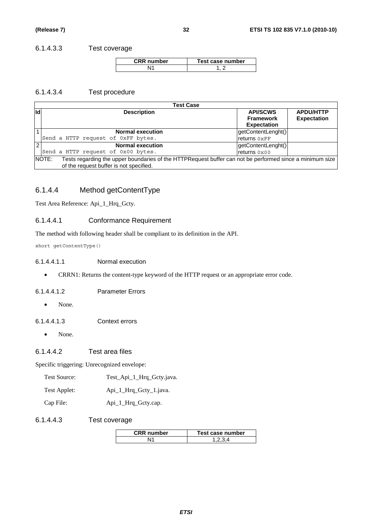#### 6.1.4.3.3 Test coverage

| <b>CRR</b> number | Test case number |
|-------------------|------------------|
|                   |                  |

#### 6.1.4.3.4 Test procedure

|                | <b>Test Case</b>                                                                                                  |                    |                    |  |  |  |
|----------------|-------------------------------------------------------------------------------------------------------------------|--------------------|--------------------|--|--|--|
| ld             | <b>Description</b>                                                                                                | <b>API/SCWS</b>    | <b>APDU/HTTP</b>   |  |  |  |
|                |                                                                                                                   | <b>Framework</b>   | <b>Expectation</b> |  |  |  |
|                |                                                                                                                   | <b>Expectation</b> |                    |  |  |  |
|                | <b>Normal execution</b>                                                                                           | getContentLenght() |                    |  |  |  |
|                | Send a HTTP request of 0xFF bytes.                                                                                | returns 0xFF       |                    |  |  |  |
| $\overline{2}$ | <b>Normal execution</b>                                                                                           | getContentLenght() |                    |  |  |  |
|                | Send a HTTP request of 0x00 bytes.                                                                                | returns 0x00       |                    |  |  |  |
|                | NOTE:<br>Tests regarding the upper boundaries of the HTTPRequest buffer can not be performed since a minimum size |                    |                    |  |  |  |
|                | of the request buffer is not specified.                                                                           |                    |                    |  |  |  |

### 6.1.4.4 Method getContentType

Test Area Reference: Api\_1\_Hrq\_Gcty.

#### 6.1.4.4.1 Conformance Requirement

The method with following header shall be compliant to its definition in the API.

short getContentType()

#### 6.1.4.4.1.1 Normal execution

• CRRN1: Returns the content-type keyword of the HTTP request or an appropriate error code.

#### 6.1.4.4.1.2 Parameter Errors

• None.

6.1.4.4.1.3 Context errors

• None.

#### 6.1.4.4.2 Test area files

Specific triggering: Unrecognized envelope:

| Test Source: |  |  |  |  |  | Test_Api_1_Hrq_Gcty.java. |
|--------------|--|--|--|--|--|---------------------------|
|--------------|--|--|--|--|--|---------------------------|

- Test Applet: Api\_1\_Hrq\_Gcty\_1.java.
- Cap File: Api\_1\_Hrq\_Gcty.cap.

#### 6.1.4.4.3 Test coverage

| <b>CRR</b> number | Test case number |
|-------------------|------------------|
|                   |                  |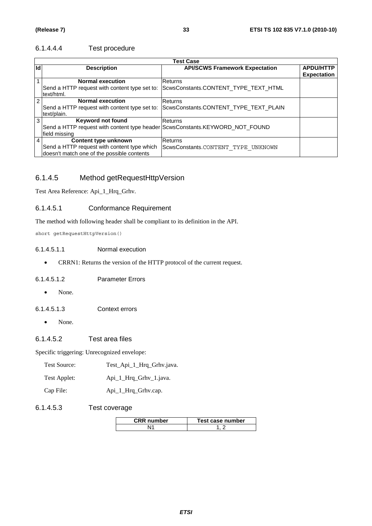#### 6.1.4.4.4 Test procedure

|    | <b>Test Case</b>                                                             |                                       |                                        |  |  |
|----|------------------------------------------------------------------------------|---------------------------------------|----------------------------------------|--|--|
| Id | <b>Description</b>                                                           | <b>API/SCWS Framework Expectation</b> | <b>APDU/HTTP</b><br><b>Expectation</b> |  |  |
|    | <b>Normal execution</b>                                                      | Returns                               |                                        |  |  |
|    | Send a HTTP request with content type set to:<br>text/html.                  | ScwsConstants.CONTENT_TYPE_TEXT_HTML  |                                        |  |  |
| 2  | <b>Normal execution</b>                                                      | <b>Returns</b>                        |                                        |  |  |
|    | Send a HTTP request with content type set to:                                | ScwsConstants.CONTENT_TYPE_TEXT_PLAIN |                                        |  |  |
|    | text/plain.                                                                  |                                       |                                        |  |  |
| 3  | <b>Keyword not found</b>                                                     | Returns                               |                                        |  |  |
|    | Send a HTTP request with content type header ScwsConstants.KEYWORD_NOT_FOUND |                                       |                                        |  |  |
|    | field missing                                                                |                                       |                                        |  |  |
| 4  | Content type unknown                                                         | <b>Returns</b>                        |                                        |  |  |
|    | Send a HTTP request with content type which                                  | ScwsConstants.CONTENT TYPE UNKNOWN    |                                        |  |  |
|    | doesn't match one of the possible contents                                   |                                       |                                        |  |  |

### 6.1.4.5 Method getRequestHttpVersion

Test Area Reference: Api\_1\_Hrq\_Grhv.

#### 6.1.4.5.1 Conformance Requirement

The method with following header shall be compliant to its definition in the API.

short getRequestHttpVersion()

#### 6.1.4.5.1.1 Normal execution

• CRRN1: Returns the version of the HTTP protocol of the current request.

#### 6.1.4.5.1.2 Parameter Errors

• None.

6.1.4.5.1.3 Context errors

- None.
- 6.1.4.5.2 Test area files

Specific triggering: Unrecognized envelope:

| Test Source: | Test_Api_1_Hrq_Grhv.java. |  |
|--------------|---------------------------|--|
|--------------|---------------------------|--|

| Test Applet: | Api_1_Hrq_Grhv_1.java. |
|--------------|------------------------|
|--------------|------------------------|

Cap File: Api\_1\_Hrq\_Grhv.cap.

#### 6.1.4.5.3 Test coverage

| <b>CRR</b> number | Test case number |
|-------------------|------------------|
|                   |                  |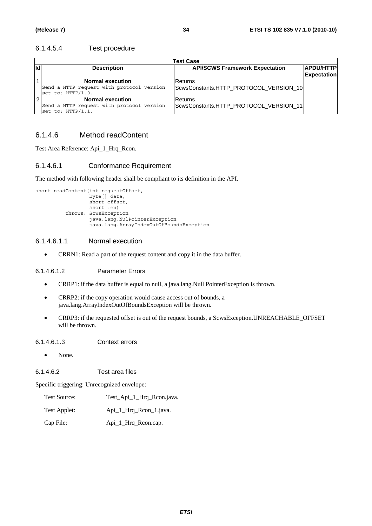#### 6.1.4.5.4 Test procedure

|     | <b>Test Case</b>                                                                                      |                                                   |  |  |  |  |
|-----|-------------------------------------------------------------------------------------------------------|---------------------------------------------------|--|--|--|--|
| lld | <b>APDU/HTTP</b><br><b>API/SCWS Framework Expectation</b><br><b>Description</b><br><b>Expectation</b> |                                                   |  |  |  |  |
|     | <b>Normal execution</b><br>Send a HTTP request with protocol version<br>set to: HTTP/1.0.             | Returns<br>ScwsConstants.HTTP_PROTOCOL_VERSION_10 |  |  |  |  |
|     | <b>Normal execution</b><br>Send a HTTP request with protocol version<br>set to: HTTP/1.1.             | Returns<br>ScwsConstants.HTTP_PROTOCOL_VERSION_11 |  |  |  |  |

#### 6.1.4.6 Method readContent

Test Area Reference: Api\_1\_Hrq\_Rcon.

#### 6.1.4.6.1 Conformance Requirement

The method with following header shall be compliant to its definition in the API.

```
short readContent(int requestOffset,
         byte[] data, 
         short offset, 
         short len) 
throws: ScwsException 
         java.lang.NulPointerException 
         java.lang.ArrayIndexOutOfBoundsException
```
#### 6.1.4.6.1.1 Normal execution

• CRRN1: Read a part of the request content and copy it in the data buffer.

6.1.4.6.1.2 Parameter Errors

- CRRP1: if the data buffer is equal to null, a java.lang.Null PointerException is thrown.
- CRRP2: if the copy operation would cause access out of bounds, a java.lang.ArrayIndexOutOfBoundsException will be thrown.
- CRRP3: if the requested offset is out of the request bounds, a ScwsException.UNREACHABLE\_OFFSET will be thrown.

6.1.4.6.1.3 Context errors

• None.

6.1.4.6.2 Test area files

Specific triggering: Unrecognized envelope:

Test Source: Test\_Api\_1\_Hrq\_Rcon.java.

- Test Applet: Api\_1\_Hrq\_Rcon\_1.java.
- Cap File: Api\_1\_Hrq\_Rcon.cap.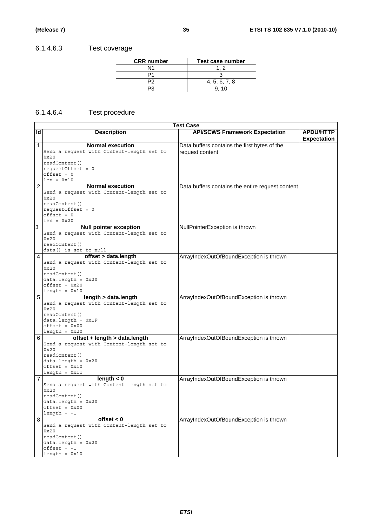# 6.1.4.6.3 Test coverage

| <b>CRR</b> number | Test case number |
|-------------------|------------------|
| N1                |                  |
|                   |                  |
|                   | 4, 5, 6, 7, 8    |
|                   |                  |

### 6.1.4.6.4 Test procedure

|                | Test Case                                 |                                                  |                    |  |  |
|----------------|-------------------------------------------|--------------------------------------------------|--------------------|--|--|
| Id             | <b>Description</b>                        | <b>API/SCWS Framework Expectation</b>            | <b>APDU/HTTP</b>   |  |  |
|                |                                           |                                                  | <b>Expectation</b> |  |  |
| $\mathbf{1}$   | <b>Normal execution</b>                   | Data buffers contains the first bytes of the     |                    |  |  |
|                | Send a request with Content-length set to | request content                                  |                    |  |  |
|                | 0x20                                      |                                                  |                    |  |  |
|                | readContent()                             |                                                  |                    |  |  |
|                | requestOffset = $0$                       |                                                  |                    |  |  |
|                | $offset = 0$                              |                                                  |                    |  |  |
|                | $len = 0x10$                              |                                                  |                    |  |  |
| $\overline{2}$ | <b>Normal execution</b>                   | Data buffers contains the entire request content |                    |  |  |
|                | Send a request with Content-length set to |                                                  |                    |  |  |
|                | 0x20                                      |                                                  |                    |  |  |
|                | readContent()                             |                                                  |                    |  |  |
|                | $requestOffset = 0$                       |                                                  |                    |  |  |
|                | $offset = 0$                              |                                                  |                    |  |  |
|                | $len = 0x20$                              |                                                  |                    |  |  |
| 3              | <b>Null pointer exception</b>             | NullPointerException is thrown                   |                    |  |  |
|                | Send a request with Content-length set to |                                                  |                    |  |  |
|                | 0x20                                      |                                                  |                    |  |  |
|                | readContent()                             |                                                  |                    |  |  |
|                | data[] is set to null                     |                                                  |                    |  |  |
| 4              | offset > data.length                      | ArrayIndexOutOfBoundException is thrown          |                    |  |  |
|                | Send a request with Content-length set to |                                                  |                    |  |  |
|                | 0x20                                      |                                                  |                    |  |  |
|                | readContent()                             |                                                  |                    |  |  |
|                | $data.length = 0x20$<br>$offset = 0x20$   |                                                  |                    |  |  |
|                | $length = 0x10$                           |                                                  |                    |  |  |
| 5              | length > data.length                      | ArrayIndexOutOfBoundException is thrown          |                    |  |  |
|                | Send a request with Content-length set to |                                                  |                    |  |  |
|                | 0x20                                      |                                                  |                    |  |  |
|                | readContent()                             |                                                  |                    |  |  |
|                | $data.length = 0x1F$                      |                                                  |                    |  |  |
|                | $offset = 0x00$                           |                                                  |                    |  |  |
|                | $length = 0x20$                           |                                                  |                    |  |  |
| 6              | offset + length > data.length             | ArrayIndexOutOfBoundException is thrown          |                    |  |  |
|                | Send a request with Content-length set to |                                                  |                    |  |  |
|                | 0x20                                      |                                                  |                    |  |  |
|                | readContent()                             |                                                  |                    |  |  |
|                | $data.length = 0x20$                      |                                                  |                    |  |  |
|                | $offset = 0x10$                           |                                                  |                    |  |  |
|                | $length = 0x11$                           |                                                  |                    |  |  |
| 7              | length $< 0$                              | ArrayIndexOutOfBoundException is thrown          |                    |  |  |
|                | Send a request with Content-length set to |                                                  |                    |  |  |
|                | 0x20                                      |                                                  |                    |  |  |
|                | readContent()                             |                                                  |                    |  |  |
|                | $data.length = 0x20$                      |                                                  |                    |  |  |
|                | $offset = 0x00$<br>$length = -1$          |                                                  |                    |  |  |
| 8              | offset $< 0$                              | ArrayIndexOutOfBoundException is thrown          |                    |  |  |
|                | Send a request with Content-length set to |                                                  |                    |  |  |
|                | 0x20                                      |                                                  |                    |  |  |
|                | readContent()                             |                                                  |                    |  |  |
|                | $data.length = 0x20$                      |                                                  |                    |  |  |
|                | $offset = -1$                             |                                                  |                    |  |  |
|                | $length = 0x10$                           |                                                  |                    |  |  |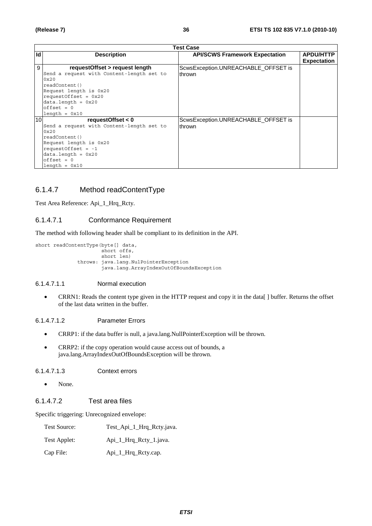| <b>Test Case</b> |                                           |                                       |                    |
|------------------|-------------------------------------------|---------------------------------------|--------------------|
| Id               | <b>Description</b>                        | <b>API/SCWS Framework Expectation</b> | <b>APDU/HTTP</b>   |
|                  |                                           |                                       | <b>Expectation</b> |
| 9                | requestOffset > request length            | ScwsException.UNREACHABLE_OFFSET is   |                    |
|                  | Send a request with Content-length set to | Ithrown                               |                    |
|                  | 0x20                                      |                                       |                    |
|                  | readContent()                             |                                       |                    |
|                  | Request length is 0x20                    |                                       |                    |
|                  | requestOffset = $0x20$                    |                                       |                    |
|                  | $data.length = 0x20$                      |                                       |                    |
|                  | $offset = 0$                              |                                       |                    |
|                  | $length = 0x10$                           |                                       |                    |
| 10               | requestOffset $< 0$                       | ScwsException.UNREACHABLE OFFSET is   |                    |
|                  | Send a request with Content-length set to | Ithrown                               |                    |
|                  | $0 \times 20$                             |                                       |                    |
|                  | readContent()                             |                                       |                    |
|                  | Request length is 0x20                    |                                       |                    |
|                  | requestOffset = $-1$                      |                                       |                    |
|                  | $data.length = 0x20$                      |                                       |                    |
|                  | $offset = 0$                              |                                       |                    |
|                  | $l$ ength = $0x10$                        |                                       |                    |

### 6.1.4.7 Method readContentType

Test Area Reference: Api\_1\_Hrq\_Rcty.

#### 6.1.4.7.1 Conformance Requirement

The method with following header shall be compliant to its definition in the API.

```
short readContentType(byte[] data, 
             short offs, 
             short len) 
     throws: java.lang.NulPointerException 
             java.lang.ArrayIndexOutOfBoundsException
```
#### 6.1.4.7.1.1 Normal execution

• CRRN1: Reads the content type given in the HTTP request and copy it in the data[ ] buffer. Returns the offset of the last data written in the buffer.

#### 6.1.4.7.1.2 Parameter Errors

- CRRP1: if the data buffer is null, a java.lang.NullPointerException will be thrown.
- CRRP2: if the copy operation would cause access out of bounds, a java.lang.ArrayIndexOutOfBoundsException will be thrown.

#### 6.1.4.7.1.3 Context errors

• None.

#### 6.1.4.7.2 Test area files

| <b>Test Source:</b> | Test_Api_1_Hrq_Rcty.java. |
|---------------------|---------------------------|
| Test Applet:        | Api_1_Hrq_Rcty_1.java.    |
| Cap File:           | Api_1_Hrq_Rcty.cap.       |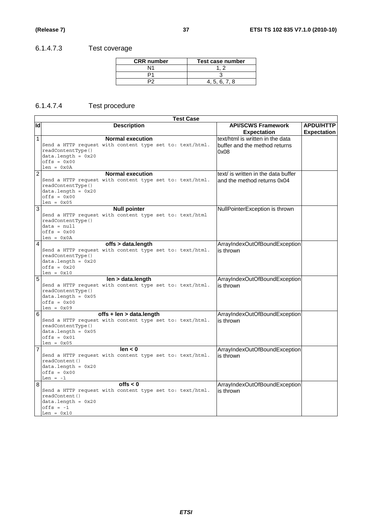# 6.1.4.7.3 Test coverage

| <b>CRR</b> number | Test case number |
|-------------------|------------------|
|                   |                  |
|                   |                  |
|                   | 4.5.6.7.8        |

# 6.1.4.7.4 Test procedure

|                | Test Case                                                                                                                                                            |                                                                           |                                        |  |
|----------------|----------------------------------------------------------------------------------------------------------------------------------------------------------------------|---------------------------------------------------------------------------|----------------------------------------|--|
| lр             | <b>Description</b>                                                                                                                                                   | <b>API/SCWS Framework</b><br><b>Expectation</b>                           | <b>APDU/HTTP</b><br><b>Expectation</b> |  |
| 1              | <b>Normal execution</b><br>Send a HTTP request with content type set to: text/html.<br>readContentType()<br>$data.length = 0x20$<br>$offset = 0x00$<br>$len = 0x0A$  | text/html is written in the data<br>buffer and the method returns<br>0x08 |                                        |  |
| $\overline{2}$ | <b>Normal execution</b><br>Send a HTTP request with content type set to: text/html.<br>readContentType()<br>$data.length = 0x20$<br>$offsets = 0x00$<br>$len = 0x05$ | text/ is written in the data buffer<br>and the method returns 0x04        |                                        |  |
| $\overline{3}$ | <b>Null pointer</b><br>Send a HTTP request with content type set to: text/html<br>readContentType()<br>$data = null$<br>$offsets = 0x00$<br>$len = 0x0A$             | NullPointerException is thrown                                            |                                        |  |
| $\overline{4}$ | offs > data.length<br>Send a HTTP request with content type set to: text/html.<br>readContentType()<br>$data.length = 0x20$<br>$offs = 0x20$<br>$len = 0x10$         | ArrayIndexOutOfBoundException<br>is thrown                                |                                        |  |
| 5              | len > data.length<br>Send a HTTP request with content type set to: text/html.<br>readContentType()<br>$data.length = 0x05$<br>$offset = 0x00$<br>$len = 0x09$        | ArrayIndexOutOfBoundException<br>is thrown                                |                                        |  |
| 6              | offs + len > data.length<br>Send a HTTP request with content type set to: text/html.<br>readContentType()<br>$data.length = 0x05$<br>$offset = 0x01$<br>$len = 0x05$ | ArrayIndexOutOfBoundException<br>is thrown                                |                                        |  |
| 7              | len < 0<br>Send a HTTP request with content type set to: text/html.<br>readContent()<br>$data.length = 0x20$<br>$offset = 0x00$<br>Len = $-1$                        | ArrayIndexOutOfBoundException<br>is thrown                                |                                        |  |
| 8              | offs $< 0$<br>Send a HTTP request with content type set to: text/html.<br>readContent()<br>$data.length = 0x20$<br>$offs = -1$<br>Len = $0x10$                       | ArrayIndexOutOfBoundException<br>is thrown                                |                                        |  |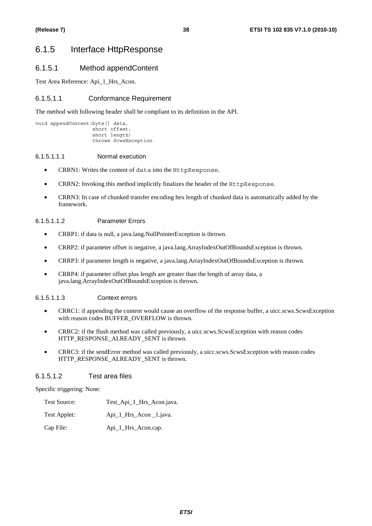# 6.1.5 Interface HttpResponse

# 6.1.5.1 Method appendContent

Test Area Reference: Api\_1\_Hrs\_Acon.

# 6.1.5.1.1 Conformance Requirement

The method with following header shall be compliant to its definition in the API.

```
void appendContent(byte[] data, 
          short offset, 
          short length) 
          throws ScwsException
```
#### 6.1.5.1.1.1 Normal execution

- CRRN1: Writes the content of data into the HttpResponse.
- CRRN2: Invoking this method implicitly finalizes the header of the HttpResponse.
- CRRN3: In case of chunked transfer encoding hex length of chunked data is automatically added by the framework.

### 6.1.5.1.1.2 Parameter Errors

- CRRP1: if data is null, a java.lang.NullPointerException is thrown.
- CRRP2: if parameter offset is negative, a java.lang.ArrayIndexOutOfBoundsException is thrown.
- CRRP3: if parameter length is negative, a java.lang.ArrayIndexOutOfBoundsException is thrown.
- CRRP4: if parameter offset plus length are greater than the length of array data, a java.lang.ArrayIndexOutOfBoundsException is thrown.

### 6.1.5.1.1.3 Context errors

- CRRC1: if appending the content would cause an overflow of the response buffer, a uicc.scws.ScwsException with reason codes BUFFER\_OVERFLOW is thrown.
- CRRC2: if the flush method was called previously, a uicc.scws.ScwsException with reason codes HTTP\_RESPONSE\_ALREADY\_SENT is thrown.
- CRRC3: if the sendError method was called previously, a uicc.scws.ScwsException with reason codes HTTP\_RESPONSE\_ALREADY\_SENT is thrown.

### 6.1.5.1.2 Test area files

Specific triggering: None:

- Test Source: Test\_Api\_1\_Hrs\_Acon.java.
- Test Applet: Api\_1\_Hrs\_Acon \_1.java.

Cap File: Api 1 Hrs Acon.cap.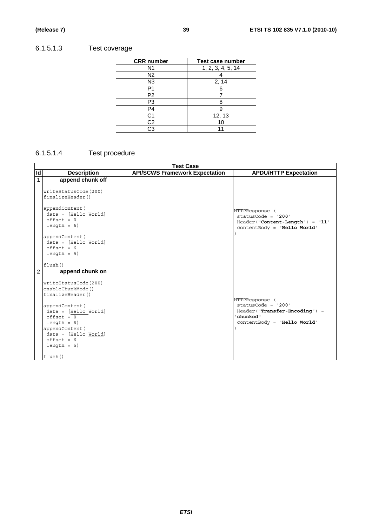# 6.1.5.1.3 Test coverage

| <b>CRR</b> number | <b>Test case number</b> |
|-------------------|-------------------------|
| N <sub>1</sub>    | 1, 2, 3, 4, 5, 14       |
| N <sub>2</sub>    |                         |
| N <sub>3</sub>    | 2, 14                   |
| P1                |                         |
| P2                |                         |
| P3                |                         |
| P <sub>4</sub>    |                         |
| C1                | 12, 13                  |
| $\overline{C2}$   | 10                      |
| CЗ                |                         |

# 6.1.5.1.4 Test procedure

|    | <b>Test Case</b>                                                                                                                                                                                                                                      |                                       |                                                                                                                       |
|----|-------------------------------------------------------------------------------------------------------------------------------------------------------------------------------------------------------------------------------------------------------|---------------------------------------|-----------------------------------------------------------------------------------------------------------------------|
| Id | <b>Description</b>                                                                                                                                                                                                                                    | <b>API/SCWS Framework Expectation</b> | <b>APDU/HTTP Expectation</b>                                                                                          |
| 1  | append chunk off<br>writeStatusCode(200)<br>finalizeHeader()                                                                                                                                                                                          |                                       |                                                                                                                       |
|    | appendContent (<br>$data = [Hello World]$<br>$offset = 0$<br>$length = 6$                                                                                                                                                                             |                                       | HTTPResponse (<br>statusCode = $"200"$<br>Header("Content-Length") = "11"<br>contentBody = "Hello World"              |
|    | appendContent (<br>data = [Hello World]<br>$offset = 6$<br>$length = 5$                                                                                                                                                                               |                                       |                                                                                                                       |
|    | flush()                                                                                                                                                                                                                                               |                                       |                                                                                                                       |
| 2  | append chunk on<br>writeStatusCode(200)<br>enableChunkMode()<br>finalizeHeader()<br>appendContent (<br>$data = [Hello World]$<br>$offset = 0$<br>$length = 6$<br>appendContent (<br>$data = [Hello World]$<br>$offset = 6$<br>$length = 5$<br>flush() |                                       | HTTPResponse (<br>statusCode = $"200"$<br>Header("Transfer-Encoding") =<br>"chunked"<br>$contentBody = "Hello World"$ |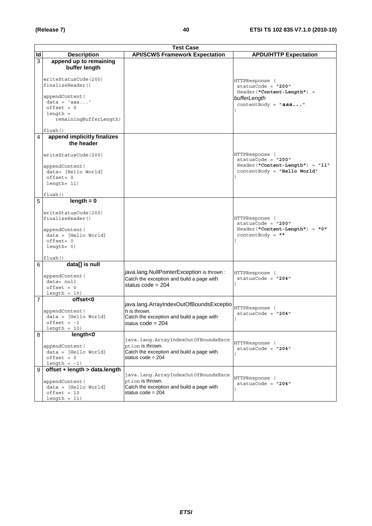|    | <b>Test Case</b>                                                                                             |                                                                                                                             |                                                                                                        |
|----|--------------------------------------------------------------------------------------------------------------|-----------------------------------------------------------------------------------------------------------------------------|--------------------------------------------------------------------------------------------------------|
| Id | <b>Description</b>                                                                                           | <b>API/SCWS Framework Expectation</b>                                                                                       | <b>APDU/HTTP Expectation</b>                                                                           |
| 3  | append up to remaining<br>buffer length                                                                      |                                                                                                                             |                                                                                                        |
|    | writeStatusCode(200)<br>finalizeHeader()                                                                     |                                                                                                                             | HTTPResponse (<br>$statusCode = "200"$                                                                 |
|    | appendContent (<br>$data = 'aaa'$<br>$offset = 0$<br>$length =$                                              |                                                                                                                             | Header("Content-Length") =<br>bufferLength<br>contentBody = "aaa"                                      |
|    | remainingBufferLength)<br>flush()                                                                            |                                                                                                                             |                                                                                                        |
| 4  | append implicitly finalizes<br>the header                                                                    |                                                                                                                             |                                                                                                        |
|    | writeStatusCode(200)<br>appendContent (<br>data= [Hello World]<br>$offset = 0$<br>$l$ ength= $11)$           |                                                                                                                             | HTTPResponse (<br>statusCode = "200"<br>Header("Content-Length") = "11"<br>contentBody = "Hello World" |
|    | flush()                                                                                                      |                                                                                                                             |                                                                                                        |
| 5  | $length = 0$                                                                                                 |                                                                                                                             |                                                                                                        |
|    | writeStatusCode(200)<br>finalizeHeader()                                                                     |                                                                                                                             | HTTPResponse (<br>$statusCode = "200"$                                                                 |
|    | appendContent (<br>$data = [Hello World]$<br>offset= 0<br>$length = 0)$                                      |                                                                                                                             | Header ("Content-Length") = "0"<br>$contentBody = " "$                                                 |
|    | flush()                                                                                                      |                                                                                                                             |                                                                                                        |
| 6  | data[] is null<br>appendContent (<br>data= null<br>$offset = 0$<br>$length = 10$                             | java.lang.NullPointerException is thrown :<br>Catch the exception and build a page with<br>status code = $204$              | HTTPResponse (<br>statusCode = $"204"$                                                                 |
| 7  | offset<0                                                                                                     |                                                                                                                             |                                                                                                        |
|    | appendContent (<br>$data = [Hello World]$<br>$offset = -1$<br>$length = 10$                                  | java.lang.ArrayIndexOutOfBoundsExceptio<br>n is thrown.<br>Catch the exception and build a page with<br>status code = 204   | HTTPResponse (<br>statusCode = $"204"$                                                                 |
| 8  | length<0                                                                                                     |                                                                                                                             |                                                                                                        |
|    | appendContent (<br>$data = [Hello World]$<br>$offset = 0$<br>length $= -1$ )                                 | java.lang.ArrayIndexOutOfBoundsExce<br>ption is thrown.<br>Catch the exception and build a page with<br>status $code = 204$ | HTTPResponse (<br>$statusCode = "204"$                                                                 |
| 9  | offset + length > data.length<br>appendContent (<br>$data = [Hello World]$<br>$offset = 10$<br>$length = 11$ | java.lang.ArrayIndexOutOfBoundsExce<br>ption is thrown.<br>Catch the exception and build a page with<br>status $code = 204$ | HTTPResponse (<br>$statusCode = "204"$                                                                 |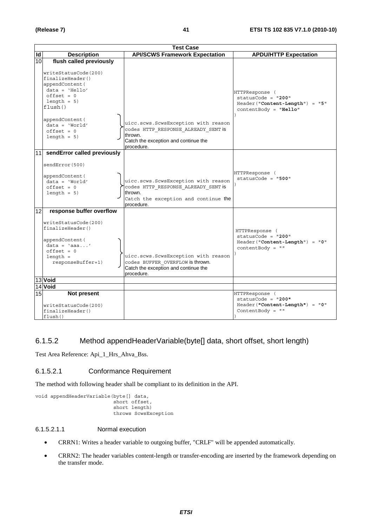|                 | <b>Test Case</b>                                                                                                                 |                                                                                                                                             |                                                                                                     |
|-----------------|----------------------------------------------------------------------------------------------------------------------------------|---------------------------------------------------------------------------------------------------------------------------------------------|-----------------------------------------------------------------------------------------------------|
| <b>Id</b>       | <b>Description</b>                                                                                                               | <b>API/SCWS Framework Expectation</b>                                                                                                       | <b>APDU/HTTP Expectation</b>                                                                        |
| 10              | flush called previously                                                                                                          |                                                                                                                                             |                                                                                                     |
|                 | writeStatusCode(200)<br>finalizeHeader()<br>appendContent (<br>$data = 'Hello'$<br>$offset = 0$<br>$length = 5$<br>flush()       |                                                                                                                                             | HTTPResponse (<br>$statusCode = "200"$<br>Header("Content-Length") = "5"<br>$contentBody = "Hello"$ |
|                 | appendContent (<br>$data = 'World'$<br>$offset = 0$<br>$length = 5$                                                              | uicc.scws.ScwsException with reason<br>codes HTTP RESPONSE ALREADY SENT is<br>thrown.<br>Catch the exception and continue the<br>procedure. |                                                                                                     |
|                 | 11 sendError called previously                                                                                                   |                                                                                                                                             |                                                                                                     |
|                 | sendError(500)<br>appendContent (<br>$data = 'World'$<br>$offset = 0$<br>$length = 5$                                            | uicc.scws.ScwsException with reason<br>codes HTTP RESPONSE ALREADY SENT is<br>thrown.<br>Catch the exception and continue the               | HTTPResponse (<br>$statusCode = "500"$                                                              |
| 12              | response buffer overflow                                                                                                         | procedure.                                                                                                                                  |                                                                                                     |
|                 | writeStatusCode(200)<br>finalizeHeader()<br>appendContent (<br>$data = 'aaa'$<br>$offset = 0$<br>$length =$<br>responseBuffer+1) | uicc.scws.ScwsException with reason<br>codes BUFFER OVERFLOW is thrown.<br>Catch the exception and continue the<br>procedure.               | HTTPResponse (<br>$statusCode = "200"$<br>Header("Content-Length") = "0"<br>contentBody = $""$      |
|                 | 13 Void                                                                                                                          |                                                                                                                                             |                                                                                                     |
|                 | 14 Void                                                                                                                          |                                                                                                                                             |                                                                                                     |
| 15 <sub>l</sub> | Not present<br>writeStatusCode(200)<br>finalizeHeader()                                                                          |                                                                                                                                             | HTTPResponse (<br>$statusCode = "200"$<br>Header("Content-Length") = "0"<br>ContentBody = $" "$     |
|                 | flush()                                                                                                                          |                                                                                                                                             |                                                                                                     |

# 6.1.5.2 Method appendHeaderVariable(byte[] data, short offset, short length)

Test Area Reference: Api\_1\_Hrs\_Ahva\_Bss.

### 6.1.5.2.1 Conformance Requirement

The method with following header shall be compliant to its definition in the API.

```
void appendHeaderVariable(byte[] data, 
                  short offset, 
                  short length) 
                  throws ScwsException
```
#### 6.1.5.2.1.1 Normal execution

- CRRN1: Writes a header variable to outgoing buffer, "CRLF" will be appended automatically.
- CRRN2: The header variables content-length or transfer-encoding are inserted by the framework depending on the transfer mode.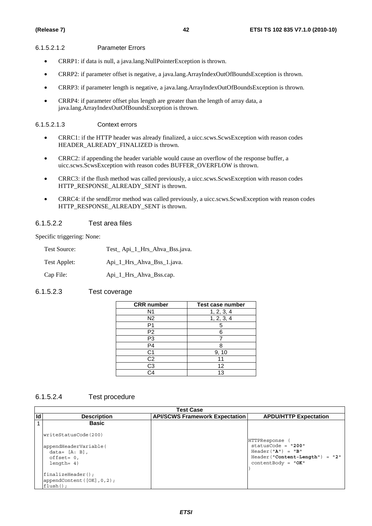#### 6.1.5.2.1.2 Parameter Errors

- CRRP1: if data is null, a java.lang.NullPointerException is thrown.
- CRRP2: if parameter offset is negative, a java.lang.ArrayIndexOutOfBoundsException is thrown.
- CRRP3: if parameter length is negative, a java.lang.ArrayIndexOutOfBoundsException is thrown.
- CRRP4: if parameter offset plus length are greater than the length of array data, a java.lang.ArrayIndexOutOfBoundsException is thrown.

#### 6.1.5.2.1.3 Context errors

- CRRC1: if the HTTP header was already finalized, a uicc.scws.ScwsException with reason codes HEADER\_ALREADY\_FINALIZED is thrown.
- CRRC2: if appending the header variable would cause an overflow of the response buffer, a uicc.scws.ScwsException with reason codes BUFFER\_OVERFLOW is thrown.
- CRRC3: if the flush method was called previously, a uicc.scws.ScwsException with reason codes HTTP\_RESPONSE\_ALREADY\_SENT is thrown.
- CRRC4: if the sendError method was called previously, a uicc.scws.ScwsException with reason codes HTTP\_RESPONSE\_ALREADY\_SENT is thrown.

### 6.1.5.2.2 Test area files

Specific triggering: None:

| Test Source: | Test_Api_1_Hrs_Ahva_Bss.java. |
|--------------|-------------------------------|
| Test Applet: | Api 1 Hrs Ahva Bss 1.java.    |
| Cap File:    | Api_1_Hrs_Ahva_Bss.cap.       |

# 6.1.5.2.3 Test coverage

| <b>CRR</b> number | <b>Test case number</b> |
|-------------------|-------------------------|
| N1                | 1, 2, 3, 4              |
| N2                | 1, 2, 3, 4              |
| P1                |                         |
| P <sub>2</sub>    |                         |
| P3                |                         |
| $\overline{P4}$   | ឧ                       |
| C1                | 9, 10                   |
| C <sub>2</sub>    |                         |
| $\overline{C3}$   | 12                      |
| $\hat{A}$         | 13                      |

### 6.1.5.2.4 Test procedure

|    | Test Case                                                                   |                                       |                                                                                                                           |  |
|----|-----------------------------------------------------------------------------|---------------------------------------|---------------------------------------------------------------------------------------------------------------------------|--|
| Id | <b>Description</b>                                                          | <b>API/SCWS Framework Expectation</b> | <b>APDU/HTTP Expectation</b>                                                                                              |  |
|    | <b>Basic</b>                                                                |                                       |                                                                                                                           |  |
|    | writeStatusCode(200)                                                        |                                       |                                                                                                                           |  |
|    | appendHeaderVariable(<br>data= $[A; B]$ ,<br>$offset = 0,$<br>$l$ ength= 4) |                                       | HTTPResponse (<br>$statusCode = "200"$<br>$Header("A") = "B"$<br>$Header('Content-Length") = "2"$<br>$contentBody = "OK"$ |  |
|    | $finalizeHeader()$ ;<br>appendContent $([OK], 0, 2)$ ;<br>$flush()$ ;       |                                       |                                                                                                                           |  |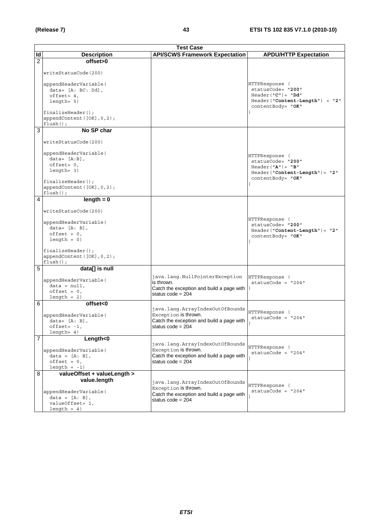|                | <b>Test Case</b>                                                                                                                                                                            |                                                                                                                             |                                                                                                                      |
|----------------|---------------------------------------------------------------------------------------------------------------------------------------------------------------------------------------------|-----------------------------------------------------------------------------------------------------------------------------|----------------------------------------------------------------------------------------------------------------------|
| Id             | <b>Description</b>                                                                                                                                                                          | <b>API/SCWS Framework Expectation</b>                                                                                       | <b>APDU/HTTP Expectation</b>                                                                                         |
| $\overline{2}$ | offset>0<br>writeStatusCode(200)<br>appendHeaderVariable(<br>$data = [A: BC: Dd],$<br>$offset = 4,$<br>$l$ ength= $5)$<br>$finalizeHeader()$ ;<br>appendContent([OK], 0, 2);<br>$flush()$ ; |                                                                                                                             | HTTPResponse (<br>statusCode= "200"<br>$Header('C") = "Dd"$<br>$Header("Content-Length") = "2"$<br>contentBody= "OK" |
| 3              | No SP char                                                                                                                                                                                  |                                                                                                                             |                                                                                                                      |
|                | writeStatusCode(200)<br>appendHeaderVariable(<br>$data = [A:B],$<br>$offset = 0,$<br>$l$ enqth= 3)<br>$finalizeHeader()$ ;<br>appendContent([OK], 0, 2);<br>$flush()$ ;                     |                                                                                                                             | HTTPResponse (<br>statusCode= "200"<br>$Header('A") = "B"$<br>$Header('Content-Length") = "2"$<br>contentBody= "OK"  |
| 4              | $length = 0$                                                                                                                                                                                |                                                                                                                             |                                                                                                                      |
|                | writeStatusCode(200)<br>appendHeaderVariable(<br>$data = [A: B],$<br>$offset = 0,$<br>$length = 0)$<br>$finalizeHeader()$ ;<br>appendContent([OK], 0, 2);<br>$flush()$ ;                    |                                                                                                                             | HTTPResponse (<br>statusCode= "200"<br>$Header('Content-Length") = "2"$<br>contentBody= "OK"                         |
| 5              | data[] is null                                                                                                                                                                              |                                                                                                                             |                                                                                                                      |
|                | appendHeaderVariable(<br>$data = null,$<br>$offset = 0,$<br>$length = 2)$                                                                                                                   | java.lang.NullPointerException<br>is thrown.<br>Catch the exception and build a page with  )<br>status code = $204$         | HTTPResponse (<br>statusCode = $"204"$                                                                               |
| 6              | offset<0                                                                                                                                                                                    | java.lang.ArrayIndexOutOfBounds                                                                                             |                                                                                                                      |
|                | appendHeaderVariable(<br>$data = [A: B],$<br>$offset = -1$ ,<br>$l$ enqth= 4)                                                                                                               | Exception <b>is thrown.</b><br>Catch the exception and build a page with<br>status $code = 204$                             | HTTPResponse (<br>$statusCode = "204"$                                                                               |
| $\overline{7}$ | $L$ ength $<$ 0                                                                                                                                                                             | java.lang.ArrayIndexOutOfBounds                                                                                             |                                                                                                                      |
|                | appendHeaderVariable(<br>$data = [A: B],$<br>$offset = 0,$<br>length $= -1$ )                                                                                                               | Exception is thrown.<br>Catch the exception and build a page with<br>status code = 204                                      | HTTPResponse (<br>$statusCode = "204"$                                                                               |
| 8              | valueOffset + valueLength >                                                                                                                                                                 |                                                                                                                             |                                                                                                                      |
|                | value.length<br>appendHeaderVariable(<br>$data = [A: B],$<br>valueOffset= 1,<br>$length = 4)$                                                                                               | java.lang.ArrayIndexOutOfBounds<br>Exception is thrown.<br>Catch the exception and build a page with<br>status code = $204$ | HTTPResponse (<br>$statusCode = "204"$                                                                               |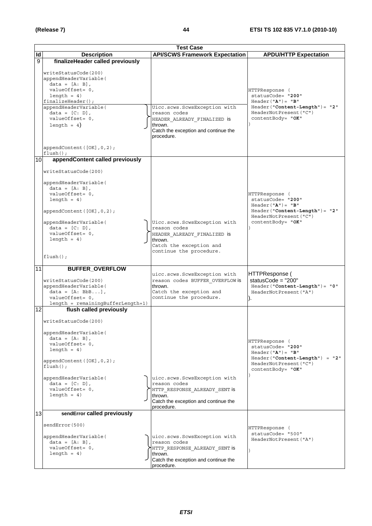|                          | <b>Test Case</b>                                                                                                                                                                                                                                                                                 |                                                                                                                                                |                                                                                                                                                           |
|--------------------------|--------------------------------------------------------------------------------------------------------------------------------------------------------------------------------------------------------------------------------------------------------------------------------------------------|------------------------------------------------------------------------------------------------------------------------------------------------|-----------------------------------------------------------------------------------------------------------------------------------------------------------|
| $\overline{\mathsf{Id}}$ | <b>Description</b>                                                                                                                                                                                                                                                                               | <b>API/SCWS Framework Expectation</b>                                                                                                          | <b>APDU/HTTP Expectation</b>                                                                                                                              |
| 9                        | finalizeHeader called previously<br>writeStatusCode(200)<br>appendHeaderVariable(<br>$data = [A: B],$<br>valueOffset= 0,<br>$length = 4)$<br>$finalizeHeader()$ ;<br>appendHeaderVariable(<br>$data = [C: D],$<br>valueOffset= 0,<br>length = $4$ )<br>appendContent([OK], 0, 2);<br>$flush()$ ; | Uicc.scws.ScwsException with<br>reason codes<br>HEADER ALREADY FINALIZED is<br>thrown.<br>Catch the exception and continue the<br>procedure.   | HTTPResponse (<br>statusCode= "200"<br>$Header("A") = "B"$<br>$\texttt{Header('{}"Content-Length") = "2"}$<br>HeaderNotPresent ("C")<br>contentBody= "OK" |
| 10                       | appendContent called previously<br>writeStatusCode(200)<br>appendHeaderVariable(<br>$data = [A: B],$<br>valueOffset= 0,<br>length = $4)$<br>appendContent([OK], 0, 2);<br>appendHeaderVariable(<br>$data = [C: D],$<br>valueOffset= 0,<br>length = $4)$<br>$flush()$ ;                           | Uicc.scws.ScwsException with<br>reason codes<br>HEADER ALREADY FINALIZED is<br>thrown.<br>Catch the exception and<br>continue the procedure.   | HTTPResponse (<br>statusCode= "200"<br>$Header("A") = "B"$<br>$Header('Content-Length") = "2"$<br>HeaderNotPresent ("C")<br>contentBody= "OK"             |
| 11                       | <b>BUFFER_OVERFLOW</b><br>writeStatusCode(200)<br>appendHeaderVariable(<br>$data = [A: BbB],$<br>valueOffset= 0,<br>length = remainingBufferLength+1)                                                                                                                                            | uicc.scws.ScwsException with<br>reason codes BUFFER OVERFLOW is<br>thrown.<br>Catch the exception and<br>continue the procedure.               | HTTPResponse (<br>statusCode = $"200"$<br>Header("Content-Length")= "0"<br>HeaderNotPresent ("A")                                                         |
| 12                       | flush called previously<br>writeStatusCode(200)<br>appendHeaderVariable(<br>$data = [A: B],$<br>valueOffset= 0,<br>length = $4)$<br>appendContent([OK], 0, 2);<br>$flush()$ ;<br>appendHeaderVariable(<br>$data = [C: D],$<br>valueOffset= 0,<br>length = $4)$                                   | uicc.scws.ScwsException with<br>reason codes<br>HTTP_RESPONSE_ALREADY_SENT is<br>thrown.<br>Catch the exception and continue the<br>procedure. | HTTPResponse (<br>statusCode= "200"<br>$Header("A") = "B"$<br>Header ("Content-Length") = "2"<br>HeaderNotPresent ("C")<br>contentBody= "OK"              |
| 13                       | sendError called previously<br>sendError (500)<br>appendHeaderVariable(<br>data = $[A: B]$ ,<br>valueOffset= 0,<br>length = $4)$                                                                                                                                                                 | uicc.scws.ScwsException with<br>reason codes<br>HTTP RESPONSE ALREADY SENT is<br>thrown.<br>Catch the exception and continue the<br>procedure. | HTTPResponse (<br>statusCode= "500"<br>HeaderNotPresent ("A")                                                                                             |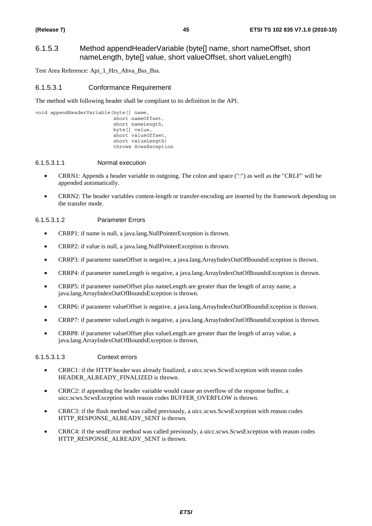# 6.1.5.3 Method appendHeaderVariable (byte[] name, short nameOffset, short nameLength, byte[] value, short valueOffset, short valueLength)

Test Area Reference: Api\_1\_Hrs\_Ahva\_Bss\_Bss.

#### 6.1.5.3.1 Conformance Requirement

The method with following header shall be compliant to its definition in the API.

```
void appendHeaderVariable(byte[] name, 
                  short nameOffset, 
                  short nameLength, 
                  byte[] value, 
                 short valueOffset,
                  short valueLength) 
                  throws ScwsException
```
#### 6.1.5.3.1.1 Normal execution

- CRRN1: Appends a header variable to outgoing. The colon and space (":") as well as the "CRLF" will be appended automatically.
- CRRN2: The header variables content-length or transfer-encoding are inserted by the framework depending on the transfer mode.

#### 6.1.5.3.1.2 Parameter Errors

- CRRP1: if name is null, a java.lang.NullPointerException is thrown.
- CRRP2: if value is null, a java.lang.NullPointerException is thrown.
- CRRP3: if parameter nameOffset is negative, a java.lang.ArrayIndexOutOfBoundsException is thrown.
- CRRP4: if parameter nameLength is negative, a java.lang.ArrayIndexOutOfBoundsException is thrown.
- CRRP5: if parameter nameOffset plus nameLength are greater than the length of array name, a java.lang.ArrayIndexOutOfBoundsException is thrown.
- CRRP6: if parameter valueOffset is negative, a java.lang.ArrayIndexOutOfBoundsException is thrown.
- CRRP7: if parameter valueLength is negative, a java.lang.ArrayIndexOutOfBoundsException is thrown.
- CRRP8: if parameter valueOffset plus valueLength are greater than the length of array value, a java.lang.ArrayIndexOutOfBoundsException is thrown.

#### 6.1.5.3.1.3 Context errors

- CRRC1: if the HTTP header was already finalized, a uicc.scws.ScwsException with reason codes HEADER\_ALREADY\_FINALIZED is thrown.
- CRRC2: if appending the header variable would cause an overflow of the response buffer, a uicc.scws.ScwsException with reason codes BUFFER\_OVERFLOW is thrown.
- CRRC3: if the flush method was called previously, a uicc.scws.ScwsException with reason codes HTTP\_RESPONSE\_ALREADY\_SENT is thrown.
- CRRC4: if the sendError method was called previously, a uicc.scws.ScwsException with reason codes HTTP\_RESPONSE\_ALREADY\_SENT is thrown.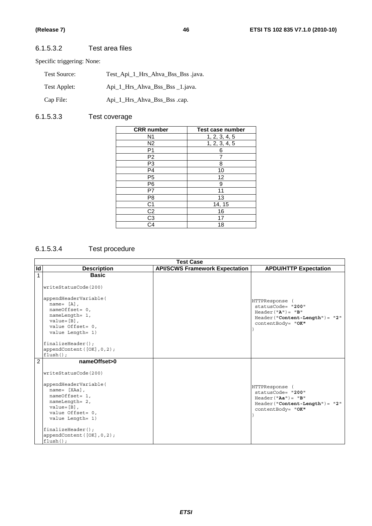# 6.1.5.3.2 Test area files

Specific triggering: None:

| Test Source: | Test_Api_1_Hrs_Ahva_Bss_Bss .java. |
|--------------|------------------------------------|
| Test Applet: | Api 1 Hrs Ahva Bss Bss 1. java.    |
| Cap File:    | Api_1_Hrs_Ahva_Bss_Bss .cap.       |

# 6.1.5.3.3 Test coverage

| <b>CRR</b> number      | Test case number |
|------------------------|------------------|
| N <sub>1</sub>         | 1, 2, 3, 4, 5    |
| N <sub>2</sub>         | 1, 2, 3, 4, 5    |
| P1                     | 6                |
| P <sub>2</sub>         |                  |
| P3                     | 8                |
| P4                     | 10               |
| P <sub>5</sub>         | 12               |
| P <sub>6</sub>         | 9                |
| P7                     | 11               |
| P8                     | 13               |
| C <sub>1</sub>         | 14, 15           |
| C <sub>2</sub>         | 16               |
| C <sub>3</sub>         | 17               |
| $\overline{\text{C4}}$ | 18               |

# 6.1.5.3.4 Test procedure

|                | <b>Test Case</b>                                                                                                                                                                                                                                          |                                       |                                                                                                                          |  |
|----------------|-----------------------------------------------------------------------------------------------------------------------------------------------------------------------------------------------------------------------------------------------------------|---------------------------------------|--------------------------------------------------------------------------------------------------------------------------|--|
| Id             | <b>Description</b>                                                                                                                                                                                                                                        | <b>API/SCWS Framework Expectation</b> | <b>APDU/HTTP Expectation</b>                                                                                             |  |
| 1              | <b>Basic</b><br>writeStatusCode(200)                                                                                                                                                                                                                      |                                       |                                                                                                                          |  |
|                | appendHeaderVariable(<br>$name = [A]$ ,<br>$nameOffset = 0$ ,<br>nameLength= 1,<br>$value = [B]$ ,<br>value Offset= $0,$<br>value Length= 1)                                                                                                              |                                       | <b>HTTPResponse</b><br>statusCode= "200"<br>$Header("A") = "B"$<br>$Header('Content-Length") = "2"$<br>contentBody= "OK" |  |
|                | $finalizeHeader()$ ;<br>appendContent $([OK], 0, 2)$ ;<br>$flush()$ ;                                                                                                                                                                                     |                                       |                                                                                                                          |  |
| $\overline{2}$ | nameOffset>0<br>writeStatusCode(200)<br>appendHeaderVariable(<br>$name = [XAa]$ ,<br>nameOffset= 1,<br>nameLength= 2,<br>$value = [B]$ ,<br>value Offset= 0,<br>value Length= 1)<br>$finalizeHeader()$ ;<br>appendContent $([OK], 0, 2)$ ;<br>$flush()$ ; |                                       | HTTPResponse<br>statusCode= "200"<br>$Header('Aa") = "B"$<br>$Header('Content-Length") = "2"$<br>contentBody= "OK"       |  |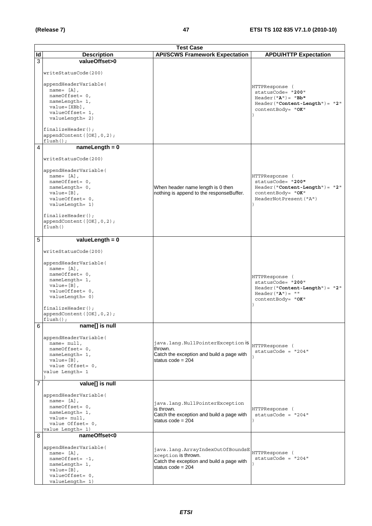|                | <b>Test Case</b>                                                  |                                           |                                     |
|----------------|-------------------------------------------------------------------|-------------------------------------------|-------------------------------------|
| ld             | <b>Description</b>                                                | <b>API/SCWS Framework Expectation</b>     | <b>APDU/HTTP Expectation</b>        |
| 3              | valueOffset>0                                                     |                                           |                                     |
|                | writeStatusCode(200)                                              |                                           |                                     |
|                | appendHeaderVariable(                                             |                                           |                                     |
|                | $name = [A]$ .                                                    |                                           | HTTPResponse (<br>statusCode= "200" |
|                | nameOffset= 0,                                                    |                                           | $Header('A") = "Bb"$                |
|                | nameLength= 1,                                                    |                                           | $Header("Content-Length") = "2"$    |
|                | $value=[XBB]$ ,                                                   |                                           | contentBody= "OK"                   |
|                | valueOffset= 1,<br>valueLength= 2)                                |                                           |                                     |
|                | $finalizeHeader()$ ;<br>appendContent([OK], 0, 2);<br>$flush()$ ; |                                           |                                     |
| 4              | $nameLength = 0$                                                  |                                           |                                     |
|                |                                                                   |                                           |                                     |
|                | writeStatusCode(200)                                              |                                           |                                     |
|                | appendHeaderVariable(                                             |                                           |                                     |
|                | name= $[A]$ ,<br>nameOffset= 0,                                   |                                           | HTTPResponse (<br>statusCode= "200" |
|                | nameLength= 0,                                                    | When header name length is 0 then         | $Header('Content-Length") = "2"$    |
|                | $value = [B]$ ,                                                   | nothing is append to the responseBuffer.  | contentBody= "OK"                   |
|                | valueOffset= 0,                                                   |                                           | HeaderNotPresent ("A")              |
|                | valueLength= 1)                                                   |                                           |                                     |
|                |                                                                   |                                           |                                     |
|                | $finalizeHeader()$ ;<br>appendContent([OK], 0, 2);<br>flush()     |                                           |                                     |
| 5              | valueLength = $0$                                                 |                                           |                                     |
|                | writeStatusCode(200)                                              |                                           |                                     |
|                | appendHeaderVariable(                                             |                                           |                                     |
|                | $name = [A],$                                                     |                                           |                                     |
|                | nameOffset= 0,                                                    |                                           |                                     |
|                | nameLength= 1,                                                    |                                           | HTTPResponse (<br>statusCode= "200" |
|                | $value = [B]$ ,                                                   |                                           | $Header("Content-Length") = "2"$    |
|                | valueOffset= 0,                                                   |                                           | $Header("A") = ""$                  |
|                | valueLength= 0)                                                   |                                           | contentBody= "OK"                   |
|                | $finalizeHeader()$ ;                                              |                                           |                                     |
|                | appendContent([OK], 0, 2);                                        |                                           |                                     |
|                | $flush()$ ;                                                       |                                           |                                     |
| 6              | name[] is null                                                    |                                           |                                     |
|                | appendHeaderVariable(                                             |                                           |                                     |
|                | $name = null$ ,                                                   | java.lang.NullPointerException is         | HTTPResponse (                      |
|                | nameOffset= 0,                                                    | thrown.                                   | $statusCode = "204"$                |
|                | nameLength= 1,                                                    | Catch the exception and build a page with |                                     |
|                | $value = [B]$ ,<br>value Offset= 0,                               | status code = $204$                       |                                     |
|                | value Length= 1                                                   |                                           |                                     |
|                |                                                                   |                                           |                                     |
| $\overline{7}$ | value[] is null                                                   |                                           |                                     |
|                | appendHeaderVariable(                                             |                                           |                                     |
|                | name= $[A]$ ,                                                     | java.lang.NullPointerException            |                                     |
|                | nameOffset= 0,                                                    | is thrown.                                | HTTPResponse (                      |
|                | nameLength= 1,                                                    | Catch the exception and build a page with | $statusCode = "204"$                |
|                | value= null,                                                      | status code = $204$                       |                                     |
|                | value Offset= 0,<br>value Length= 1)                              |                                           |                                     |
| 8              | nameOffset<0                                                      |                                           |                                     |
|                |                                                                   |                                           |                                     |
|                | appendHeaderVariable(<br>$name = [A],$                            | java.lang.ArrayIndexOutOfBoundsE          | HTTPResponse (                      |
|                | $nameOffset = -1$ ,                                               | xception is thrown.                       | $statusCode = "204"$                |
|                | nameLength= 1,                                                    | Catch the exception and build a page with |                                     |
|                | $value = [B]$ ,                                                   | status code = $204$                       |                                     |
|                | valueOffset= 0,                                                   |                                           |                                     |
|                | valueLength= 1)                                                   |                                           |                                     |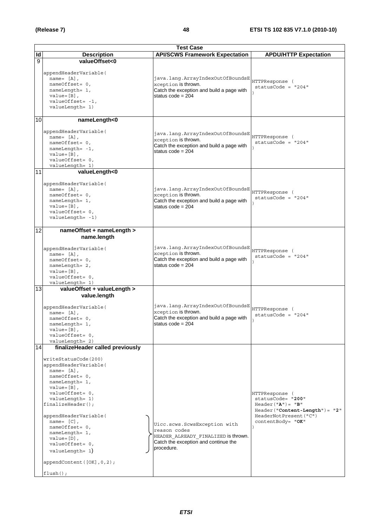|                          | <b>Test Case</b>                                                                                                                                                                                                                                                                                                                                                                                                |                                                                                                                                           |                                                                                                                                               |  |
|--------------------------|-----------------------------------------------------------------------------------------------------------------------------------------------------------------------------------------------------------------------------------------------------------------------------------------------------------------------------------------------------------------------------------------------------------------|-------------------------------------------------------------------------------------------------------------------------------------------|-----------------------------------------------------------------------------------------------------------------------------------------------|--|
| $\overline{\mathsf{Id}}$ | <b>Description</b>                                                                                                                                                                                                                                                                                                                                                                                              | <b>API/SCWS Framework Expectation</b>                                                                                                     | <b>APDU/HTTP Expectation</b>                                                                                                                  |  |
| 9                        | valueOffset<0<br>appendHeaderVariable(<br>$name = [A],$<br>nameOffset= 0,<br>nameLength= 1,<br>$value = [B]$ ,<br>$valueOffset = -1,$<br>valueLength= 1)                                                                                                                                                                                                                                                        | java.lang.ArrayIndexOutOfBoundsE<br>xception is thrown.<br>Catch the exception and build a page with<br>status code = $204$               | HTTPResponse (<br>$statusCode = "204"$                                                                                                        |  |
| 10                       | nameLength<0<br>appendHeaderVariable(<br>name= $[A]$ ,<br>$nameOffset = 0$ ,<br>$nameLength = -1$ ,<br>$value = [B]$ ,<br>valueOffset= 0,<br>valueLength= 1)                                                                                                                                                                                                                                                    | java.lang.ArrayIndexOutOfBoundsE<br>xception is thrown.<br>Catch the exception and build a page with<br>status $code = 204$               | HTTPResponse (<br>$statusCode = "204"$                                                                                                        |  |
| 11                       | valueLength<0<br>appendHeaderVariable(<br>name= $[A]$ ,<br>nameOffset= 0,<br>nameLength= 1,<br>$value = [B]$ ,<br>valueOffset= 0,<br>$valueLength = -1)$                                                                                                                                                                                                                                                        | java.lang.ArrayIndexOutOfBoundsE<br>xception is thrown.<br>Catch the exception and build a page with<br>status $code = 204$               | HTTPResponse (<br>statusCode = $"204"$                                                                                                        |  |
| 12                       | nameOffset + nameLength ><br>name.length<br>appendHeaderVariable(<br>$name = [A],$<br>nameOffset= 0,<br>nameLength= 2,<br>$value = [B]$ ,<br>valueOffset= 0,<br>valueLength= 1)                                                                                                                                                                                                                                 | java.lang.ArrayIndexOutOfBoundsE<br>xception is thrown.<br>Catch the exception and build a page with<br>status $code = 204$               | HTTPResponse (<br>$statusCode = "204"$                                                                                                        |  |
| 13                       | valueOffset + valueLength ><br>value.length<br>appendHeaderVariable(<br>$name = [A],$<br>$nameOffset = 0$ ,<br>nameLength= 1,<br>$value = [B]$ ,<br>valueOffset= 0,<br>valueLength= 2)                                                                                                                                                                                                                          | java.lang.ArrayIndexOutOfBoundsE<br>xception is thrown.<br>Catch the exception and build a page with<br>status $code = 204$               | HTTPResponse (<br>$statusCode = "204"$                                                                                                        |  |
| 14                       | finalizeHeader called previously<br>writeStatusCode(200)<br>appendHeaderVariable(<br>$name = [A]$ ,<br>nameOffset= 0,<br>nameLength= 1,<br>$value = [B]$ ,<br>valueOffset= 0,<br>valueLength= 1)<br>$finalizeHeader()$ ;<br>appendHeaderVariable(<br>name= $[C]$ ,<br>nameOffset= 0,<br>nameLength= 1,<br>$value = [D]$ ,<br>valueOffset= 0,<br>$valueLength = 1)$<br>appendContent([OK], 0, 2);<br>$flush()$ ; | Uicc.scws.ScwsException with<br>reason codes<br>HEADER ALREADY FINALIZED is thrown.<br>Catch the exception and continue the<br>procedure. | HTTPResponse (<br>statusCode= "200"<br>$Header("A") = "B"$<br>$Header('Content-Length') = "2"$<br>HeaderNotPresent ("C")<br>contentBody= "OK" |  |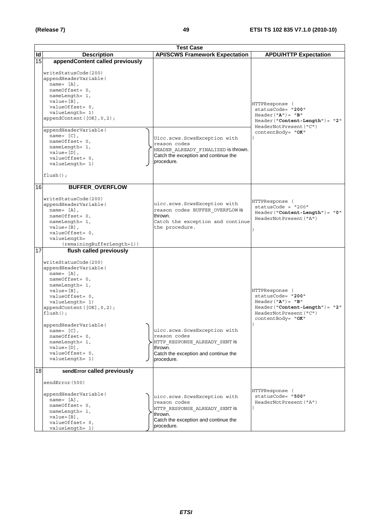|    | <b>Test Case</b>                                                                                                                                                                                                                                                                                                                                                               |  |                                                                                                                                                |                                                                                                                                               |
|----|--------------------------------------------------------------------------------------------------------------------------------------------------------------------------------------------------------------------------------------------------------------------------------------------------------------------------------------------------------------------------------|--|------------------------------------------------------------------------------------------------------------------------------------------------|-----------------------------------------------------------------------------------------------------------------------------------------------|
| Id | <b>Description</b>                                                                                                                                                                                                                                                                                                                                                             |  | <b>API/SCWS Framework Expectation</b>                                                                                                          | <b>APDU/HTTP Expectation</b>                                                                                                                  |
| 15 | appendContent called previously                                                                                                                                                                                                                                                                                                                                                |  |                                                                                                                                                |                                                                                                                                               |
|    | writeStatusCode(200)<br>appendHeaderVariable(<br>name= $[A]$ ,<br>nameOffset= 0,<br>nameLength= 1,<br>$value = [B]$ ,<br>valueOffset= 0,<br>valueLength= 1)<br>appendContent([OK], 0, 2);<br>appendHeaderVariable(<br>name= $[C]$ ,<br>nameOffset= 0,<br>nameLength= 1,<br>$value = [D]$ ,<br>valueOffset= 0,<br>valueLength= 1)                                               |  | Uicc.scws.ScwsException with<br>reason codes<br>HEADER ALREADY FINALIZED is thrown.<br>Catch the exception and continue the<br>procedure.      | HTTPResponse (<br>statusCode= "200"<br>$Header("A") = "B"$<br>$Header('Content-Length") = "2"$<br>HeaderNotPresent ("C")<br>contentBody= "OK" |
|    | $flush()$ ;                                                                                                                                                                                                                                                                                                                                                                    |  |                                                                                                                                                |                                                                                                                                               |
|    |                                                                                                                                                                                                                                                                                                                                                                                |  |                                                                                                                                                |                                                                                                                                               |
| 16 | <b>BUFFER_OVERFLOW</b><br>writeStatusCode(200)<br>appendHeaderVariable(<br>name= $[A]$ ,<br>nameOffset= 0,<br>nameLength= 1,<br>$value = [B]$ ,<br>valueOffset= 0,<br>valueLength=<br>(remainingBufferLength+1))                                                                                                                                                               |  | uicc.scws.ScwsException with<br>reason codes BUFFER OVERFLOW is<br>thrown.<br>Catch the exception and continue<br>the procedure.               | HTTPResponse (<br>statusCode = "200"<br>$Header("Content-Length") = "0"$<br>HeaderNotPresent ("A")                                            |
| 17 | flush called previously<br>writeStatusCode(200)<br>appendHeaderVariable(<br>$name = [A],$<br>nameOffset= 0,<br>nameLength= 1,<br>$value = [B]$ ,<br>valueOffset= 0,<br>valueLength= 1)<br>appendContent([OK], 0, 2);<br>$flush()$ ;<br>appendHeaderVariable(<br>name= $[C]$ ,<br>$nameOffset = 0$ ,<br>nameLength= 1,<br>$value = [D]$ ,<br>valueOffset= 0,<br>valueLength= 1) |  | uicc.scws.ScwsException with<br>reason codes<br>HTTP RESPONSE ALREADY SENT is<br>thrown.<br>Catch the exception and continue the<br>procedure. | HTTPResponse (<br>statusCode= "200"<br>$Header("A") = "B"$<br>$Header('Content-Length") = "2"$<br>HeaderNotPresent ("C")<br>contentBody= "OK" |
| 18 | sendError called previously<br>sendError (500)<br>appendHeaderVariable(<br>name= $[A]$ ,<br>nameOffset= 0,<br>nameLength= 1,<br>$value = [B]$ ,<br>valueOffset= 0,<br>valueLength= 1)                                                                                                                                                                                          |  | uicc.scws.ScwsException with<br>reason codes<br>HTTP RESPONSE ALREADY SENT is<br>thrown.<br>Catch the exception and continue the<br>procedure. | HTTPResponse (<br>statusCode= "500"<br>HeaderNotPresent ("A")                                                                                 |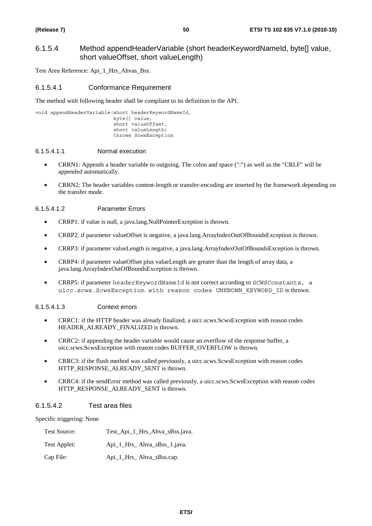# 6.1.5.4 Method appendHeaderVariable (short headerKeywordNameId, byte[] value, short valueOffset, short valueLength)

Test Area Reference: Api\_1\_Hrs\_Ahvas\_Bss.

#### 6.1.5.4.1 Conformance Requirement

The method with following header shall be compliant to its definition in the API.

void appendHeaderVariable(short headerKeywordNameId, byte[] value, short valueOffset, short valueLength) throws ScwsException

#### 6.1.5.4.1.1 Normal execution

- CRRN1: Appends a header variable to outgoing. The colon and space (":") as well as the "CRLF" will be appended automatically.
- CRRN2: The header variables content-length or transfer-encoding are inserted by the framework depending on the transfer mode.

#### 6.1.5.4.1.2 Parameter Errors

- CRRP1: if value is null, a java.lang.NullPointerException is thrown.
- CRRP2: if parameter valueOffset is negative, a java.lang.ArrayIndexOutOfBoundsException is thrown.
- CRRP3: if parameter valueLength is negative, a java.lang.ArrayIndexOutOfBoundsException is thrown.
- CRRP4: if parameter valueOffset plus valueLength are greater than the length of array data, a java.lang.ArrayIndexOutOfBoundsException is thrown.
- CRRP5: if parameter headerKeywordNameId is not correct according to SCWSConstants, a uicc.scws.ScwsException with reason codes UNKNOWN\_KEYWORD\_ID is thrown.

#### 6.1.5.4.1.3 Context errors

- CRRC1: if the HTTP header was already finalized, a uicc.scws.ScwsException with reason codes HEADER\_ALREADY\_FINALIZED is thrown.
- CRRC2: if appending the header variable would cause an overflow of the response buffer, a uicc.scws.ScwsException with reason codes BUFFER\_OVERFLOW is thrown.
- CRRC3: if the flush method was called previously, a uicc.scws.ScwsException with reason codes HTTP\_RESPONSE\_ALREADY\_SENT is thrown.
- CRRC4: if the sendError method was called previously, a uicc.scws.ScwsException with reason codes HTTP\_RESPONSE\_ALREADY\_SENT is thrown.

#### 6.1.5.4.2 Test area files

Specific triggering: None

| Test Source: | Test_Api_1_Hrs_Ahva_sBss.java. |
|--------------|--------------------------------|
| Test Applet: | Api_1_Hrs_Ahva_sBss_1.java.    |
| Cap File:    | Api_1_Hrs_Ahva_sBss.cap.       |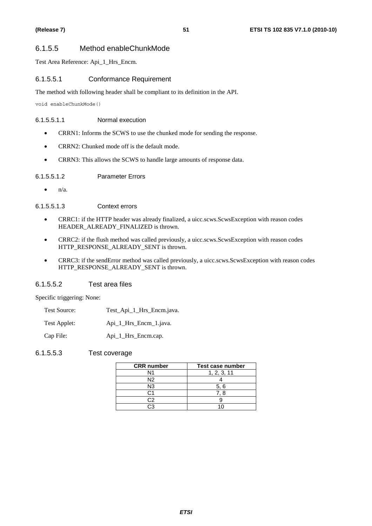# 6.1.5.5 Method enableChunkMode

Test Area Reference: Api\_1\_Hrs\_Encm.

# 6.1.5.5.1 Conformance Requirement

The method with following header shall be compliant to its definition in the API.

void enableChunkMode()

#### 6.1.5.5.1.1 Normal execution

- CRRN1: Informs the SCWS to use the chunked mode for sending the response.
- CRRN2: Chunked mode off is the default mode.
- CRRN3: This allows the SCWS to handle large amounts of response data.

#### 6.1.5.5.1.2 Parameter Errors

 $\bullet$   $n/a$ .

6.1.5.5.1.3 Context errors

- CRRC1: if the HTTP header was already finalized, a uicc.scws.ScwsException with reason codes HEADER\_ALREADY\_FINALIZED is thrown.
- CRRC2: if the flush method was called previously, a uicc.scws.ScwsException with reason codes HTTP\_RESPONSE\_ALREADY\_SENT is thrown.
- CRRC3: if the sendError method was called previously, a uicc.scws.ScwsException with reason codes HTTP\_RESPONSE\_ALREADY\_SENT is thrown.

#### 6.1.5.5.2 Test area files

Specific triggering: None:

- Test Source: Test\_Api\_1\_Hrs\_Encm.java.
- Test Applet: Api\_1\_Hrs\_Encm\_1.java.
- Cap File: Api\_1\_Hrs\_Encm.cap.
- 6.1.5.5.3 Test coverage

| <b>CRR</b> number | Test case number |
|-------------------|------------------|
| N1                | 1, 2, 3, 11      |
| N2                |                  |
| N3                | 5.6              |
| ى:                | ี. 8             |
|                   |                  |
|                   |                  |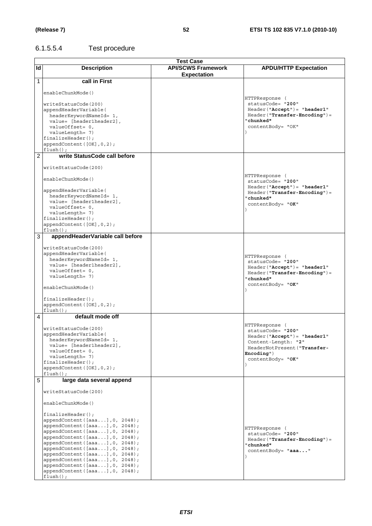# 6.1.5.5.4 Test procedure

|                |                                                                  | <b>Test Case</b>                                |                                                                   |
|----------------|------------------------------------------------------------------|-------------------------------------------------|-------------------------------------------------------------------|
| <b>Id</b>      | <b>Description</b>                                               | <b>API/SCWS Framework</b><br><b>Expectation</b> | <b>APDU/HTTP Expectation</b>                                      |
| 1              | call in First                                                    |                                                 |                                                                   |
|                | enableChunkMode()                                                |                                                 | HTTPResponse (                                                    |
|                | writeStatusCode(200)                                             |                                                 | statusCode= "200"                                                 |
|                | appendHeaderVariable(                                            |                                                 | $Header('Accept") = "header1"$                                    |
|                | headerKeywordNameId= 1,                                          |                                                 | Header("Transfer-Encoding")=<br>"chunked"                         |
|                | value= [header1header2],<br>$valueOffset = 0,$                   |                                                 | contentBody= "OK"                                                 |
|                | valueLength= 7)                                                  |                                                 |                                                                   |
|                | $finalizeHeader()$ ;                                             |                                                 |                                                                   |
|                | appendContent ([OK], 0, 2);<br>$flush()$ ;                       |                                                 |                                                                   |
| $\overline{c}$ | write StatusCode call before                                     |                                                 |                                                                   |
|                | writeStatusCode(200)                                             |                                                 |                                                                   |
|                | enableChunkMode()                                                |                                                 | HTTPResponse (<br>statusCode= "200"                               |
|                | appendHeaderVariable(                                            |                                                 | $Header('Accept") = "header1"$<br>$Header("Transfer-Encoding") =$ |
|                | headerKeywordNameId= 1,                                          |                                                 | "chunked"                                                         |
|                | value= [header1header2],<br>valueOffset= 0,                      |                                                 | contentBody= "OK"                                                 |
|                | valueLength= 7)                                                  |                                                 |                                                                   |
|                | $finalizeHeader()$ ;                                             |                                                 |                                                                   |
|                | appendContent ([OK], 0, 2);<br>$flush()$ ;                       |                                                 |                                                                   |
| 3              | appendHeaderVariable call before                                 |                                                 |                                                                   |
|                | writeStatusCode(200)                                             |                                                 |                                                                   |
|                | appendHeaderVariable(<br>headerKeywordNameId= 1,                 |                                                 | HTTPResponse (                                                    |
|                | value= [header1header2],                                         |                                                 | statusCode= "200"<br>Header ("Accept") = "header1"                |
|                | valueOffset= 0,                                                  |                                                 | $Header("Transfer-Encoding") =$                                   |
|                | valueLength= 7)                                                  |                                                 | "chunked"                                                         |
|                | enableChunkMode()                                                |                                                 | contentBody= "OK"                                                 |
|                | $finalizeHeader()$ ;                                             |                                                 |                                                                   |
|                | appendContent ([OK], 0, 2);<br>$flush()$ ;                       |                                                 |                                                                   |
| 4              | default mode off                                                 |                                                 |                                                                   |
|                |                                                                  |                                                 | HTTPResponse (                                                    |
|                | writeStatusCode(200)                                             |                                                 | statusCode= "200"                                                 |
|                | appendHeaderVariable(<br>headerKeywordNameld= 1,                 |                                                 | $Header('Accept") = "header1"$                                    |
|                | value= [header1header2],                                         |                                                 | Content-Length: "2"<br>HeaderNotPresent ("Transfer-               |
|                | valueOffset= 0,                                                  |                                                 | Encoding")                                                        |
|                | valueLength= 7)<br>$finalizeHeader()$ ;                          |                                                 | contentBody= "OK"                                                 |
|                | appendContent ([OK], 0, 2);<br>$flush()$ ;                       |                                                 |                                                                   |
| 5              | large data several append                                        |                                                 |                                                                   |
|                | writeStatusCode(200)                                             |                                                 |                                                                   |
|                | enableChunkMode()                                                |                                                 |                                                                   |
|                | $finalizeHeader()$ ;                                             |                                                 |                                                                   |
|                | appendContent ([aaa], 0, 2048);                                  |                                                 |                                                                   |
|                | appendContent([aaa], 0, 2048);                                   |                                                 | HTTPResponse (                                                    |
|                | appendContent([aaa], 0, 2048);<br>appendContent([aaa], 0, 2048); |                                                 | statusCode= "200"                                                 |
|                | appendContent ([aaa], 0, 2048);                                  |                                                 | $Header("Transfer-Encoding") =$                                   |
|                | appendContent([aaa], 0, 2048);                                   |                                                 | "chunked <b>"</b><br>contentBody= "aaa"                           |
|                | appendContent([aaa], 0, 2048);                                   |                                                 |                                                                   |
|                | appendContent([aaa], 0, 2048);<br>appendContent([aaa], 0, 2048); |                                                 |                                                                   |
|                | appendContent([aaa], 0, 2048);                                   |                                                 |                                                                   |
|                | $flush()$ ;                                                      |                                                 |                                                                   |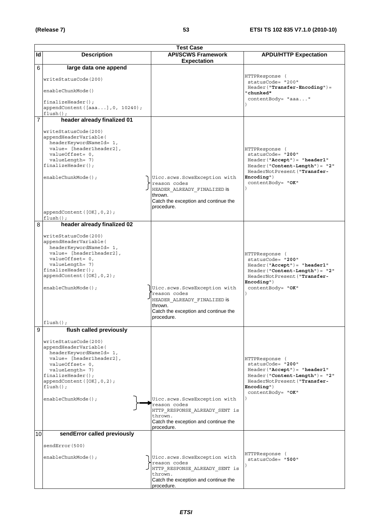|                | <b>Test Case</b>                                                                                                                                                                                                                       |                                                                                                                                                |                                                                                                                                                                                        |
|----------------|----------------------------------------------------------------------------------------------------------------------------------------------------------------------------------------------------------------------------------------|------------------------------------------------------------------------------------------------------------------------------------------------|----------------------------------------------------------------------------------------------------------------------------------------------------------------------------------------|
| Id             | <b>Description</b>                                                                                                                                                                                                                     | <b>API/SCWS Framework</b>                                                                                                                      | <b>APDU/HTTP Expectation</b>                                                                                                                                                           |
| 6              |                                                                                                                                                                                                                                        | <b>Expectation</b>                                                                                                                             |                                                                                                                                                                                        |
|                | large data one append<br>writeStatusCode(200)<br>enableChunkMode()<br>$finalizeHeader()$ ;<br>appendContent ([aaa], 0, 10240);<br>$flush()$ ;                                                                                          |                                                                                                                                                | HTTPResponse (<br>statusCode= "200"<br>$Header("Transfer-Encoding") =$<br>"chunked"<br>contentBody= "aaa"                                                                              |
| $\overline{7}$ | header already finalized 01                                                                                                                                                                                                            |                                                                                                                                                |                                                                                                                                                                                        |
|                | writeStatusCode(200)<br>appendHeaderVariable(<br>headerKeywordNameId= 1,<br>value= [header1header2],<br>valueOffset= 0,<br>valueLength= 7)<br>$finalizeHeader()$ ;<br>enableChunkMode();<br>appendContent ([OK], 0, 2);<br>$flush()$ ; | Uicc.scws.ScwsException with<br>reason codes<br>HEADER ALREADY FINALIZED is<br>thrown.<br>Catch the exception and continue the<br>procedure.   | HTTPResponse (<br>statusCode= "200"<br>$Header('Accept") = "header1"$<br>$Header('Content-Length") = "2"$<br>HeaderNotPresent ("Transfer-<br>$Encoder"$ )<br>contentBody= "OK"         |
| 8              | header already finalized 02                                                                                                                                                                                                            |                                                                                                                                                |                                                                                                                                                                                        |
|                | writeStatusCode(200)<br>appendHeaderVariable(<br>headerKeywordNameId= 1,<br>value= [header1header2],<br>valueOffset= 0,<br>valueLength= 7)<br>$finalizeHeader()$ ;<br>appendContent([OK], 0, 2);<br>enableChunkMode();<br>flush();     | Uicc.scws.ScwsException with<br>reason codes<br>HEADER_ALREADY_FINALIZED is<br>thrown.<br>Catch the exception and continue the<br>procedure.   | HTTPResponse (<br>statusCode= "200"<br>$Header('Accept") = "header1"$<br>$Header("Content-Length") = "2"$<br>HeaderNotPresent ("Transfer-<br>Encoder <sub>1</sub><br>contentBody= "OK" |
| 9              | flush called previously                                                                                                                                                                                                                |                                                                                                                                                |                                                                                                                                                                                        |
|                | writeStatusCode(200)<br>appendHeaderVariable(<br>headerKeywordNameId= 1,<br>value= [header1header2],<br>valueOffset= 0,<br>valueLength= 7)<br>$finalizeHeader()$ ;<br>appendContent([OK], 0, 2);<br>$flush()$ ;<br>enableChunkMode();  | Uicc.scws.ScwsException with<br>reason codes<br>HTTP_RESPONSE_ALREADY_SENT is<br>thrown.<br>Catch the exception and continue the<br>procedure. | HTTPResponse (<br>statusCode= "200"<br>$Header('Accept") = "header1"$<br>$Header('Content-Length") = "2"$<br>HeaderNotPresent ("Transfer-<br>$Encoder$ ")<br>contentBody= "OK"         |
| 10             | sendError called previously                                                                                                                                                                                                            |                                                                                                                                                |                                                                                                                                                                                        |
|                | sendError(500)                                                                                                                                                                                                                         |                                                                                                                                                |                                                                                                                                                                                        |
|                | enableChunkMode();                                                                                                                                                                                                                     | Uicc.scws.ScwsException with<br>reason codes<br>HTTP_RESPONSE_ALREADY_SENT is<br>thrown.<br>Catch the exception and continue the<br>procedure. | HTTPResponse (<br>statusCode= "500"                                                                                                                                                    |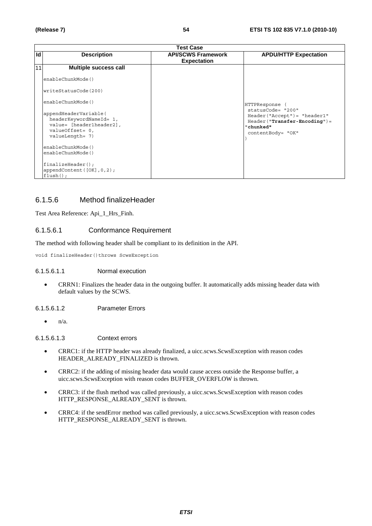|    | <b>Test Case</b>                                                                                                      |                                                 |                                                                                                                       |
|----|-----------------------------------------------------------------------------------------------------------------------|-------------------------------------------------|-----------------------------------------------------------------------------------------------------------------------|
| Id | <b>Description</b>                                                                                                    | <b>API/SCWS Framework</b><br><b>Expectation</b> | <b>APDU/HTTP Expectation</b>                                                                                          |
| 11 | Multiple success call                                                                                                 |                                                 |                                                                                                                       |
|    | enableChunkMode()                                                                                                     |                                                 |                                                                                                                       |
|    | writeStatusCode(200)                                                                                                  |                                                 |                                                                                                                       |
|    | enableChunkMode()                                                                                                     |                                                 | HTTPResponse (                                                                                                        |
|    | appendHeaderVariable(<br>headerKeywordNameId= 1,<br>value= [header1header2],<br>$valueOffset = 0,$<br>valueLength= 7) |                                                 | statusCode= "200"<br>Header("Accept")= "header1"<br>$Header("Transfer-Encoding") =$<br>"chunked"<br>contentBody= "OK" |
|    | enableChunkMode()<br>enableChunkMode()                                                                                |                                                 |                                                                                                                       |
|    | $finalizeHeader()$ ;<br>appendContent $([OK], 0, 2)$ ;<br>$flush()$ ;                                                 |                                                 |                                                                                                                       |

# 6.1.5.6 Method finalizeHeader

Test Area Reference: Api\_1\_Hrs\_Finh.

# 6.1.5.6.1 Conformance Requirement

The method with following header shall be compliant to its definition in the API.

void finalizeHeader()throws ScwsException

#### 6.1.5.6.1.1 Normal execution

• CRRN1: Finalizes the header data in the outgoing buffer. It automatically adds missing header data with default values by the SCWS.

6.1.5.6.1.2 Parameter Errors

 $\bullet$   $\frac{n}{a}$ 

#### 6.1.5.6.1.3 Context errors

- CRRC1: if the HTTP header was already finalized, a uicc.scws.ScwsException with reason codes HEADER\_ALREADY\_FINALIZED is thrown.
- CRRC2: if the adding of missing header data would cause access outside the Response buffer, a uicc.scws.ScwsException with reason codes BUFFER\_OVERFLOW is thrown.
- CRRC3: if the flush method was called previously, a uicc.scws.ScwsException with reason codes HTTP\_RESPONSE\_ALREADY\_SENT is thrown.
- CRRC4: if the sendError method was called previously, a uicc.scws.ScwsException with reason codes HTTP\_RESPONSE\_ALREADY\_SENT is thrown.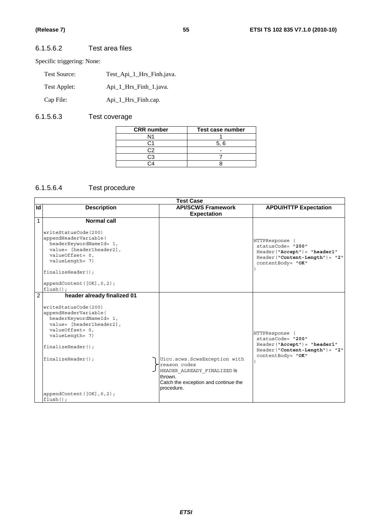# 6.1.5.6.2 Test area files

Specific triggering: None:

| Test Source: | Test Api 1 Hrs Finh.java. |
|--------------|---------------------------|
| Test Applet: | Api 1 Hrs Finh 1. java.   |
| Cap File:    | Api_1_Hrs_Finh.cap.       |

# 6.1.5.6.3 Test coverage

| Test case number |
|------------------|
|                  |
| 5.6              |
|                  |
|                  |
|                  |
|                  |

# 6.1.5.6.4 Test procedure

|                | <b>Test Case</b>                                                                                                                                                                                                                                                    |                                                                                                                                              |                                                                                                                                 |  |
|----------------|---------------------------------------------------------------------------------------------------------------------------------------------------------------------------------------------------------------------------------------------------------------------|----------------------------------------------------------------------------------------------------------------------------------------------|---------------------------------------------------------------------------------------------------------------------------------|--|
| Id             | <b>Description</b>                                                                                                                                                                                                                                                  | <b>API/SCWS Framework</b><br><b>Expectation</b>                                                                                              | <b>APDU/HTTP Expectation</b>                                                                                                    |  |
| $\mathbf{1}$   | Normal call<br>writeStatusCode(200)<br>appendHeaderVariable(<br>headerKeywordNameId= 1,<br>value= [header1header2],<br>valueOffset= 0,<br>valueLength= 7)<br>finalizeHeader();<br>appendContent $([OK], 0, 2)$ ;<br>$flush()$ ;                                     |                                                                                                                                              | HTTPResponse (<br>statusCode= "200"<br>$Header('Naccept") = "header1"$<br>$Header('Content-Length") = "2"$<br>contentBody= "OK" |  |
| $\overline{2}$ | header already finalized 01<br>writeStatusCode(200)<br>appendHeaderVariable(<br>headerKeywordNameId= 1,<br>value= [header1header2],<br>valueOffset= 0,<br>valueLength= 7)<br>finalizeHeader();<br>finalizeHeader()<br>appendContent $([OK], 0, 2)$ ;<br>$flush()$ ; | Uicc.scws.ScwsException with<br>reason codes<br>HEADER ALREADY FINALIZED IS<br>thrown.<br>Catch the exception and continue the<br>procedure. | HTTPResponse (<br>statusCode= "200"<br>$Header('Accept") = "header1"$<br>$Header('Content-Length") = "2"$<br>contentBody= "OK"  |  |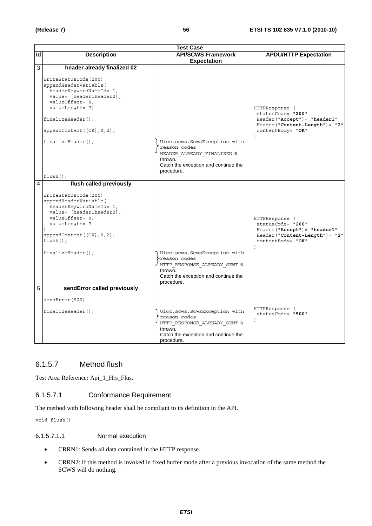|    | <b>Test Case</b>                                                                                                                                                                                                                                                           |                                                                                                                                                |                                                                                                                               |
|----|----------------------------------------------------------------------------------------------------------------------------------------------------------------------------------------------------------------------------------------------------------------------------|------------------------------------------------------------------------------------------------------------------------------------------------|-------------------------------------------------------------------------------------------------------------------------------|
| Id | <b>Description</b>                                                                                                                                                                                                                                                         | <b>API/SCWS Framework</b><br><b>Expectation</b>                                                                                                | <b>APDU/HTTP Expectation</b>                                                                                                  |
| 3  | header already finalized 02<br>writeStatusCode(200)<br>appendHeaderVariable(<br>headerKeywordNameId= 1,<br>value= [header1header2],<br>valueOffset= 0,<br>valueLength= 7)<br>$finalizeHeader()$ ;<br>appendContent $([OK], 0, 2)$ ;<br>$finalizeHeader()$ ;<br>$flush()$ ; | Uicc.scws.ScwsException with<br>reason codes<br>HEADER ALREADY FINALIZED is<br>thrown.<br>Catch the exception and continue the<br>procedure.   | HTTPResponse (<br>statusCode= "200"<br>$Header('Accept") = "header1"$<br>Header("Content-Length")= "2"<br>contentBody= "OK"   |
| 4  | flush called previously<br>writeStatusCode(200)<br>appendHeaderVariable(<br>headerKeywordNameId= 1,<br>value= [header1header2],<br>valueOffset= 0,<br>valueLength= 7<br>appendContent ([OK], 0, 2);<br>$flush()$ ;<br>$finalizeHeader()$ ;                                 | Uicc.scws.ScwsException with<br>reason codes<br>HTTP RESPONSE ALREADY SENT is<br>thrown.<br>Catch the exception and continue the<br>procedure. | HTTPResponse (<br>statusCode= "200"<br>Header ("Accept") = "header1"<br>$Header('Content-Length") = "2"$<br>contentBody= "OK" |
| 5  | sendError called previously<br>sendError (500)<br>finalizeHeader();                                                                                                                                                                                                        | Uicc.scws.ScwsException with<br>reason codes<br>HTTP RESPONSE ALREADY SENT is<br>thrown.<br>Catch the exception and continue the<br>procedure. | HTTPResponse (<br>statusCode= "500"                                                                                           |

# 6.1.5.7 Method flush

Test Area Reference: Api\_1\_Hrs\_Flus.

# 6.1.5.7.1 Conformance Requirement

The method with following header shall be compliant to its definition in the API.

void flush()

#### 6.1.5.7.1.1 Normal execution

- CRRN1: Sends all data contained in the HTTP response.
- CRRN2: If this method is invoked in fixed buffer mode after a previous invocation of the same method the SCWS will do nothing.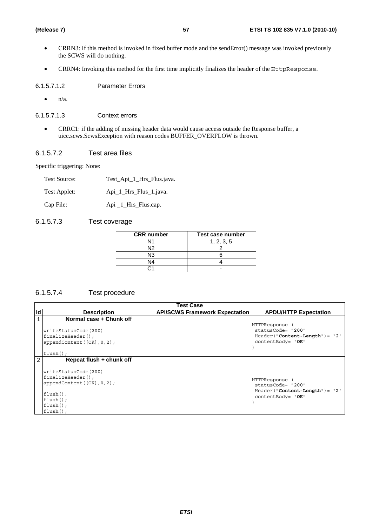- CRRN3: If this method is invoked in fixed buffer mode and the sendError() message was invoked previously the SCWS will do nothing.
- CRRN4: Invoking this method for the first time implicitly finalizes the header of the HttpResponse.

6.1.5.7.1.2 Parameter Errors

 $\bullet$  n/a.

6.1.5.7.1.3 Context errors

• CRRC1: if the adding of missing header data would cause access outside the Response buffer, a uicc.scws.ScwsException with reason codes BUFFER\_OVERFLOW is thrown.

#### 6.1.5.7.2 Test area files

Specific triggering: None:

| <b>Test Source:</b> | Test_Api_1_Hrs_Flus.java. |
|---------------------|---------------------------|
| Test Applet:        | Api_1_Hrs_Flus_1.java.    |
| Cap File:           | Api _1_Hrs_Flus.cap.      |

#### 6.1.5.7.3 Test coverage

| <b>CRR</b> number | Test case number |
|-------------------|------------------|
| N1                | 1, 2, 3, 5       |
| N <sub>2</sub>    |                  |
| N <sub>3</sub>    |                  |
| N4                |                  |
|                   |                  |

# 6.1.5.7.4 Test procedure

|    | <b>Test Case</b>                                                                                                                                                   |                                       |                                                                                            |
|----|--------------------------------------------------------------------------------------------------------------------------------------------------------------------|---------------------------------------|--------------------------------------------------------------------------------------------|
| Id | <b>Description</b>                                                                                                                                                 | <b>API/SCWS Framework Expectation</b> | <b>APDU/HTTP Expectation</b>                                                               |
|    | Normal case + Chunk off<br>writeStatusCode(200)<br>$finalizeHeader()$ ;<br>appendContent([OK], 0, 2);<br>$flush()$ ;                                               |                                       | HTTPResponse<br>statusCode= "200"<br>$Header('Content-Length") = "2"$<br>contentBody= "OK" |
| 2  | Repeat flush + chunk off<br>writeStatusCode(200)<br>$finalizeHeader()$ ;<br>appendContent([OK], 0, 2);<br>$flush()$ ;<br>$flush()$ ;<br>$flush()$ ;<br>$flush()$ ; |                                       | HTTPResponse<br>statusCode= "200"<br>$Header('Content-Length") = "2"$<br>contentBody= "OK" |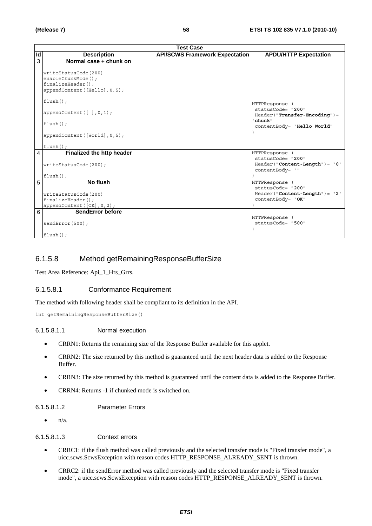|    | <b>Test Case</b>                                                                                                                                                                                                         |                                       |                                                                                                              |
|----|--------------------------------------------------------------------------------------------------------------------------------------------------------------------------------------------------------------------------|---------------------------------------|--------------------------------------------------------------------------------------------------------------|
| Id | <b>Description</b>                                                                                                                                                                                                       | <b>API/SCWS Framework Expectation</b> | <b>APDU/HTTP Expectation</b>                                                                                 |
| 3  | Normal case + chunk on<br>writeStatusCode(200)<br>enableChunkMode();<br>$finalizeHeader()$ ;<br>appendContent ([Hello], 0, 5);<br>$flush()$ ;<br>appendContent([],0,1);<br>$flush()$ ;<br>appendContent ([World], 0, 5); |                                       | HTTPResponse<br>statusCode= "200"<br>$Header("Transfer-Encoder") =$<br>"chunk"<br>contentBody= "Hello World" |
| 4  | $flush()$ ;<br>Finalized the http header<br>writeStatusCode(200);<br>$flush()$ ;                                                                                                                                         |                                       | HTTPResponse (<br>statusCode= "200"<br>$Header('Content-Length") = "0"$<br>contentBody= ""                   |
| 5  | No flush<br>writeStatusCode(200)<br>$finalizeHeader()$ ;<br>appendContent([OK], 0, 2);                                                                                                                                   |                                       | HTTPResponse (<br>statusCode= "200"<br>$Header('Content-Length") = "2"$<br>contentBody= "OK"                 |
| 6  | SendError before<br>sendError(500);<br>$flush()$ ;                                                                                                                                                                       |                                       | HTTPResponse (<br>statusCode= "500"                                                                          |

# 6.1.5.8 Method getRemainingResponseBufferSize

Test Area Reference: Api\_1\_Hrs\_Grrs.

### 6.1.5.8.1 Conformance Requirement

The method with following header shall be compliant to its definition in the API.

int getRemainingResponseBufferSize()

#### 6.1.5.8.1.1 Normal execution

- CRRN1: Returns the remaining size of the Response Buffer available for this applet.
- CRRN2: The size returned by this method is guaranteed until the next header data is added to the Response Buffer.
- CRRN3: The size returned by this method is guaranteed until the content data is added to the Response Buffer.
- CRRN4: Returns -1 if chunked mode is switched on.

### 6.1.5.8.1.2 Parameter Errors

 $\bullet$   $n/a$ .

#### 6.1.5.8.1.3 Context errors

- CRRC1: if the flush method was called previously and the selected transfer mode is "Fixed transfer mode", a uicc.scws.ScwsException with reason codes HTTP\_RESPONSE\_ALREADY\_SENT is thrown.
- CRRC2: if the sendError method was called previously and the selected transfer mode is "Fixed transfer mode", a uicc.scws.ScwsException with reason codes HTTP\_RESPONSE\_ALREADY\_SENT is thrown.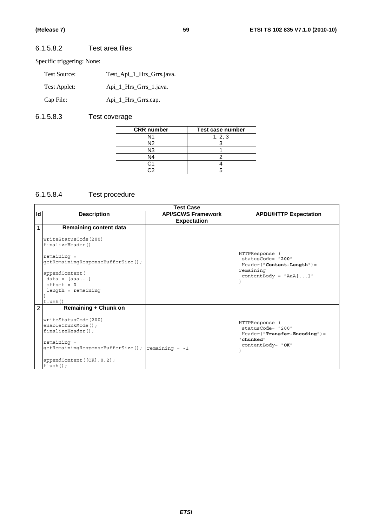# 6.1.5.8.2 Test area files

Specific triggering: None:

| Test Source: | Test Api 1 Hrs Grrs.java. |
|--------------|---------------------------|
| Test Applet: | Api_1_Hrs_Grrs_1.java.    |
| Cap File:    | Api_1_Hrs_Grrs.cap.       |

# 6.1.5.8.3 Test coverage

| <b>CRR</b> number | Test case number |
|-------------------|------------------|
| N1                | 1, 2, 3          |
| N <sub>2</sub>    |                  |
| N3                |                  |
| N <sub>4</sub>    |                  |
|                   |                  |
|                   |                  |

# 6.1.5.8.4 Test procedure

|    | <b>Test Case</b>                                                                                                                             |                                                 |                                                                                                          |
|----|----------------------------------------------------------------------------------------------------------------------------------------------|-------------------------------------------------|----------------------------------------------------------------------------------------------------------|
| Id | <b>Description</b>                                                                                                                           | <b>API/SCWS Framework</b><br><b>Expectation</b> | <b>APDU/HTTP Expectation</b>                                                                             |
| 1  | <b>Remaining content data</b>                                                                                                                |                                                 |                                                                                                          |
|    | writeStatusCode(200)<br>finalizeHeader()                                                                                                     |                                                 |                                                                                                          |
|    | $remaining =$<br>getRemainingResponseBufferSize();                                                                                           |                                                 | HTTPResponse<br>statusCode= "200"<br>Header ("Content-Length") =                                         |
|    | appendContent (<br>$data = [aaa]$<br>$offset = 0$                                                                                            |                                                 | remaining<br>$contentBody = "AaA[]$ "                                                                    |
|    | $length = remaining$<br>flush()                                                                                                              |                                                 |                                                                                                          |
| 2  | <b>Remaining + Chunk on</b>                                                                                                                  |                                                 |                                                                                                          |
|    | writeStatusCode(200)<br>enableChunkMode();<br>$finalizeHeader()$ ;<br>$remaining =$<br>$getRemainingResponseBufferSize()$ ; $remaining = -1$ |                                                 | HTTPResponse (<br>statusCode= "200"<br>$Header("Transfer-Encoding") =$<br>"chunked"<br>contentBody= "OK" |
|    | appendContent $([OK], 0, 2)$ ;<br>$flush()$ ;                                                                                                |                                                 |                                                                                                          |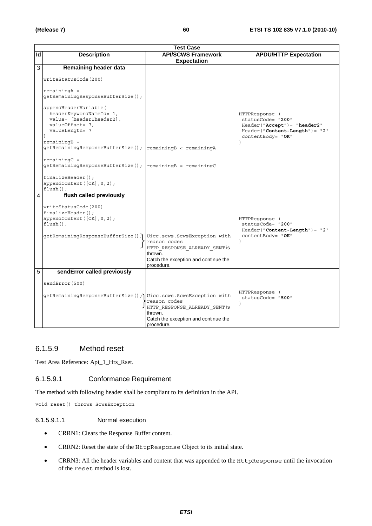|    | <b>Test Case</b>                                                                                                                                                                                                                                                                                                           |                                                                                                                |                                                                                                                                |  |
|----|----------------------------------------------------------------------------------------------------------------------------------------------------------------------------------------------------------------------------------------------------------------------------------------------------------------------------|----------------------------------------------------------------------------------------------------------------|--------------------------------------------------------------------------------------------------------------------------------|--|
| Id | <b>Description</b>                                                                                                                                                                                                                                                                                                         | <b>API/SCWS Framework</b>                                                                                      | <b>APDU/HTTP Expectation</b>                                                                                                   |  |
|    |                                                                                                                                                                                                                                                                                                                            | <b>Expectation</b>                                                                                             |                                                                                                                                |  |
| 3  | Remaining header data<br>writeStatusCode(200)<br>$remainingA =$<br>qetRemaininqResponseBufferSize();<br>appendHeaderVariable(<br>headerKeywordNameId= 1,<br>value= [header1header2],<br>valueOffset= 7,<br>valueLength= 7<br>$remainingB =$<br>getRemainingResponseBufferSize(); remainingB < remainingA<br>$remainingC =$ |                                                                                                                | HTTPResponse (<br>statusCode= "200"<br>$Header("Accept") = "header2"$<br>$Header('Content-Length") = "2"$<br>contentBody= "OK" |  |
|    | getRemainingResponseBufferSize();<br>$finalizeHeader()$ ;<br>appendContent ([OK], 0, 2);<br>$flush()$ ;                                                                                                                                                                                                                    | $remainingB = remainingC$                                                                                      |                                                                                                                                |  |
| 4  | flush called previously<br>writeStatusCode(200)<br>$finalizeHeader()$ ;<br>appendContent([OK], 0, 2);<br>$flush()$ :<br>getRemainingResponseBufferSize(); Uicc.scws.ScwsException with                                                                                                                                     | reason codes<br>HTTP RESPONSE ALREADY SENT is<br>thrown.<br>Catch the exception and continue the<br>procedure. | HTTPResponse (<br>statusCode= "200"<br>$Header('Content-Length") = "2"$<br>contentBody= "OK"                                   |  |
| 5  | sendError called previously<br>sendError (500)<br>qetRemainingResponseBufferSize(); Uicc.scws.ScwsException with                                                                                                                                                                                                           | reason codes<br>HTTP RESPONSE ALREADY SENT is<br>thrown.<br>Catch the exception and continue the<br>procedure. | HTTPResponse (<br>statusCode= "500"                                                                                            |  |

# 6.1.5.9 Method reset

Test Area Reference: Api\_1\_Hrs\_Rset.

### 6.1.5.9.1 Conformance Requirement

The method with following header shall be compliant to its definition in the API.

void reset() throws ScwsException

### 6.1.5.9.1.1 Normal execution

- CRRN1: Clears the Response Buffer content.
- CRRN2: Reset the state of the HttpResponse Object to its initial state.
- CRRN3: All the header variables and content that was appended to the HttpResponse until the invocation of the reset method is lost.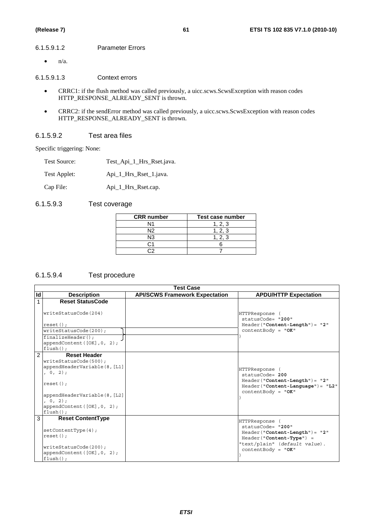#### 6.1.5.9.1.2 Parameter Errors

 $\bullet$  n/a.

6.1.5.9.1.3 Context errors

- CRRC1: if the flush method was called previously, a uicc.scws.ScwsException with reason codes HTTP\_RESPONSE\_ALREADY\_SENT is thrown.
- CRRC2: if the sendError method was called previously, a uicc.scws.ScwsException with reason codes HTTP\_RESPONSE\_ALREADY\_SENT is thrown.

#### 6.1.5.9.2 Test area files

Specific triggering: None:

| Test Source: | Test_Api_1_Hrs_Rset.java. |
|--------------|---------------------------|
| Test Applet: | Api_1_Hrs_Rset_1.java.    |

Cap File: Api\_1\_Hrs\_Rset.cap.

# 6.1.5.9.3 Test coverage

| <b>CRR</b> number | Test case number |
|-------------------|------------------|
|                   | . 2. 3           |
| N12               | 1, 2, 3          |
| N3                | 1, 2, 3          |
|                   |                  |
|                   |                  |

# 6.1.5.9.4 Test procedure

|                | <b>Test Case</b>                                                                                                                                                                               |                                       |                                                                                                                                                            |
|----------------|------------------------------------------------------------------------------------------------------------------------------------------------------------------------------------------------|---------------------------------------|------------------------------------------------------------------------------------------------------------------------------------------------------------|
| Id             | <b>Description</b>                                                                                                                                                                             | <b>API/SCWS Framework Expectation</b> | <b>APDU/HTTP Expectation</b>                                                                                                                               |
|                | <b>Reset StatusCode</b><br>writeStatusCode(204)                                                                                                                                                |                                       | HTTPResponse                                                                                                                                               |
|                | $reset()$ ;                                                                                                                                                                                    |                                       | statusCode= "200"<br>$Header('Content-Length") = "2"$                                                                                                      |
|                | writeStatusCode(200);                                                                                                                                                                          |                                       | $contentBody = "OK"$                                                                                                                                       |
|                | $finalizeHeader()$ ;<br>appendContent ( $[OK]$ , 0, 2);<br>$flush()$ ;                                                                                                                         |                                       |                                                                                                                                                            |
| $\mathfrak{p}$ | <b>Reset Header</b><br>writeStatusCode(500);<br>appendHeaderVariable(8, [L1]<br>, 0, 2);<br>$reset()$ ;<br>appendHeaderVariable(8, [L2]<br>0, 2);<br>appendContent([OK], 0, 2);<br>$flush()$ ; |                                       | HTTPResponse<br>$statusCode = 200$<br>$Header('Content-Length") = "2"$<br>$Header('Content-Language") = "L2"$<br>$contentBody = "OK"$                      |
| 3              | <b>Reset ContentType</b><br>setContentType(4);<br>$reset()$ ;<br>writeStatusCode(200);<br>appendContent $([OK], 0, 2)$ ;<br>$flush()$ :                                                        |                                       | HTTPResponse<br>statusCode= "200"<br>$Header('Content-Length") = "2"$<br>Header("Content-Type") =<br>"text/plain" (default value).<br>$contentBody = "OK"$ |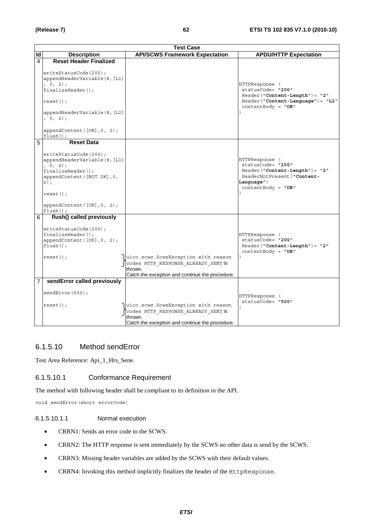|                | <b>Test Case</b>                                                                                                                                                             |                                                                                                                                          |                                                                                                                                              |  |
|----------------|------------------------------------------------------------------------------------------------------------------------------------------------------------------------------|------------------------------------------------------------------------------------------------------------------------------------------|----------------------------------------------------------------------------------------------------------------------------------------------|--|
| Id             | <b>Description</b>                                                                                                                                                           | <b>API/SCWS Framework Expectation</b>                                                                                                    | <b>APDU/HTTP Expectation</b>                                                                                                                 |  |
| 4              | <b>Reset Header Finalized</b>                                                                                                                                                |                                                                                                                                          |                                                                                                                                              |  |
|                | writeStatusCode(200);<br>appendHeaderVariable(8, [L1]<br>, 0, 2);<br>finalizeHeader();<br>$reset()$ ;<br>appendHeaderVariable(8, [L2]<br>, 0, 2);                            |                                                                                                                                          | HTTPResponse (<br>statusCode= "200"<br>$Header('Content-Length") = "2"$<br>$Header("Content-Language") = "L2"$<br>$contentBody = "OK"$       |  |
|                | appendContent([OK], 0, 2);<br>$flush()$ ;                                                                                                                                    |                                                                                                                                          |                                                                                                                                              |  |
| 5              | <b>Reset Data</b>                                                                                                                                                            |                                                                                                                                          |                                                                                                                                              |  |
|                | writeStatusCode(200);<br>appendHeaderVariable(8, [L1]<br>, 0, 2);<br>finalizeHeader();<br>appendContent ([NOT OK], 0,<br>$6)$ ;<br>$reset()$ ;<br>appendContent([OK], 0, 2); |                                                                                                                                          | HTTPResponse (<br>statusCode= "200"<br>$Header("Content-Length") = "2"$<br>HeaderNotPresent ("Content-<br>Language")<br>$contentBody = "OK"$ |  |
| 6              | $flush()$ ;<br>flush() called previously                                                                                                                                     |                                                                                                                                          |                                                                                                                                              |  |
|                | writeStatusCode(200);<br>$finalizeHeader()$ ;<br>appendContent([OK], 0, 2);<br>$flush()$ ;<br>$reset()$ ;                                                                    | uicc.scws.ScwsException with reason<br>codes HTTP RESPONSE ALREADY SENT is<br>thrown.<br>Catch the exception and continue the procedure. | HTTPResponse (<br>statusCode= "200"<br>$Header('Content-Length") = "2"$<br>$contentBody = "OK"$                                              |  |
| $\overline{7}$ | sendError called previously                                                                                                                                                  |                                                                                                                                          |                                                                                                                                              |  |
|                | sendError(500);<br>$reset()$ ;                                                                                                                                               | uicc.scws.ScwsException with reason<br>codes HTTP RESPONSE ALREADY SENT is                                                               | HTTPResponse (<br>statusCode= "500"                                                                                                          |  |
|                |                                                                                                                                                                              | thrown.<br>Catch the exception and continue the procedure.                                                                               |                                                                                                                                              |  |

# 6.1.5.10 Method sendError

Test Area Reference: Api\_1\_Hrs\_Sene.

#### 6.1.5.10.1 Conformance Requirement

The method with following header shall be compliant to its definition in the API.

void sendError(short errorCode)

#### 6.1.5.10.1.1 Normal execution

- CRRN1: Sends an error code to the SCWS.
- CRRN2: The HTTP response is sent immediately by the SCWS no other data is send by the SCWS.
- CRRN3: Missing header variables are added by the SCWS with their default values.
- CRRN4: Invoking this method implicitly finalizes the header of the HttpResponse.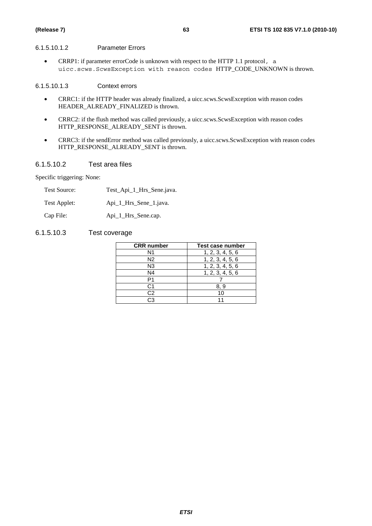#### 6.1.5.10.1.2 Parameter Errors

• CRRP1: if parameter errorCode is unknown with respect to the HTTP 1.1 protocol, a uicc.scws.ScwsException with reason codes HTTP\_CODE\_UNKNOWN is thrown.

#### 6.1.5.10.1.3 Context errors

- CRRC1: if the HTTP header was already finalized, a uicc.scws.ScwsException with reason codes HEADER\_ALREADY\_FINALIZED is thrown.
- CRRC2: if the flush method was called previously, a uicc.scws.ScwsException with reason codes HTTP\_RESPONSE\_ALREADY\_SENT is thrown.
- CRRC3: if the sendError method was called previously, a uicc.scws.ScwsException with reason codes HTTP\_RESPONSE\_ALREADY\_SENT is thrown.

#### 6.1.5.10.2 Test area files

Specific triggering: None:

| <b>Test Source:</b> | Test_Api_1_Hrs_Sene.java. |
|---------------------|---------------------------|
| Test Applet:        | Api_1_Hrs_Sene_1.java.    |
| Cap File:           | Api_1_Hrs_Sene.cap.       |

### 6.1.5.10.3 Test coverage

| <b>CRR</b> number | Test case number |
|-------------------|------------------|
| N1                | 1, 2, 3, 4, 5, 6 |
| N <sub>2</sub>    | 1, 2, 3, 4, 5, 6 |
| N <sub>3</sub>    | 1, 2, 3, 4, 5, 6 |
| N4                | 1, 2, 3, 4, 5, 6 |
| P1                |                  |
| C1                | 8.9              |
| C <sub>2</sub>    | 10               |
| СЗ                |                  |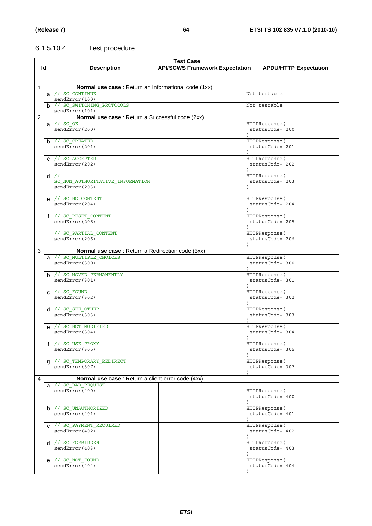# 6.1.5.10.4 Test procedure

|   | <b>Test Case</b> |                                                      |                                       |                                   |  |
|---|------------------|------------------------------------------------------|---------------------------------------|-----------------------------------|--|
|   | ld               | <b>Description</b>                                   | <b>API/SCWS Framework Expectation</b> | <b>APDU/HTTP Expectation</b>      |  |
|   |                  |                                                      |                                       |                                   |  |
|   |                  |                                                      |                                       |                                   |  |
| 1 |                  | Normal use case : Return an Informational code (1xx) |                                       |                                   |  |
|   |                  | $a$ // sc continue                                   |                                       | Not testable                      |  |
|   |                  | sendError(100)                                       |                                       |                                   |  |
|   |                  | b // SC SWITCHING PROTOCOLS<br>sendError(101)        |                                       | Not testable                      |  |
| 2 |                  | Normal use case : Return a Successful code (2xx)     |                                       |                                   |  |
|   | a                | $11$ SC OK                                           |                                       | HTTPResponse (                    |  |
|   |                  | sendError(200)                                       |                                       | statusCode= 200                   |  |
|   |                  |                                                      |                                       |                                   |  |
|   |                  | $b$ // SC CREATED                                    |                                       | HTTPResponse (                    |  |
|   |                  | sendError(201)                                       |                                       | statusCode= 201                   |  |
|   |                  | C // SC_ACCEPTED                                     |                                       | HTTPResponse (                    |  |
|   |                  | sendError(202)                                       |                                       | statusCode= 202                   |  |
|   |                  |                                                      |                                       |                                   |  |
|   |                  | $d$ //                                               |                                       | HTTPResponse (                    |  |
|   |                  | SC NON AUTHORITATIVE INFORMATION                     |                                       | statusCode= 203                   |  |
|   |                  | sendError(203)                                       |                                       |                                   |  |
|   |                  | e // SC_NO CONTENT                                   |                                       | HTTPResponse (                    |  |
|   |                  | sendError(204)                                       |                                       | statusCode= 204                   |  |
|   |                  |                                                      |                                       |                                   |  |
|   |                  | f // SC_RESET_CONTENT                                |                                       | HTTPResponse (                    |  |
|   |                  | sendError(205)                                       |                                       | statusCode= 205                   |  |
|   |                  |                                                      |                                       |                                   |  |
|   |                  | // SC PARTIAL CONTENT<br>sendError(206)              |                                       | HTTPResponse (<br>statusCode= 206 |  |
|   |                  |                                                      |                                       |                                   |  |
| 3 |                  | Normal use case : Return a Redirection code (3xx)    |                                       |                                   |  |
|   |                  | a // SC_MULTIPLE CHOICES                             |                                       | HTTPResponse(                     |  |
|   |                  | sendError(300)                                       |                                       | statusCode= 300                   |  |
|   |                  |                                                      |                                       |                                   |  |
|   |                  | b // SC MOVED PERMANENTLY<br>sendError(301)          |                                       | HTTPResponse (<br>statusCode= 301 |  |
|   |                  |                                                      |                                       |                                   |  |
|   |                  | $c$ // SC FOUND                                      |                                       | HTTPResponse(                     |  |
|   |                  | sendError(302)                                       |                                       | statusCode= 302                   |  |
|   |                  |                                                      |                                       |                                   |  |
|   |                  | $d$ // SC SEE OTHER<br>sendError(303)                |                                       | HTTPResponse(<br>statusCode= 303  |  |
|   |                  |                                                      |                                       |                                   |  |
|   | e                | // SC NOT MODIFIED                                   |                                       | HTTPResponse (                    |  |
|   |                  | sendError(304)                                       |                                       | statusCode= 304                   |  |
|   |                  |                                                      |                                       |                                   |  |
|   |                  | $f$ // SC USE PROXY                                  |                                       | HTTPResponse (                    |  |
|   |                  | sendError(305)                                       |                                       | statusCode= 305                   |  |
|   | g                | // SC TEMPORARY REDIRECT                             |                                       | HTTPResponse (                    |  |
|   |                  | sendError(307)                                       |                                       | statusCode= 307                   |  |
|   |                  |                                                      |                                       |                                   |  |
| 4 |                  | Normal use case : Return a client error code (4xx)   |                                       |                                   |  |
|   |                  | a // SC BAD REQUEST                                  |                                       |                                   |  |
|   |                  | sendError(400)                                       |                                       | HTTPResponse(<br>statusCode= 400  |  |
|   |                  |                                                      |                                       |                                   |  |
|   |                  | $b$ // SC UNAUTHORIZED                               |                                       | HTTPResponse (                    |  |
|   |                  | sendError(401)                                       |                                       | statusCode= 401                   |  |
|   |                  |                                                      |                                       |                                   |  |
|   |                  | C // SC_PAYMENT_REQUIRED                             |                                       | HTTPResponse(                     |  |
|   |                  | sendError(402)                                       |                                       | statusCode= 402                   |  |
|   |                  | $d$ // SC FORBIDDEN                                  |                                       | HTTPResponse (                    |  |
|   |                  | sendError(403)                                       |                                       | statusCode= 403                   |  |
|   |                  |                                                      |                                       |                                   |  |
|   |                  | e // SC_NOT_FOUND                                    |                                       | HTTPResponse (                    |  |
|   |                  | sendError(404)                                       |                                       | statusCode= 404                   |  |
|   |                  |                                                      |                                       |                                   |  |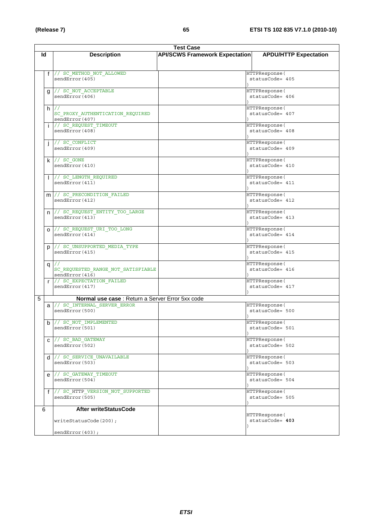|   | <b>Test Case</b> |                                                    |                                       |                                   |  |
|---|------------------|----------------------------------------------------|---------------------------------------|-----------------------------------|--|
|   | ld               | <b>Description</b>                                 | <b>API/SCWS Framework Expectation</b> | <b>APDU/HTTP Expectation</b>      |  |
|   |                  |                                                    |                                       |                                   |  |
|   |                  |                                                    |                                       |                                   |  |
|   | $\mathbf{f}$     | // SC METHOD NOT ALLOWED                           |                                       | HTTPResponse (                    |  |
|   |                  | sendError(405)                                     |                                       | statusCode= 405                   |  |
|   |                  |                                                    |                                       |                                   |  |
|   | g                | // SC_NOT_ACCEPTABLE                               |                                       | HTTPResponse (                    |  |
|   |                  | sendError(406)                                     |                                       | statusCode= 406                   |  |
|   |                  |                                                    |                                       |                                   |  |
|   |                  | $h$ //                                             |                                       | HTTPResponse (                    |  |
|   |                  | SC PROXY AUTHENTICATION REQUIRED                   |                                       | statusCode= 407                   |  |
|   |                  | sendError(407)                                     |                                       |                                   |  |
|   |                  | // SC REQUEST TIMEOUT<br>sendError(408)            |                                       | HTTPResponse (<br>statusCode= 408 |  |
|   |                  |                                                    |                                       |                                   |  |
|   |                  | // SC CONFLICT                                     |                                       | HTTPResponse (                    |  |
|   |                  | sendError(409)                                     |                                       | statusCode= 409                   |  |
|   |                  |                                                    |                                       |                                   |  |
|   |                  | $k$ // SC GONE                                     |                                       | HTTPResponse (                    |  |
|   |                  | sendError(410)                                     |                                       | statusCode= 410                   |  |
|   |                  |                                                    |                                       |                                   |  |
|   |                  | // SC LENGTH REQUIRED                              |                                       | HTTPResponse (                    |  |
|   |                  | sendError(411)                                     |                                       | statusCode= 411                   |  |
|   |                  |                                                    |                                       |                                   |  |
|   |                  | m // SC_PRECONDITION FAILED                        |                                       | HTTPResponse (                    |  |
|   |                  | sendError(412)                                     |                                       | statusCode= 412                   |  |
|   |                  |                                                    |                                       |                                   |  |
|   |                  | n // SC_REQUEST_ENTITY_TOO_LARGE                   |                                       | HTTPResponse (                    |  |
|   |                  | sendError(413)                                     |                                       | statusCode= 413                   |  |
|   |                  |                                                    |                                       |                                   |  |
|   |                  | 0 // SC_REQUEST_URI_TOO_LONG                       |                                       | HTTPResponse (                    |  |
|   |                  | sendError(414)                                     |                                       | statusCode= 414                   |  |
|   |                  |                                                    |                                       |                                   |  |
|   |                  | p  // SC_UNSUPPORTED_MEDIA_TYPE                    |                                       | HTTPResponse (                    |  |
|   |                  | sendError (415)                                    |                                       | statusCode= 415                   |  |
|   |                  |                                                    |                                       |                                   |  |
|   | q                | SC_REQUESTED_RANGE_NOT_SATISFIABLE                 |                                       | HTTPResponse(<br>statusCode= 416  |  |
|   |                  | sendError(416)                                     |                                       |                                   |  |
|   | $\mathsf{r}$     | // SC EXPECTATION FAILED                           |                                       | HTTPResponse (                    |  |
|   |                  | sendError(417)                                     |                                       | statusCode= 417                   |  |
|   |                  |                                                    |                                       |                                   |  |
| 5 |                  | Normal use case : Return a Server Error 5xx code   |                                       |                                   |  |
|   |                  | a // SC_INTERNAL_SERVER ERROR                      |                                       | HTTPResponse (                    |  |
|   |                  | sendError(500)                                     |                                       | statusCode= 500                   |  |
|   |                  |                                                    |                                       |                                   |  |
|   |                  | b // SC_NOT_IMPLEMENTED                            |                                       | HTTPResponse (                    |  |
|   |                  | sendError(501)                                     |                                       | statusCode= 501                   |  |
|   |                  |                                                    |                                       |                                   |  |
|   |                  | C // SC_BAD_GATEWAY                                |                                       | HTTPResponse (                    |  |
|   |                  | sendError(502)                                     |                                       | statusCode= 502                   |  |
|   |                  |                                                    |                                       |                                   |  |
|   |                  | $d$ // SC SERVICE UNAVAILABLE                      |                                       | HTTPResponse (                    |  |
|   |                  | sendError(503)                                     |                                       | statusCode= 503                   |  |
|   |                  |                                                    |                                       |                                   |  |
|   | e                | // SC GATEWAY TIMEOUT                              |                                       | HTTPResponse (                    |  |
|   |                  | sendError(504)                                     |                                       | statusCode= 504                   |  |
|   |                  |                                                    |                                       |                                   |  |
|   | $\mathbf{f}$     | // SC HTTP VERSION NOT SUPPORTED<br>sendError(505) |                                       | HTTPResponse (<br>statusCode= 505 |  |
|   |                  |                                                    |                                       |                                   |  |
|   | 6                | After writeStatusCode                              |                                       |                                   |  |
|   |                  |                                                    |                                       | HTTPResponse (                    |  |
|   |                  | writeStatusCode(200);                              |                                       | statusCode= 403                   |  |
|   |                  |                                                    |                                       |                                   |  |
|   |                  | sendError(403);                                    |                                       |                                   |  |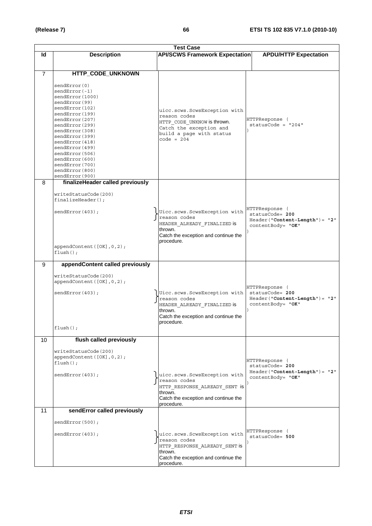|                |                                                                                                                                                                                                                                                                                                 | <b>Test Case</b>                                                                                                                                   |                                                                                            |
|----------------|-------------------------------------------------------------------------------------------------------------------------------------------------------------------------------------------------------------------------------------------------------------------------------------------------|----------------------------------------------------------------------------------------------------------------------------------------------------|--------------------------------------------------------------------------------------------|
| ld             | <b>Description</b>                                                                                                                                                                                                                                                                              | <b>API/SCWS Framework Expectation</b>                                                                                                              | <b>APDU/HTTP Expectation</b>                                                               |
|                |                                                                                                                                                                                                                                                                                                 |                                                                                                                                                    |                                                                                            |
| $\overline{7}$ | HTTP_CODE_UNKNOWN<br>sendError(0)<br>$sendError(-1)$<br>sendError(1000)<br>sendError(99)<br>sendError(102)<br>sendError(199)<br>sendError(207)<br>sendError(299)<br>sendError(308)<br>sendError(399)<br>sendError (418)<br>sendError(499)<br>sendError(506)<br>sendError(600)<br>sendError(700) | uicc.scws.ScwsException with<br>reason codes<br>HTTP CODE UNKNOW is thrown.<br>Catch the exception and<br>build a page with status<br>$code = 204$ | HTTPResponse (<br>statusCode = $"204"$                                                     |
|                | sendError(800)<br>sendError(900)                                                                                                                                                                                                                                                                |                                                                                                                                                    |                                                                                            |
| 8              | finalizeHeader called previously<br>writeStatusCode(200)<br>$finalizeHeader()$ ;<br>sendError(403);<br>appendContent ([OK], 0, 2);<br>$flush()$ ;                                                                                                                                               | Uicc.scws.ScwsException with<br>reason codes<br>HEADER ALREADY FINALIZED IS<br>thrown.<br>Catch the exception and continue the<br>procedure.       | HTTPResponse (<br>statusCode= 200<br>$Header("Content-Length") = "2"$<br>contentBody= "OK" |
| 9              | appendContent called previously                                                                                                                                                                                                                                                                 |                                                                                                                                                    |                                                                                            |
|                | writeStatusCode(200)<br>appendContent([OK], 0, 2);<br>sendError(403);<br>$flush()$ ;                                                                                                                                                                                                            | Uicc.scws.ScwsException with<br>reason codes<br>HEADER_ALREADY_FINALIZED is<br>thrown.<br>Catch the exception and continue the<br>procedure.       | HTTPResponse (<br>statusCode= 200<br>Header("Content-Length")= "2"<br>contentBody= "OK"    |
| 10             | flush called previously                                                                                                                                                                                                                                                                         |                                                                                                                                                    |                                                                                            |
|                | writeStatusCode(200)<br>appendContent([OK], 0, 2);<br>$flush()$ ;<br>sendError(403);                                                                                                                                                                                                            | uicc.scws.ScwsException with<br>reason codes<br>HTTP RESPONSE ALREADY SENT is<br>thrown.<br>Catch the exception and continue the<br>procedure.     | HTTPResponse (<br>statusCode= 200<br>$Header("Content-Length") = "2"$<br>contentBody= "OK" |
| 11             | sendError called previously                                                                                                                                                                                                                                                                     |                                                                                                                                                    |                                                                                            |
|                | sendError(500);<br>sendError(403);                                                                                                                                                                                                                                                              | uicc.scws.ScwsException with<br>reason codes<br>HTTP RESPONSE ALREADY SENT is<br>thrown.<br>Catch the exception and continue the<br>procedure.     | HTTPResponse (<br>$statusCode = 500$                                                       |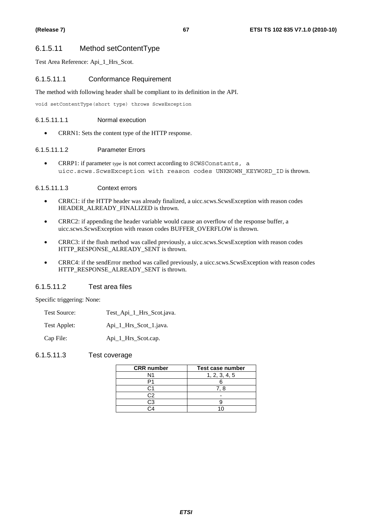# 6.1.5.11 Method setContentType

Test Area Reference: Api\_1\_Hrs\_Scot.

#### 6.1.5.11.1 Conformance Requirement

The method with following header shall be compliant to its definition in the API.

void setContentType(short type) throws ScwsException

#### 6.1.5.11.1.1 Normal execution

• CRRN1: Sets the content type of the HTTP response.

#### 6.1.5.11.1.2 Parameter Errors

• CRRP1: if parameter type is not correct according to SCWSConstants, a uicc.scws.ScwsException with reason codes UNKNOWN\_KEYWORD\_ID is thrown.

6.1.5.11.1.3 Context errors

- CRRC1: if the HTTP header was already finalized, a uicc.scws.ScwsException with reason codes HEADER\_ALREADY\_FINALIZED is thrown.
- CRRC2: if appending the header variable would cause an overflow of the response buffer, a uicc.scws.ScwsException with reason codes BUFFER\_OVERFLOW is thrown.
- CRRC3: if the flush method was called previously, a uicc.scws.ScwsException with reason codes HTTP\_RESPONSE\_ALREADY\_SENT is thrown.
- CRRC4: if the sendError method was called previously, a uicc.scws.ScwsException with reason codes HTTP\_RESPONSE\_ALREADY\_SENT is thrown.

### 6.1.5.11.2 Test area files

Specific triggering: None:

| Test Source: | Test_Api_1_Hrs_Scot.java. |
|--------------|---------------------------|
|--------------|---------------------------|

Test Applet: Api\_1\_Hrs\_Scot\_1.java.

Cap File: Api\_1\_Hrs\_Scot.cap.

### 6.1.5.11.3 Test coverage

| <b>CRR</b> number | Test case number |
|-------------------|------------------|
| N1                | 1, 2, 3, 4, 5    |
|                   |                  |
| C:1               | 7. 8             |
| C2                |                  |
| CЗ                |                  |
|                   |                  |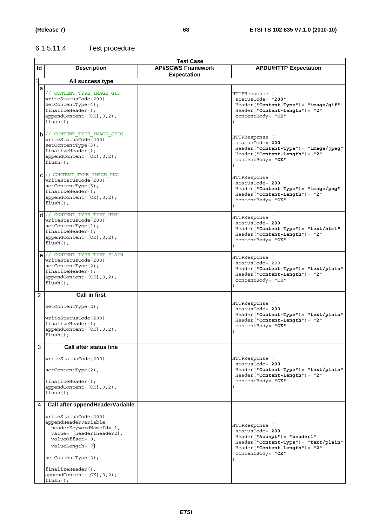# 6.1.5.11.4 Test procedure

|              |                                           | <b>Test Case</b>          |                                         |
|--------------|-------------------------------------------|---------------------------|-----------------------------------------|
| ld           | <b>Description</b>                        | <b>API/SCWS Framework</b> | <b>APDU/HTTP Expectation</b>            |
|              |                                           | <b>Expectation</b>        |                                         |
| $\mathbf{1}$ |                                           |                           |                                         |
|              | All success type                          |                           |                                         |
| a            |                                           |                           |                                         |
|              | // CONTENT TYPE IMAGE GIF                 |                           | HTTPResponse (                          |
|              | writeStatusCode(200)                      |                           | statusCode= "200"                       |
|              | setContextType(4);                        |                           | $Header("Content-Type") = "image/gif"$  |
|              | $finalizeHeader()$ ;                      |                           | $Header("Content-Length") = "2"$        |
|              |                                           |                           |                                         |
|              | appendContent([OK], 0, 2);                |                           | contentBody= "OK"                       |
|              | $flush()$ ;                               |                           |                                         |
|              |                                           |                           |                                         |
|              | b // CONTENT TYPE IMAGE JPEG              |                           |                                         |
|              | writeStatusCode(200)                      |                           | HTTPResponse (                          |
|              | setContentType(3);                        |                           | statusCode= 200                         |
|              | $finalizeHeader()$ ;                      |                           | $Header("Content-Type") = "image/jpeg"$ |
|              |                                           |                           | $Header('Content-Length") = "2"$        |
|              | appendContent([OK], 0, 2);                |                           | contentBody= "OK"                       |
|              | $flush()$ ;                               |                           |                                         |
|              |                                           |                           |                                         |
|              | $C$ // CONTENT TYPE IMAGE PNG             |                           |                                         |
|              | writeStatusCode(200)                      |                           | HTTPResponse (                          |
|              | setContentType(5);                        |                           | statusCode= 200                         |
|              |                                           |                           | $Header('Content-Type") = "image/pnq"$  |
|              | $finalizeHeader()$ ;                      |                           | Header("Content-Length")= "2"           |
|              | appendContent([OK], 0, 2);                |                           | contentBody= "OK"                       |
|              | $flush()$ ;                               |                           |                                         |
|              |                                           |                           |                                         |
|              | $d$ // CONTENT TYPE TEXT HTML             |                           | HTTPResponse (                          |
|              | writeStatusCode(200)                      |                           | statusCode= 200                         |
|              | setContextType(1);                        |                           |                                         |
|              | $finalizeHeader()$ ;                      |                           | $Header('Content-Type") = "text/html"$  |
|              |                                           |                           | Header("Content-Length")= "2"           |
|              | appendContent ([OK], 0, 2);               |                           | contentBody= "OK"                       |
|              | $flush()$ ;                               |                           |                                         |
|              |                                           |                           |                                         |
|              | $e$ // CONTENT TYPE TEXT PLAIN            |                           | HTTPResponse (                          |
|              | writeStatusCode(200)                      |                           | statusCode= 200                         |
|              | setContextType(2);                        |                           |                                         |
|              | $finalizeHeader()$ ;                      |                           | Header("Content-Type")= "text/plain"    |
|              | appendContent([OK], 0, 2);                |                           | Header("Content-Length")= "2"           |
|              |                                           |                           | contentBody= "OK"                       |
|              | $flush()$ ;                               |                           |                                         |
|              |                                           |                           |                                         |
|              |                                           |                           |                                         |
| 2            | <b>Call in first</b>                      |                           |                                         |
|              |                                           |                           | HTTPResponse (                          |
|              | setContextType(2);                        |                           |                                         |
|              |                                           |                           | statusCode= 200                         |
|              | writeStatusCode(200)                      |                           | $Header("Content-Type") = "text/plain"$ |
|              | $finalizeHeader()$ ;                      |                           | $Header("Content-Length") = "2"$        |
|              |                                           |                           | contentBody= "OK"                       |
|              | appendContent([OK], 0, 2);<br>$flush()$ ; |                           |                                         |
|              |                                           |                           |                                         |
|              |                                           |                           |                                         |
| 3            | <b>Call after status line</b>             |                           |                                         |
|              | writeStatusCode(200)                      |                           | HTTPResponse (                          |
|              |                                           |                           | statusCode= 200                         |
|              |                                           |                           |                                         |
|              | setContentType(2);                        |                           | Header("Content-Type")= "text/plain"    |
|              |                                           |                           | $Header('Content-Length") = "2"$        |
|              | $finalizeHeader()$ ;                      |                           | contentBody= "OK"                       |
|              | appendContent([OK], 0, 2);                |                           |                                         |
|              | $flush()$ ;                               |                           |                                         |
|              |                                           |                           |                                         |
| 4            | Call after appendHeaderVariable           |                           |                                         |
|              |                                           |                           |                                         |
|              | writeStatusCode(200)                      |                           |                                         |
|              | appendHeaderVariable(                     |                           |                                         |
|              | headerKeywordNameId= 1,                   |                           | HTTPResponse (                          |
|              | value= [header1header2],                  |                           | statusCode= 200                         |
|              | valueOffset= 0,                           |                           | $Header('Accept") = "header1"$          |
|              |                                           |                           | Header("Content-Type")= "text/plain"    |
|              | valueLength= 7)                           |                           | Header("Content-Length")= "2"           |
|              |                                           |                           | contentBody= "OK"                       |
|              | setContentType(2);                        |                           |                                         |
|              |                                           |                           |                                         |
|              | $finalizeHeader()$ ;                      |                           |                                         |
|              | appendContent([OK], 0, 2);                |                           |                                         |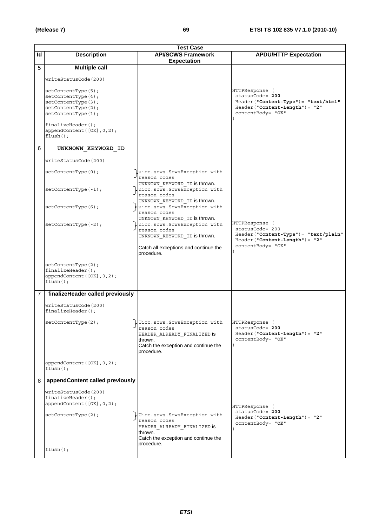|    | <b>Test Case</b>                                                                                           |                                                                                                                                              |                                                                                                                                                     |  |
|----|------------------------------------------------------------------------------------------------------------|----------------------------------------------------------------------------------------------------------------------------------------------|-----------------------------------------------------------------------------------------------------------------------------------------------------|--|
| ld | <b>Description</b>                                                                                         | <b>API/SCWS Framework</b><br><b>Expectation</b>                                                                                              | <b>APDU/HTTP Expectation</b>                                                                                                                        |  |
| 5  | <b>Multiple call</b>                                                                                       |                                                                                                                                              |                                                                                                                                                     |  |
|    | writeStatusCode(200)                                                                                       |                                                                                                                                              |                                                                                                                                                     |  |
|    | setContextType(5);<br>setContextType(4);<br>setContextType(3);<br>setContextType(2);<br>setContentType(1); |                                                                                                                                              | HTTPResponse (<br>statusCode= 200<br>Header("Content-Type")= "text/html"<br>$Header('Content-Length") = "2"$<br>contentBody= "OK"                   |  |
|    | $finalizeHeader()$ ;<br>appendContent([OK], 0, 2);<br>$flush()$ ;                                          |                                                                                                                                              |                                                                                                                                                     |  |
| 6  | UNKNOWN KEYWORD ID                                                                                         |                                                                                                                                              |                                                                                                                                                     |  |
|    | writeStatusCode(200)                                                                                       |                                                                                                                                              |                                                                                                                                                     |  |
|    | setContentType(0);                                                                                         | uicc.scws.ScwsException with<br>reason codes                                                                                                 |                                                                                                                                                     |  |
|    | $setContextType(-1);$                                                                                      | UNKNOWN KEYWORD ID is thrown.<br>uicc.scws.ScwsException with<br>reason codes                                                                |                                                                                                                                                     |  |
|    | setContextType(6);                                                                                         | UNKNOWN KEYWORD ID is thrown.<br>uicc.scws.ScwsException with<br>reason codes                                                                |                                                                                                                                                     |  |
|    | $setContextType(-2);$                                                                                      | UNKNOWN KEYWORD ID is thrown.<br>$\downarrow$ uicc.scws.ScwsException with<br>reason codes<br>UNKNOWN_KEYWORD_ID is thrown.                  | HTTPResponse (<br>statusCode= 200<br>Header("Content-Type")= "text/plain"<br>$\texttt{Header}("\texttt{Content-Length"})= "2"$<br>contentBody= "OK" |  |
|    |                                                                                                            | Catch all exceptions and continue the<br>procedure.                                                                                          |                                                                                                                                                     |  |
|    | setContextType(2);<br>$finalizeHeader()$ ;<br>appendContent ([OK], 0, 2);<br>$flush()$ ;                   |                                                                                                                                              |                                                                                                                                                     |  |
| 7  | finalizeHeader called previously                                                                           |                                                                                                                                              |                                                                                                                                                     |  |
|    | writeStatusCode(200)<br>$finalizeHeader()$ ;                                                               |                                                                                                                                              |                                                                                                                                                     |  |
|    | setContentType(2);                                                                                         | Uicc.scws.ScwsException with<br>reason codes<br>HEADER_ALREADY_FINALIZED is<br>thrown.<br>Catch the exception and continue the<br>procedure. | HTTPResponse (<br>statusCode= 200<br>$Header('Content-Length") = "2"$<br>contentBody= "OK"                                                          |  |
|    | appendContent([OK], 0, 2);<br>$flush()$ ;                                                                  |                                                                                                                                              |                                                                                                                                                     |  |
| 8  | appendContent called previously                                                                            |                                                                                                                                              |                                                                                                                                                     |  |
|    | writeStatusCode(200)<br>finalizeHeader();<br>appendContent ([OK], 0, 2);                                   |                                                                                                                                              | HTTPResponse (                                                                                                                                      |  |
|    | setContextType(2);                                                                                         | UUicc.scws.ScwsException with<br>reason codes<br>HEADER ALREADY FINALIZED IS<br>thrown.<br>Catch the exception and continue the              | statusCode= 200<br>Header("Content-Length")= "2"<br>contentBody= "OK"                                                                               |  |
|    | $flush()$ ;                                                                                                | procedure.                                                                                                                                   |                                                                                                                                                     |  |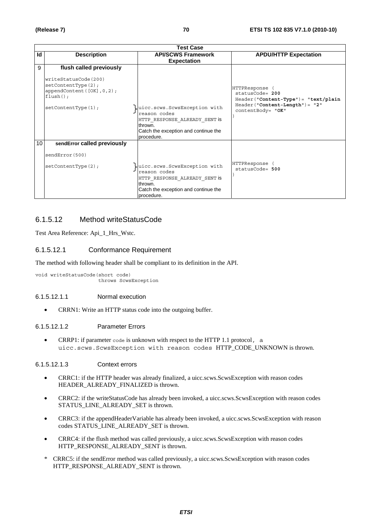|                 | <b>Test Case</b>                                                                                                                          |                                                                                                                                                |                                                                                                                                       |  |
|-----------------|-------------------------------------------------------------------------------------------------------------------------------------------|------------------------------------------------------------------------------------------------------------------------------------------------|---------------------------------------------------------------------------------------------------------------------------------------|--|
| Id              | <b>Description</b>                                                                                                                        | <b>API/SCWS Framework</b><br><b>Expectation</b>                                                                                                | <b>APDU/HTTP Expectation</b>                                                                                                          |  |
| 9               | flush called previously<br>writeStatusCode(200)<br>setContextType(2);<br>appendContent ([OK], 0, 2);<br>$flush()$ ;<br>setContentType(1); | uicc.scws.ScwsException with<br>reason codes<br>HTTP RESPONSE ALREADY SENT IS<br>thrown.<br>Catch the exception and continue the<br>procedure. | HTTPResponse<br>$statusCode = 200$<br>$Header("Content-Type") = "text/plain$<br>$Header('Content-Length") = "2"$<br>contentBody= "OK" |  |
| 10 <sup>°</sup> | sendError called previously<br>sendError (500)<br>setContentType(2);                                                                      | uicc.scws.ScwsException with<br>reason codes<br>HTTP RESPONSE ALREADY SENT IS<br>thrown.<br>Catch the exception and continue the<br>procedure. | HTTPResponse<br>$statusCode = 500$                                                                                                    |  |

# 6.1.5.12 Method writeStatusCode

Test Area Reference: Api\_1\_Hrs\_Wstc.

### 6.1.5.12.1 Conformance Requirement

The method with following header shall be compliant to its definition in the API.

void writeStatusCode(short code) throws ScwsException

#### 6.1.5.12.1.1 Normal execution

• CRRN1: Write an HTTP status code into the outgoing buffer.

#### 6.1.5.12.1.2 Parameter Errors

• CRRP1: if parameter code is unknown with respect to the HTTP 1.1 protocol, a uicc.scws.ScwsException with reason codes HTTP\_CODE\_UNKNOWN is thrown.

#### 6.1.5.12.1.3 Context errors

- CRRC1: if the HTTP header was already finalized, a uicc.scws.ScwsException with reason codes HEADER\_ALREADY\_FINALIZED is thrown.
- CRRC2: if the writeStatusCode has already been invoked, a uicc.scws.ScwsException with reason codes STATUS\_LINE\_ALREADY\_SET is thrown.
- CRRC3: if the appendHeaderVariable has already been invoked, a uicc.scws.ScwsException with reason codes STATUS\_LINE\_ALREADY\_SET is thrown.
- CRRC4: if the flush method was called previously, a uicc.scws.ScwsException with reason codes HTTP\_RESPONSE\_ALREADY\_SENT is thrown.
- \* CRRC5: if the sendError method was called previously, a uicc.scws.ScwsException with reason codes HTTP\_RESPONSE\_ALREADY\_SENT is thrown.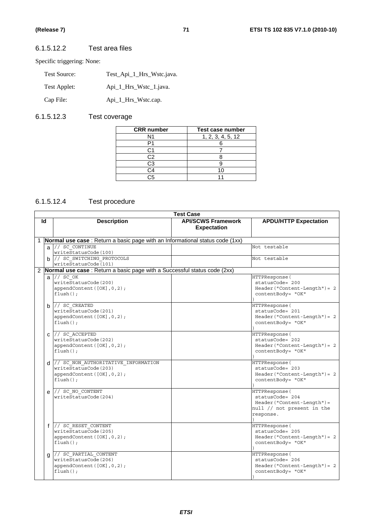$\overline{\phantom{a}}$ 

# 6.1.5.12.2 Test area files

Specific triggering: None:

| Test Source: | Test_Api_1_Hrs_Wstc.java. |
|--------------|---------------------------|
| Test Applet: | Api_1_Hrs_Wstc_1.java.    |
| Cap File:    | Api_1_Hrs_Wstc.cap.       |

# 6.1.5.12.3 Test coverage

| <b>CRR</b> number | Test case number  |  |
|-------------------|-------------------|--|
| N1                | 1, 2, 3, 4, 5, 12 |  |
|                   |                   |  |
| ි1                |                   |  |
| C2                |                   |  |
| C3                |                   |  |
| C4                |                   |  |
| <b>CF</b>         |                   |  |

# 6.1.5.12.4 Test procedure

|                | <b>Test Case</b> |                                                                                                          |                                                 |                                                                                                              |  |  |  |
|----------------|------------------|----------------------------------------------------------------------------------------------------------|-------------------------------------------------|--------------------------------------------------------------------------------------------------------------|--|--|--|
|                | ld               | <b>Description</b>                                                                                       | <b>API/SCWS Framework</b><br><b>Expectation</b> | <b>APDU/HTTP Expectation</b>                                                                                 |  |  |  |
|                |                  | Normal use case: Return a basic page with an Informational status code (1xx)                             |                                                 |                                                                                                              |  |  |  |
|                |                  | $a$ // SC CONTINUE<br>writeStatusCode(100)                                                               |                                                 | Not testable                                                                                                 |  |  |  |
|                |                  | b // SC SWITCHING PROTOCOLS<br>writeStatusCode(101)                                                      |                                                 | Not testable                                                                                                 |  |  |  |
| $\overline{2}$ |                  | Normal use case : Return a basic page with a Successful status code (2xx)                                |                                                 |                                                                                                              |  |  |  |
|                |                  | $a$ // sc $OK$<br>writeStatusCode(200)<br>appendContent ( $[OK], 0, 2$ );<br>$flush()$ ;                 |                                                 | HTTPResponse(<br>statusCode= 200<br>$Header("Content-Length") = 2$<br>contentBody= "OK"                      |  |  |  |
|                |                  | $b$ // SC CREATED<br>writeStatusCode(201)<br>appendContent([OK], 0, 2);<br>$flush()$ ;                   |                                                 | HTTPResponse (<br>statusCode= 201<br>$Header("Content-Length") = 2$<br>contentBody= "OK"                     |  |  |  |
|                | C.               | // SC ACCEPTED<br>writeStatusCode(202)<br>appendContent([OK], 0, 2);<br>$flush()$ ;                      |                                                 | HTTPResponse(<br>statusCode= 202<br>$Header("Content-Length") = 2$<br>contentBody= "OK"                      |  |  |  |
|                | d.               | // SC NON AUTHORITATIVE INFORMATION<br>writeStatusCode(203)<br>appendContent([OK], 0, 2);<br>$flush()$ ; |                                                 | HTTPResponse (<br>statusCode= 203<br>$Header('Content-Length") = 2$<br>contentBody= "OK"                     |  |  |  |
|                |                  | $e$ // SC NO CONTENT<br>writeStatusCode(204)                                                             |                                                 | HTTPResponse (<br>statusCode= 204<br>$Header("Content-Length") =$<br>null // not present in the<br>response. |  |  |  |
|                |                  | f // SC RESET CONTENT<br>writeStatusCode(205)<br>appendContent([OK], 0, 2);<br>$flush()$ ;               |                                                 | HTTPResponse (<br>statusCode= 205<br>$Header('Content-Length") = 2$<br>contentBody= "OK"                     |  |  |  |
|                | a                | // SC PARTIAL CONTENT<br>writeStatusCode(206)<br>appendContent $([OK], 0, 2)$ ;<br>$flush()$ ;           |                                                 | HTTPResponse (<br>statusCode= 206<br>$Header("Content-Length") = 2$<br>contentBody= "OK"                     |  |  |  |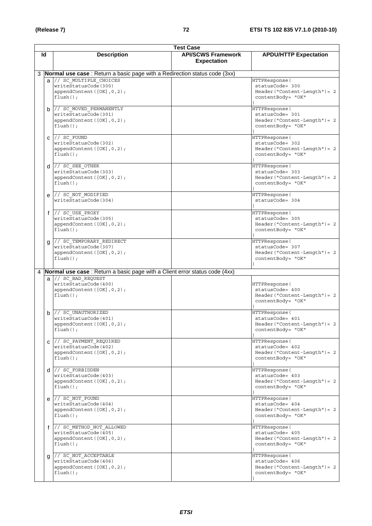|    |                                                                                                  | <b>Test Case</b>                                |                                                                                          |
|----|--------------------------------------------------------------------------------------------------|-------------------------------------------------|------------------------------------------------------------------------------------------|
| ld | <b>Description</b>                                                                               | <b>API/SCWS Framework</b><br><b>Expectation</b> | <b>APDU/HTTP Expectation</b>                                                             |
|    | 3 <b>Normal use case</b> : Return a basic page with a Redirection status code (3xx)              |                                                 |                                                                                          |
|    | a // SC MULTIPLE CHOICES<br>writeStatusCode(300)<br>appendContent ([OK], 0, 2);<br>$flush()$ ;   |                                                 | HTTPResponse(<br>statusCode= 300<br>$Header('Content-Length") = 2$<br>contentBody= "OK"  |
|    | b // SC MOVED PERMANENTLY<br>writeStatusCode(301)<br>appendContent([OK], 0, 2);<br>$flush()$ ;   |                                                 | HTTPResponse (<br>statusCode= 301<br>$Header('Content-Length") = 2$<br>contentBody= "OK" |
|    | $C$ // SC FOUND<br>writeStatusCode(302)<br>appendContent ([OK], 0, 2);<br>$flush()$ ;            |                                                 | HTTPResponse (<br>statusCode= 302<br>Header ("Content-Length") = 2<br>contentBody= "OK"  |
|    | $d$ // SC SEE OTHER<br>writeStatusCode(303)<br>appendContent ([OK], 0, 2);<br>$flush()$ ;        |                                                 | HTTPResponse(<br>statusCode= 303<br>Header ("Content-Length") = 2<br>contentBody= "OK"   |
|    | e // SC_NOT_MODIFIED<br>writeStatusCode(304)                                                     |                                                 | HTTPResponse(<br>statusCode= 304                                                         |
|    | $f$ // SC USE PROXY<br>writeStatusCode(305)<br>appendContent ([OK], 0, 2);<br>$flush()$ ;        |                                                 | HTTPResponse(<br>statusCode= 305<br>Header ("Content-Length") = 2<br>contentBody= "OK"   |
|    | g // SC_TEMPORARY_REDIRECT<br>writeStatusCode(307)<br>appendContent ([OK], 0, 2);<br>$flush()$ ; |                                                 | HTTPResponse(<br>statusCode= 307<br>Header ("Content-Length") = 2<br>contentBody= "OK"   |
|    | 4 <b>Normal use case</b> : Return a basic page with a Client error status code (4xx)             |                                                 |                                                                                          |
|    | a // SC BAD REQUEST<br>writeStatusCode(400)<br>appendContent ([OK], 0, 2);<br>$flush()$ ;        |                                                 | HTTPResponse (<br>statusCode= 400<br>$Header('Content-Length") = 2$<br>contentBody= "OK" |
|    | // SC UNAUTHORIZED<br>b I<br>writeStatusCode(401)<br>appendContent([OK],0,2);<br>$flush()$ ;     |                                                 | HTTPResponse(<br>statusCode= 401<br>Header("Content-Length") = 2<br>contentBody= "OK"    |
|    | $C$ // SC PAYMENT REQUIRED<br>writeStatusCode(402)<br>appendContent([OK], 0, 2);<br>$flush()$ ;  |                                                 | HTTPResponse(<br>statusCode= 402<br>$Header('Content-Length") = 2$<br>contentBody= "OK"  |
|    | $d$ // SC FORBIDDEN<br>writeStatusCode(403)<br>appendContent $([OK], 0, 2)$ ;<br>$flush()$ ;     |                                                 | HTTPResponse (<br>statusCode= 403<br>$Header('Content-Length") = 2$<br>contentBody= "OK" |
|    | e // SC_NOT_FOUND<br>writeStatusCode(404)<br>appendContent $([OK], 0, 2)$ ;<br>$flush()$ ;       |                                                 | HTTPResponse(<br>statusCode= 404<br>$Header('Content-Length") = 2$<br>contentBody= "OK"  |
|    | f // SC METHOD NOT ALLOWED<br>writeStatusCode(405)<br>appendContent ([OK], 0, 2);<br>$flush()$ ; |                                                 | HTTPResponse(<br>statusCode= 405<br>$Header('Content-Length') = 2$<br>contentBody= "OK"  |
|    | g // SC_NOT_ACCEPTABLE<br>writeStatusCode(406)<br>appendContent([OK], 0, 2);<br>$flush()$ ;      |                                                 | HTTPResponse (<br>statusCode= 406<br>$Header('Content-Length") = 2$<br>contentBody= "OK" |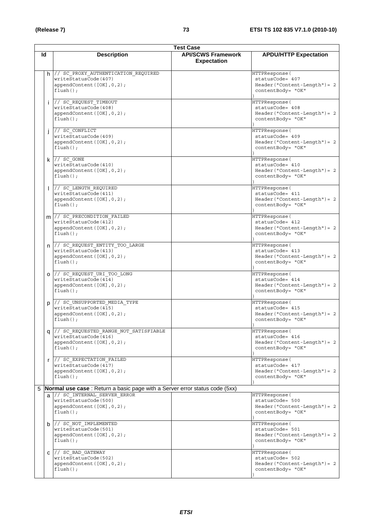|    | <b>Test Case</b> |                                                                                                               |  |                                                                                          |  |
|----|------------------|---------------------------------------------------------------------------------------------------------------|--|------------------------------------------------------------------------------------------|--|
| ld |                  | <b>API/SCWS Framework</b><br><b>Description</b><br><b>Expectation</b>                                         |  | <b>APDU/HTTP Expectation</b>                                                             |  |
|    |                  | $h$ // SC_PROXY_AUTHENTICATION_REQUIRED<br>writeStatusCode(407)<br>appendContent ([OK], 0, 2);<br>$flush()$ ; |  | HTTPResponse (<br>statusCode= 407<br>$Header('Content-Length") = 2$<br>contentBody= "OK" |  |
|    | i.               | // SC REQUEST TIMEOUT<br>writeStatusCode(408)<br>appendContent ([OK], 0, 2);<br>$flush()$ ;                   |  | HTTPResponse (<br>statusCode= 408<br>$Header('Content-Length") = 2$<br>contentBody= "OK" |  |
|    |                  | // SC CONFLICT<br>writeStatusCode(409)<br>appendContent ([OK], 0, 2);<br>$flush()$ ;                          |  | HTTPResponse (<br>statusCode= 409<br>$Header('Content-Length') = 2$<br>contentBody= "OK" |  |
|    |                  | $k$ // $sc$ GONE<br>writeStatusCode(410)<br>appendContent ([OK], 0, 2);<br>$flush()$ ;                        |  | HTTPResponse(<br>statusCode= 410<br>$Header('Content-Length") = 2$<br>contentBody= "OK"  |  |
|    |                  | // SC LENGTH REQUIRED<br>writeStatusCode(411)<br>appendContent ([OK], 0, 2);<br>$flush()$ ;                   |  | HTTPResponse (<br>statusCode= 411<br>$Header('Content-Length") = 2$<br>contentBody= "OK" |  |
|    |                  | m // SC PRECONDITION FAILED<br>writeStatusCode(412)<br>appendContent([OK], 0, 2);<br>$flush()$ ;              |  | HTTPResponse (<br>statusCode= 412<br>$Header('Content-Length') = 2$<br>contentBody= "OK" |  |
|    |                  | n // SC REQUEST ENTITY TOO LARGE<br>writeStatusCode(413)<br>appendContent ([OK], 0, 2);<br>$flush()$ ;        |  | HTTPResponse (<br>statusCode= 413<br>$Header('Content-Length") = 2$<br>contentBody= "OK" |  |
|    |                  | 0 // SC_REQUEST_URI_TOO LONG<br>writeStatusCode(414)<br>appendContent ([OK], 0, 2);<br>$flush()$ ;            |  | HTTPResponse (<br>statusCode= 414<br>$Header('Content-Length") = 2$<br>contentBody= "OK" |  |
|    | p                | // SC UNSUPPORTED MEDIA TYPE<br>writeStatusCode(415)<br>appendContent ([OK], 0, 2);<br>$flush()$ ;            |  | HTTPResponse (<br>statusCode= 415<br>$Header('Content-Length') = 2$<br>contentBody= "OK" |  |
|    |                  | q // SC_REQUESTED_RANGE_NOT_SATISFIABLE<br>writeStatusCode(416)<br>appendContent ([OK], 0, 2);<br>$flush()$ ; |  | HTTPResponse (<br>statusCode= 416<br>$Header('Content-Length") = 2$<br>contentBody= "OK" |  |
|    |                  | r // SC EXPECTATION FAILED<br>writeStatusCode(417)<br>appendContent ([OK], 0, 2);<br>$flush()$ ;              |  | HTTPResponse (<br>statusCode= 417<br>$Header('Content-Length") = 2$<br>contentBody= "OK" |  |
| 5  |                  | Normal use case : Return a basic page with a Server error status code (5xx)                                   |  |                                                                                          |  |
|    |                  | a // SC_INTERNAL_SERVER ERROR<br>writeStatusCode(500)<br>appendContent([OK], 0, 2);<br>$flush()$ ;            |  | HTTPResponse(<br>statusCode= 500<br>$Header('Content-Length") = 2$<br>contentBody= "OK"  |  |
|    |                  | $b$ // SC_NOT_IMPLEMENTED<br>writeStatusCode(501)<br>appendContent ([OK], 0, 2);<br>$flush()$ ;               |  | HTTPResponse (<br>statusCode= 501<br>$Header('Content-Length") = 2$<br>contentBody= "OK" |  |
|    | C                | // SC BAD GATEWAY<br>writeStatusCode(502)<br>appendContent([OK], 0, 2);<br>$flush()$ ;                        |  | HTTPResponse (<br>statusCode= 502<br>$Header('Content-Length") = 2$<br>contentBody= "OK" |  |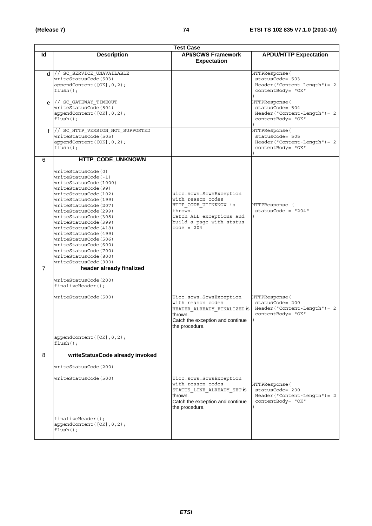|                | <b>Test Case</b> |                                                                                                                                                                                                                                                                                                                                                                                                                                               |                                                                                                                                                          |                                                                                          |  |  |
|----------------|------------------|-----------------------------------------------------------------------------------------------------------------------------------------------------------------------------------------------------------------------------------------------------------------------------------------------------------------------------------------------------------------------------------------------------------------------------------------------|----------------------------------------------------------------------------------------------------------------------------------------------------------|------------------------------------------------------------------------------------------|--|--|
| ld             |                  | <b>Description</b>                                                                                                                                                                                                                                                                                                                                                                                                                            | <b>API/SCWS Framework</b>                                                                                                                                | <b>APDU/HTTP Expectation</b>                                                             |  |  |
|                |                  |                                                                                                                                                                                                                                                                                                                                                                                                                                               | <b>Expectation</b>                                                                                                                                       |                                                                                          |  |  |
|                |                  | d // SC_SERVICE_UNAVAILABLE<br>writeStatusCode(503)<br>appendContent([OK], 0, 2);<br>$flush()$ ;                                                                                                                                                                                                                                                                                                                                              |                                                                                                                                                          | HTTPResponse(<br>statusCode= 503<br>$Header('Content-Length") = 2$<br>contentBody= "OK"  |  |  |
|                |                  | $e$ // SC GATEWAY TIMEOUT<br>writeStatusCode(504)<br>appendContent([OK], 0, 2);<br>$flush()$ :                                                                                                                                                                                                                                                                                                                                                |                                                                                                                                                          | HTTPResponse (<br>statusCode= 504<br>$Header('Content-Length") = 2$<br>contentBody= "OK" |  |  |
|                |                  | f // SC HTTP VERSION NOT SUPPORTED<br>writeStatusCode(505)<br>appendContent([OK], 0, 2);<br>$flush()$ ;                                                                                                                                                                                                                                                                                                                                       |                                                                                                                                                          | HTTPResponse(<br>statusCode= 505<br>$Header('Content-Length") = 2$<br>contentBody= "OK"  |  |  |
| 6              |                  | HTTP_CODE_UNKNOWN                                                                                                                                                                                                                                                                                                                                                                                                                             |                                                                                                                                                          |                                                                                          |  |  |
|                |                  | writeStatusCode(0)<br>writeStatusCode(-1)<br>writeStatusCode(1000)<br>writeStatusCode(99)<br>writeStatusCode(102)<br>writeStatusCode(199)<br>writeStatusCode(207)<br>writeStatusCode(299)<br>writeStatusCode(308)<br>writeStatusCode(399)<br>writeStatusCode(418)<br>writeStatusCode(499)<br>writeStatusCode(506)<br>writeStatusCode(600)<br>writeStatusCode(700)<br>writeStatusCode(800)<br>writeStatusCode(900)<br>header already finalized | uicc.scws.ScwsException<br>with reason codes<br>HTTP CODE UIINKNOW is<br>thrown.<br>Catch ALL exceptions and<br>build a page with status<br>$code = 204$ | HTTPResponse (<br>$statusCode = "204"$                                                   |  |  |
| $\overline{7}$ |                  | writeStatusCode(200)<br>$finalizeHeader()$ ;<br>writeStatusCode(500)<br>appendContent([OK], 0, 2);<br>$flush()$ ;                                                                                                                                                                                                                                                                                                                             | Uicc.scws.ScwsException<br>with reason codes<br>HEADER ALREADY FINALIZED is<br>thrown.<br>Catch the exception and continue<br>the procedure.             | HTTPResponse (<br>statusCode= 200<br>$Header('Content-Length") = 2$<br>contentBody= "OK" |  |  |
| 8              |                  | writeStatusCode already invoked                                                                                                                                                                                                                                                                                                                                                                                                               |                                                                                                                                                          |                                                                                          |  |  |
|                |                  | writeStatusCode(200)<br>writeStatusCode(500)<br>$finalizeHeader()$ ;<br>appendContent([OK], 0, 2);<br>$flush()$ ;                                                                                                                                                                                                                                                                                                                             | Uicc.scws.ScwsException<br>with reason codes<br>STATUS LINE ALREADY SET is<br>thrown.<br>Catch the exception and continue<br>the procedure.              | HTTPResponse(<br>statusCode= 200<br>$Header('Content-Length") = 2$<br>contentBody= "OK"  |  |  |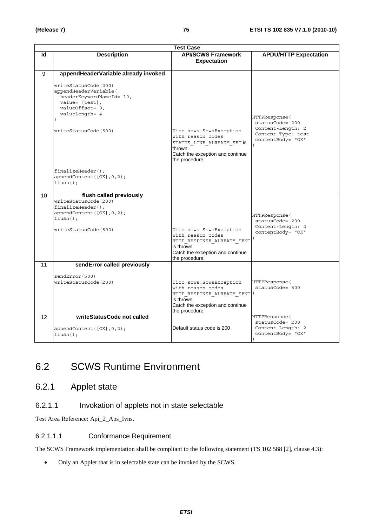|                          | <b>Test Case</b>                                                                                                                                                                                                                                        |                                                                                                                                                  |                                                                                                   |  |  |
|--------------------------|---------------------------------------------------------------------------------------------------------------------------------------------------------------------------------------------------------------------------------------------------------|--------------------------------------------------------------------------------------------------------------------------------------------------|---------------------------------------------------------------------------------------------------|--|--|
| <b>Description</b><br>ld |                                                                                                                                                                                                                                                         | <b>API/SCWS Framework</b>                                                                                                                        | <b>APDU/HTTP Expectation</b>                                                                      |  |  |
|                          |                                                                                                                                                                                                                                                         | <b>Expectation</b>                                                                                                                               |                                                                                                   |  |  |
| 9                        | appendHeaderVariable already invoked<br>writeStatusCode(200)<br>appendHeaderVariable(<br>headerKeywordNameId= 10,<br>value= [test],<br>valueOffset= 0,<br>valueLength= 4<br>writeStatusCode(500)<br>$finalizeHeader()$ ;<br>appendContent ([OK], 0, 2); | Uicc.scws.ScwsException<br>with reason codes<br>STATUS LINE ALREADY SET IS<br>thrown.<br>Catch the exception and continue<br>the procedure.      | HTTPResponse (<br>statusCode= 200<br>Content-Length: 2<br>Content-Type: test<br>contentBody= "OK" |  |  |
|                          | $flush()$ ;                                                                                                                                                                                                                                             |                                                                                                                                                  |                                                                                                   |  |  |
| 10                       | flush called previously<br>writeStatusCode(200)<br>$finalizeHeader()$ ;<br>appendContent ([OK], 0, 2);<br>$flush()$ ;<br>writeStatusCode(500)                                                                                                           | Uicc.scws.ScwsException<br>with reason codes<br>HTTP_RESPONSE_ALREADY_SENT<br>is thrown.<br>Catch the exception and continue<br>the procedure.   | HTTPResponse(<br>statusCode= 200<br>Content-Length: 2<br>contentBody= "OK"                        |  |  |
| 11                       | sendError called previously                                                                                                                                                                                                                             |                                                                                                                                                  |                                                                                                   |  |  |
|                          | sendError(500)<br>writeStatusCode(200)                                                                                                                                                                                                                  | Uicc.scws.ScwsException<br>with reason codes<br>HTTP_RESPONSE_ALREADY_SENT )<br>is thrown.<br>Catch the exception and continue<br>the procedure. | HTTPResponse(<br>statusCode= 500                                                                  |  |  |
| 12                       | writeStatusCode not called                                                                                                                                                                                                                              |                                                                                                                                                  | HTTPResponse (<br>statusCode= 200                                                                 |  |  |
|                          | appendContent([OK], 0, 2);<br>$flush()$ ;                                                                                                                                                                                                               | Default status code is 200.                                                                                                                      | Content-Length: 2<br>contentBody= "OK"                                                            |  |  |

### 6.2 SCWS Runtime Environment

### 6.2.1 Applet state

#### 6.2.1.1 Invokation of applets not in state selectable

Test Area Reference: Api\_2\_Aps\_Ivns.

#### 6.2.1.1.1 Conformance Requirement

The SCWS Framework implementation shall be compliant to the following statement (TS 102 588 [2], clause 4.3):

• Only an Applet that is in selectable state can be invoked by the SCWS.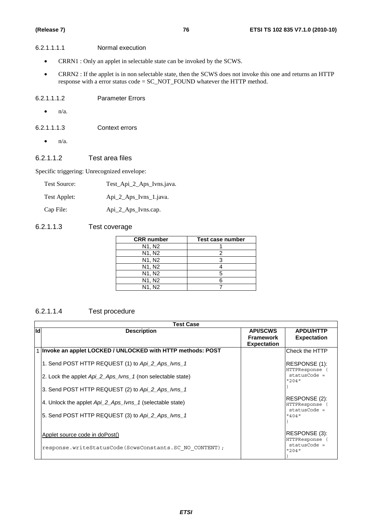#### 6.2.1.1.1.1 Normal execution

- CRRN1 : Only an applet in selectable state can be invoked by the SCWS.
- CRRN2 : If the applet is in non selectable state, then the SCWS does not invoke this one and returns an HTTP response with a error status code = SC\_NOT\_FOUND whatever the HTTP method.

#### 6.2.1.1.1.2 Parameter Errors

- $\bullet$  n/a.
- 6.2.1.1.1.3 Context errors
	- $\bullet$  n/a.

#### 6.2.1.1.2 Test area files

Specific triggering: Unrecognized envelope:

| Test Source: | Test_Api_2_Aps_Ivns.java. |
|--------------|---------------------------|
| Test Applet: | Api_2_Aps_Ivns_1.java.    |
| Cap File:    | Api_2_Aps_Ivns.cap.       |

#### 6.2.1.1.3 Test coverage

| <b>CRR</b> number               | Test case number |
|---------------------------------|------------------|
| N1, N2                          |                  |
| N <sub>1</sub> , N <sub>2</sub> |                  |
| N1, N2                          |                  |
| N <sub>1</sub> , N <sub>2</sub> |                  |
| N <sub>1</sub> , N <sub>2</sub> |                  |
| N <sub>1</sub> , N <sub>2</sub> |                  |
| N1. N2                          |                  |

#### 6.2.1.1.4 Test procedure

|     | <b>Test Case</b>                                             |                                                           |                                                        |  |  |  |
|-----|--------------------------------------------------------------|-----------------------------------------------------------|--------------------------------------------------------|--|--|--|
| lld | <b>Description</b>                                           | <b>API/SCWS</b><br><b>Framework</b><br><b>Expectation</b> | <b>APDU/HTTP</b><br><b>Expectation</b>                 |  |  |  |
|     | 1 Invoke an applet LOCKED / UNLOCKED with HTTP methods: POST |                                                           | Check the HTTP                                         |  |  |  |
|     | 1. Send POST HTTP REQUEST (1) to Api_2_Aps_lvns_1            |                                                           | RESPONSE (1):<br>HTTPResponse                          |  |  |  |
|     | 2. Lock the applet Api 2 Aps Ivns 1 (non selectable state)   |                                                           | $statusCode =$<br>"204"                                |  |  |  |
|     | 3. Send POST HTTP REQUEST (2) to Api_2_Aps_lvns_1            |                                                           |                                                        |  |  |  |
|     | 4. Unlock the applet Api 2 Aps Ivns 1 (selectable state)     |                                                           | RESPONSE (2):<br><b>HTTPResponse</b><br>$statusCode =$ |  |  |  |
|     | 5. Send POST HTTP REQUEST (3) to Api_2_Aps_lvns_1            |                                                           | "404"                                                  |  |  |  |
|     | Applet source code in doPost()                               |                                                           | RESPONSE (3):<br><b>HTTPResponse</b><br>$statusCode =$ |  |  |  |
|     | response.writeStatusCode(ScwsConstants.SC NO CONTENT);       |                                                           | "204"                                                  |  |  |  |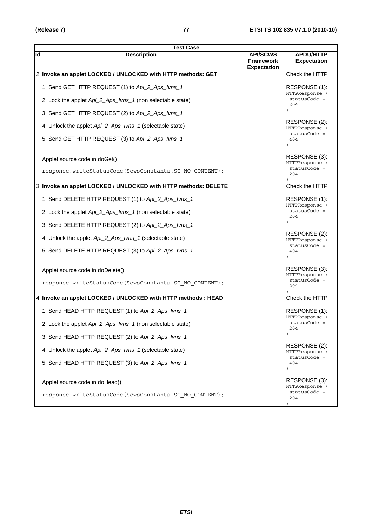|    | <b>Test Case</b>                                                                        |                                                           |                                                          |  |  |  |
|----|-----------------------------------------------------------------------------------------|-----------------------------------------------------------|----------------------------------------------------------|--|--|--|
| ld | <b>Description</b>                                                                      | <b>API/SCWS</b><br><b>Framework</b><br><b>Expectation</b> | <b>APDU/HTTP</b><br><b>Expectation</b>                   |  |  |  |
|    | 2 Invoke an applet LOCKED / UNLOCKED with HTTP methods: GET                             |                                                           | Check the HTTP                                           |  |  |  |
|    | 1. Send GET HTTP REQUEST (1) to Api_2_Aps_lvns_1                                        |                                                           | RESPONSE (1):<br>HTTPResponse (                          |  |  |  |
|    | 2. Lock the applet Api_2_Aps_Ivns_1 (non selectable state)                              |                                                           | statusCode =<br>"204"                                    |  |  |  |
|    | 3. Send GET HTTP REQUEST (2) to Api_2_Aps_lvns_1                                        |                                                           |                                                          |  |  |  |
|    | 4. Unlock the applet Api_2_Aps_Ivns_1 (selectable state)                                |                                                           | RESPONSE (2):<br>HTTPResponse (<br>statusCode =          |  |  |  |
|    | 5. Send GET HTTP REQUEST (3) to Api_2_Aps_lvns_1                                        |                                                           | "404"                                                    |  |  |  |
|    | Applet source code in doGet()<br>response.writeStatusCode(ScwsConstants.SC NO CONTENT); |                                                           | RESPONSE (3):<br>HTTPResponse (<br>statusCode =<br>"204" |  |  |  |
|    |                                                                                         |                                                           |                                                          |  |  |  |
|    | 3 Invoke an applet LOCKED / UNLOCKED with HTTP methods: DELETE                          |                                                           | Check the HTTP                                           |  |  |  |
|    | 1. Send DELETE HTTP REQUEST (1) to Api_2_Aps_lvns_1                                     |                                                           | RESPONSE (1):<br>HTTPResponse (                          |  |  |  |
|    | 2. Lock the applet Api_2_Aps_Ivns_1 (non selectable state)                              |                                                           | statusCode =<br>"204"                                    |  |  |  |
|    | 3. Send DELETE HTTP REQUEST (2) to Api_2_Aps_lvns_1                                     |                                                           |                                                          |  |  |  |
|    | 4. Unlock the applet Api_2_Aps_Ivns_1 (selectable state)                                |                                                           | RESPONSE (2):<br>HTTPResponse (<br>statusCode =          |  |  |  |
|    | 5. Send DELETE HTTP REQUEST (3) to Api_2_Aps_lvns_1                                     |                                                           | "404"                                                    |  |  |  |
|    | Applet source code in doDelete()                                                        |                                                           | RESPONSE (3):<br>HTTPResponse (                          |  |  |  |
|    | response.writeStatusCode(ScwsConstants.SC NO CONTENT);                                  |                                                           | statusCode =<br>"204"                                    |  |  |  |
|    | 4 Invoke an applet LOCKED / UNLOCKED with HTTP methods : HEAD                           |                                                           | Check the HTTP                                           |  |  |  |
|    | 1. Send HEAD HTTP REQUEST (1) to Api_2_Aps_lvns_1                                       |                                                           | RESPONSE (1):<br>HTTPResponse (                          |  |  |  |
|    | 2. Lock the applet Api_2_Aps_Ivns_1 (non selectable state)                              |                                                           | statusCode =<br>"204"                                    |  |  |  |
|    | 3. Send HEAD HTTP REQUEST (2) to Api_2_Aps_lvns_1                                       |                                                           |                                                          |  |  |  |
|    | 4. Unlock the applet Api_2_Aps_Ivns_1 (selectable state)                                |                                                           | RESPONSE (2):<br>HTTPResponse (<br>statusCode =          |  |  |  |
|    | 5. Send HEAD HTTP REQUEST (3) to Api_2_Aps_lvns_1                                       |                                                           | "404"                                                    |  |  |  |
|    | Applet source code in doHead()                                                          |                                                           | RESPONSE (3):<br>HTTPResponse (                          |  |  |  |
|    | response.writeStatusCode(ScwsConstants.SC NO CONTENT);                                  |                                                           | statusCode =<br>"204"                                    |  |  |  |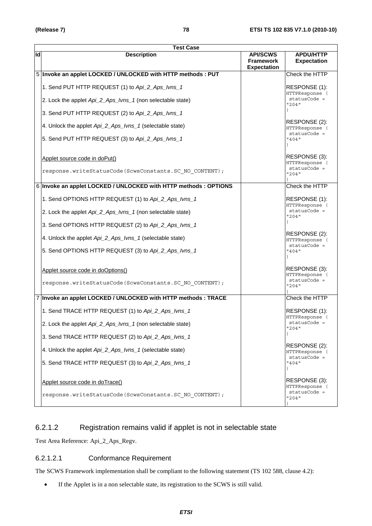|    | <b>Test Case</b>                                                 |                                                           |                                                 |  |  |  |
|----|------------------------------------------------------------------|-----------------------------------------------------------|-------------------------------------------------|--|--|--|
| ld | <b>Description</b>                                               | <b>API/SCWS</b><br><b>Framework</b><br><b>Expectation</b> | <b>APDU/HTTP</b><br><b>Expectation</b>          |  |  |  |
|    | 5 Invoke an applet LOCKED / UNLOCKED with HTTP methods : PUT     |                                                           | Check the HTTP                                  |  |  |  |
|    | 1. Send PUT HTTP REQUEST (1) to Api_2_Aps_lvns_1                 |                                                           | RESPONSE (1):<br>HTTPResponse (                 |  |  |  |
|    | 2. Lock the applet Api_2_Aps_Ivns_1 (non selectable state)       |                                                           | statusCode =<br>"204"                           |  |  |  |
|    | 3. Send PUT HTTP REQUEST (2) to Api_2_Aps_lvns_1                 |                                                           |                                                 |  |  |  |
|    | 4. Unlock the applet Api_2_Aps_Ivns_1 (selectable state)         |                                                           | RESPONSE (2):<br>HTTPResponse (<br>statusCode = |  |  |  |
|    | 5. Send PUT HTTP REQUEST (3) to Api_2_Aps_lvns_1                 |                                                           | "404"                                           |  |  |  |
|    | Applet source code in doPut()                                    |                                                           | RESPONSE (3):<br>HTTPResponse (                 |  |  |  |
|    | response.writeStatusCode(ScwsConstants.SC NO CONTENT);           |                                                           | statusCode =<br>"204"                           |  |  |  |
|    | 6 Invoke an applet LOCKED / UNLOCKED with HTTP methods : OPTIONS |                                                           | <b>Check the HTTP</b>                           |  |  |  |
|    | 1. Send OPTIONS HTTP REQUEST (1) to Api_2_Aps_lvns_1             |                                                           | RESPONSE (1):<br>HTTPResponse (                 |  |  |  |
|    | 2. Lock the applet Api_2_Aps_Ivns_1 (non selectable state)       |                                                           | statusCode =<br>"204"                           |  |  |  |
|    | 3. Send OPTIONS HTTP REQUEST (2) to Api_2_Aps_lvns_1             |                                                           |                                                 |  |  |  |
|    | 4. Unlock the applet Api_2_Aps_Ivns_1 (selectable state)         |                                                           | RESPONSE (2):<br>HTTPResponse (                 |  |  |  |
|    | 5. Send OPTIONS HTTP REQUEST (3) to Api_2_Aps_lvns_1             |                                                           | statusCode =<br>"404"                           |  |  |  |
|    | Applet source code in doOptions()                                |                                                           | RESPONSE (3):<br>HTTPResponse (                 |  |  |  |
|    | response.writeStatusCode(ScwsConstants.SC NO CONTENT);           |                                                           | statusCode =<br>"204"                           |  |  |  |
|    | 7 Invoke an applet LOCKED / UNLOCKED with HTTP methods : TRACE   |                                                           | Check the HTTP                                  |  |  |  |
|    | 1. Send TRACE HTTP REQUEST (1) to Api_2_Aps_lvns_1               |                                                           | RESPONSE (1):<br>HTTPResponse (                 |  |  |  |
|    | 2. Lock the applet Api_2_Aps_Ivns_1 (non selectable state)       |                                                           | statusCode =<br>"204"                           |  |  |  |
|    | 3. Send TRACE HTTP REQUEST (2) to Api_2_Aps_lvns_1               |                                                           |                                                 |  |  |  |
|    | 4. Unlock the applet Api_2_Aps_Ivns_1 (selectable state)         |                                                           | RESPONSE (2):<br>HTTPResponse (<br>statusCode = |  |  |  |
|    | 5. Send TRACE HTTP REQUEST (3) to Api_2_Aps_lvns_1               |                                                           | "404"                                           |  |  |  |
|    | Applet source code in doTrace()                                  |                                                           | RESPONSE (3):<br>HTTPResponse (                 |  |  |  |
|    | response.writeStatusCode(ScwsConstants.SC NO CONTENT);           |                                                           | statusCode =<br>"204"                           |  |  |  |

### 6.2.1.2 Registration remains valid if applet is not in selectable state

Test Area Reference: Api\_2\_Aps\_Regv.

#### 6.2.1.2.1 Conformance Requirement

The SCWS Framework implementation shall be compliant to the following statement (TS 102 588, clause 4.2):

• If the Applet is in a non selectable state, its registration to the SCWS is still valid.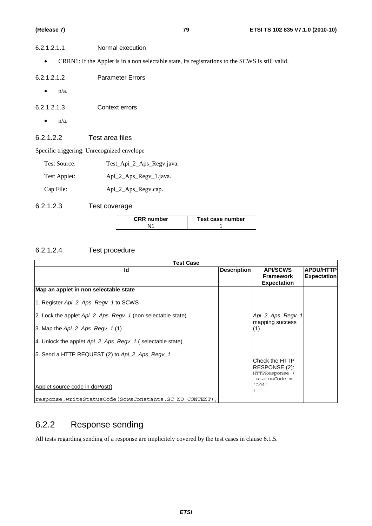| 6.2.1.2.1.1          | Normal execution                                                                                 |
|----------------------|--------------------------------------------------------------------------------------------------|
| $\bullet$            | CRRN1: If the Applet is in a non selectable state, its registrations to the SCWS is still valid. |
| 6.2.1.2.1.2          | <b>Parameter Errors</b>                                                                          |
| $n/a$ .<br>$\bullet$ |                                                                                                  |
| 6.2.1.2.1.3          | Context errors                                                                                   |

 $\bullet$  n/a.

#### 6.2.1.2.2 Test area files

Specific triggering: Unrecognized envelope

| Test Source: | Test_Api_2_Aps_Regv.java. |
|--------------|---------------------------|
|--------------|---------------------------|

Test Applet: Api\_2\_Aps\_Regv\_1.java.

Cap File:  $\text{Api\_2\_Aps\_Regv.cap.}$ 

6.2.1.2.3 Test coverage

| <b>CRR</b> number | Test case number |
|-------------------|------------------|
|                   |                  |

#### 6.2.1.2.4 Test procedure

| <b>Test Case</b>                                                   |                    |                                                                      |                    |  |
|--------------------------------------------------------------------|--------------------|----------------------------------------------------------------------|--------------------|--|
| Id                                                                 | <b>Description</b> | <b>API/SCWS</b>                                                      | <b>APDU/HTTP</b>   |  |
|                                                                    |                    | <b>Framework</b>                                                     | <b>Expectation</b> |  |
|                                                                    |                    | <b>Expectation</b>                                                   |                    |  |
| Map an applet in non selectable state                              |                    |                                                                      |                    |  |
| 1. Register Api_2_Aps_Regv_1 to SCWS                               |                    |                                                                      |                    |  |
| 2. Lock the applet Api_2_Aps_Regv_1 (non selectable state)         |                    | Api_2_Aps_Regv_1<br>mapping success                                  |                    |  |
| 3. Map the $Api 2$ $Aps$ $Regv 1(1)$                               |                    | (1)                                                                  |                    |  |
| 4. Unlock the applet $Api 2 \text{ Aps}$ Regy 1 (selectable state) |                    |                                                                      |                    |  |
| 5. Send a HTTP REQUEST (2) to Api_2_Aps_Regv_1                     |                    | lCheck the HTTP<br>RESPONSE (2):<br>HTTPResponse (<br>$statusCode =$ |                    |  |
| Applet source code in doPost()                                     |                    | "204"                                                                |                    |  |
| response.writeStatusCode(ScwsConstants.SC NO CONTENT);             |                    |                                                                      |                    |  |

### 6.2.2 Response sending

All tests regarding sending of a response are implicitely covered by the test cases in clause 6.1.5.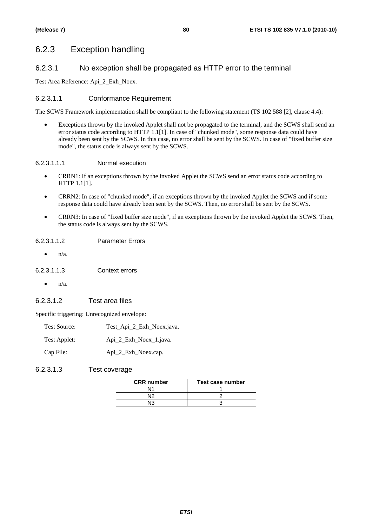### 6.2.3 Exception handling

#### 6.2.3.1 No exception shall be propagated as HTTP error to the terminal

Test Area Reference: Api\_2\_Exh\_Noex.

#### 6.2.3.1.1 Conformance Requirement

The SCWS Framework implementation shall be compliant to the following statement (TS 102 588 [2], clause 4.4):

• Exceptions thrown by the invoked Applet shall not be propagated to the terminal, and the SCWS shall send an error status code according to HTTP 1.1[1]. In case of "chunked mode", some response data could have already been sent by the SCWS. In this case, no error shall be sent by the SCWS. In case of "fixed buffer size mode", the status code is always sent by the SCWS.

#### 6.2.3.1.1.1 Normal execution

- CRRN1: If an exceptions thrown by the invoked Applet the SCWS send an error status code according to HTTP 1.1[1].
- CRRN2: In case of "chunked mode", if an exceptions thrown by the invoked Applet the SCWS and if some response data could have already been sent by the SCWS. Then, no error shall be sent by the SCWS.
- CRRN3: In case of "fixed buffer size mode", if an exceptions thrown by the invoked Applet the SCWS. Then, the status code is always sent by the SCWS.

#### 6.2.3.1.1.2 Parameter Errors

• n/a.

#### 6.2.3.1.1.3 Context errors

• n/a.

#### 6.2.3.1.2 Test area files

Specific triggering: Unrecognized envelope:

| <b>Test Source:</b> | Test_Api_2_Exh_Noex.java. |
|---------------------|---------------------------|
| Test Applet:        | Api 2 Exh Noex 1. java.   |
| Cap File:           | Api_2_Exh_Noex.cap.       |

#### 6.2.3.1.3 Test coverage

| <b>CRR</b> number | Test case number |
|-------------------|------------------|
|                   |                  |
| N۱ว               |                  |
| ାହ                |                  |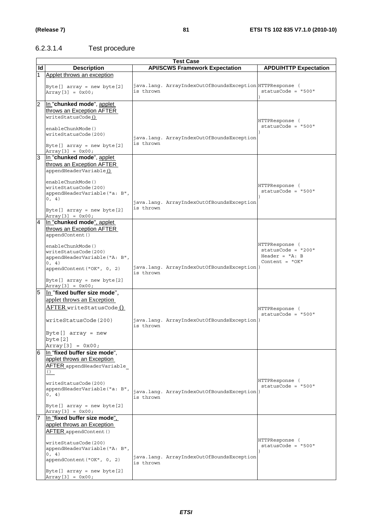### 6.2.3.1.4 Test procedure

|                | <b>Test Case</b>                                                                                                                                                                                                                                    |           |                                                          |                                                                                |  |  |  |  |
|----------------|-----------------------------------------------------------------------------------------------------------------------------------------------------------------------------------------------------------------------------------------------------|-----------|----------------------------------------------------------|--------------------------------------------------------------------------------|--|--|--|--|
| ld             | <b>Description</b>                                                                                                                                                                                                                                  |           | <b>API/SCWS Framework Expectation</b>                    | <b>APDU/HTTP Expectation</b>                                                   |  |  |  |  |
|                | Applet throws an exception                                                                                                                                                                                                                          |           |                                                          |                                                                                |  |  |  |  |
|                | Byte[] $array = new byte[2]$<br>$Array[3] = 0x00;$                                                                                                                                                                                                  | is thrown | java.lang. ArrayIndexOutOfBoundsException HTTPResponse ( | $statusCode = "500"$                                                           |  |  |  |  |
| $\overline{2}$ | In "chunked mode", applet<br>throws an Exception AFTER<br>writeStatusCode()<br>enableChunkMode()<br>writeStatusCode(200)<br>Byte[] $array = new byte[2]$<br>$Array[3] = 0x00;$                                                                      | is thrown | java.lang. ArrayIndexOutOfBoundsException                | HTTPResponse (<br>$statusCode = "500"$                                         |  |  |  |  |
| $\overline{3}$ | In "chunked mode", applet<br>throws an Exception AFTER<br>appendHeaderVariable()<br>enableChunkMode()<br>writeStatusCode(200)<br>appendHeaderVariable("a: B",<br>0, 4)<br>Byte[] $array = new byte[2]$<br>Array [3] = $0x00;$                       | is thrown | java.lang. ArrayIndexOutOfBoundsException                | HTTPResponse (<br>$statusCode = "500"$                                         |  |  |  |  |
| $\overline{4}$ | In "chunked mode", applet<br>throws an Exception AFTER<br>appendContent()<br>enableChunkMode()<br>writeStatusCode(200)<br>appendHeaderVariable("A: B",<br>0, 4)<br>appendContent ("OK", 0, 2)<br>Byte[] $array = new byte[2]$<br>$Array[3] = 0x00;$ | is thrown | java.lang. ArrayIndexOutOfBoundsException)               | HTTPResponse (<br>$statusCode = "200"$<br>Header = $"A: B$<br>Content = $"OK"$ |  |  |  |  |
| $\overline{5}$ | In "fixed buffer size mode",<br>applet throws an Exception<br>AFTER writeStatusCode ()<br>writeStatusCode(200)<br>Byte $[]$ array = new<br>byte [2]<br>$Array[3] = 0x00;$                                                                           | is thrown | java.lang. ArrayIndexOutOfBoundsException)               | HTTPResponse (<br>$statusCode = "500"$                                         |  |  |  |  |
| 6              | In "fixed buffer size mode",<br>applet throws an Exception<br>AFTER appendHeaderVariable<br>()<br>writeStatusCode(200)<br>appendHeaderVariable("a: B",<br>0, 4)<br>Byte[] $array = new byte[2]$<br>$Array[3] = 0x00;$                               | is thrown | java.lang. ArrayIndexOutOfBoundsException)               | HTTPResponse (<br>$statusCode = "500"$                                         |  |  |  |  |
|                | In "fixed buffer size mode".<br>applet throws an Exception<br>AFTER appendContent ()<br>writeStatusCode(200)<br>appendHeaderVariable("A: B",<br>0, 4)<br>appendContent ("OK", 0, 2)<br>Byte[] array = new byte[2]<br>$Array[3] = 0x00;$             | is thrown | java.lang. ArrayIndexOutOfBoundsException                | HTTPResponse (<br>$statusCode = "500"$                                         |  |  |  |  |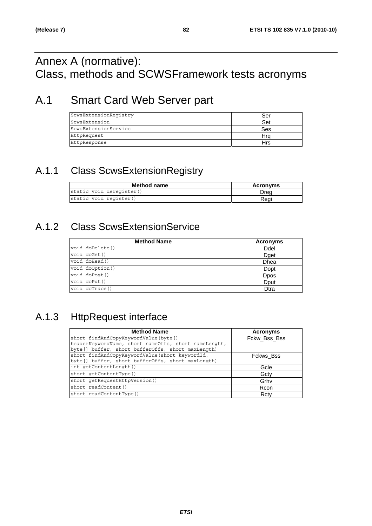## Annex A (normative): Class, methods and SCWSFramework tests acronyms

## A.1 Smart Card Web Server part

| ScwsExtensionReqistry | Ser |
|-----------------------|-----|
| ScwsExtension         | Set |
| ScwsExtensionService  | Ses |
| HttpRequest           | Hro |
| HttpResponse          | Hrs |

### A.1.1 Class ScwsExtensionRegistry

| Method name              | <b>Acronyms</b> |
|--------------------------|-----------------|
| static void deregister() | Drea            |
| static void register()   | Reai            |

### A.1.2 Class ScwsExtensionService

| <b>Method Name</b> | <b>Acronyms</b> |
|--------------------|-----------------|
| void doDelete()    | Ddel            |
| void doGet()       | Dget            |
| void doHead()      | Dhea            |
| void doOption()    | Dopt            |
| void doPost()      | <b>D</b> pos    |
| void doPut()       | Dput            |
| void doTrace()     | Dtra            |

### A.1.3 HttpRequest interface

| <b>Method Name</b>                                   | <b>Acronyms</b> |
|------------------------------------------------------|-----------------|
| short findAndCopyKeywordValue(byte[]                 | Fckw Bss Bss    |
| headerKeywordName, short nameOffs, short nameLength, |                 |
| byte[] buffer, short bufferOffs, short maxLength)    |                 |
| short findAndCopyKeywordValue(short keywordId,       | Fckws Bss       |
| byte[] buffer, short bufferOffs, short maxLength)    |                 |
| int qetContentLength()                               | Gcle            |
| short qetContentType()                               | Gcty            |
| short getRequestHttpVersion()                        | Grhv            |
| short readContent()                                  | Rcon            |
| short readContentType()                              | Rcty            |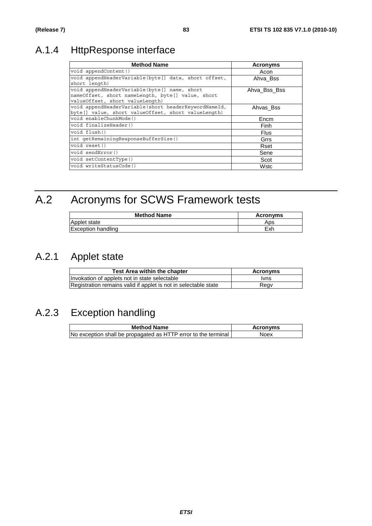## A.1.4 HttpResponse interface

| <b>Method Name</b>                                                                                                                   | <b>Acronyms</b> |
|--------------------------------------------------------------------------------------------------------------------------------------|-----------------|
| void appendContent()                                                                                                                 | Acon            |
| void appendHeaderVariable(byte[] data, short offset,<br>short length)                                                                | Ahva Bss        |
| void appendHeaderVariable(byte[] name, short<br>nameOffset, short nameLength, byte[] value, short<br>valueOffset, short valueLength) | Ahva Bss Bss    |
| void appendHeaderVariable (short headerKeywordNameId,<br>byte[] value, short valueOffset, short valueLength)                         | Ahvas Bss       |
| void enableChunkMode()                                                                                                               | Encm            |
| void finalizeHeader()                                                                                                                | Finh            |
| void flush()                                                                                                                         | <b>Flus</b>     |
| int getRemainingResponseBufferSize()                                                                                                 | Grrs            |
| void reset()                                                                                                                         | Rset            |
| void sendError()                                                                                                                     | Sene            |
| void setContentType()                                                                                                                | Scot            |
| void writeStatusCode()                                                                                                               | Wstc            |

# A.2 Acronyms for SCWS Framework tests

| <b>Method Name</b>        | <b>Acronyms</b> |
|---------------------------|-----------------|
| lApplet state             | Aps             |
| <b>Exception handling</b> | Exh             |

### A.2.1 Applet state

| <b>Test Area within the chapter</b>                             | Acronyms    |
|-----------------------------------------------------------------|-------------|
| Invokation of applets not in state selectable                   | <u>Ivns</u> |
| Registration remains valid if applet is not in selectable state | Regv        |

### A.2.3 Exception handling

| <b>Method Name</b>                                             | <b>Acronyms</b> |
|----------------------------------------------------------------|-----------------|
| No exception shall be propagated as HTTP error to the terminal | Noex            |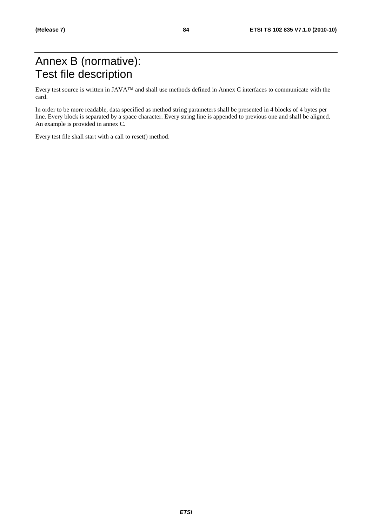## Annex B (normative): Test file description

Every test source is written in JAVA™ and shall use methods defined in Annex C interfaces to communicate with the card.

In order to be more readable, data specified as method string parameters shall be presented in 4 blocks of 4 bytes per line. Every block is separated by a space character. Every string line is appended to previous one and shall be aligned. An example is provided in annex C.

Every test file shall start with a call to reset() method.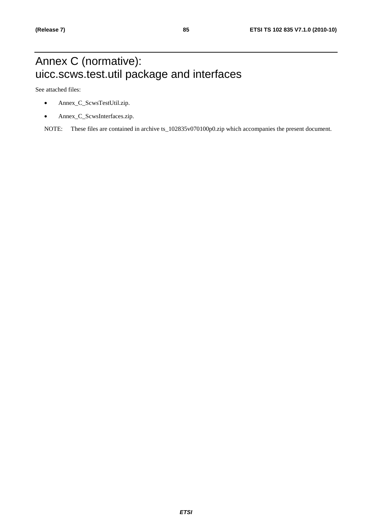## Annex C (normative): uicc.scws.test.util package and interfaces

See attached files:

- Annex\_C\_ScwsTestUtil.zip.
- Annex\_C\_ScwsInterfaces.zip.

NOTE: These files are contained in archive ts\_102835v070100p0.zip which accompanies the present document.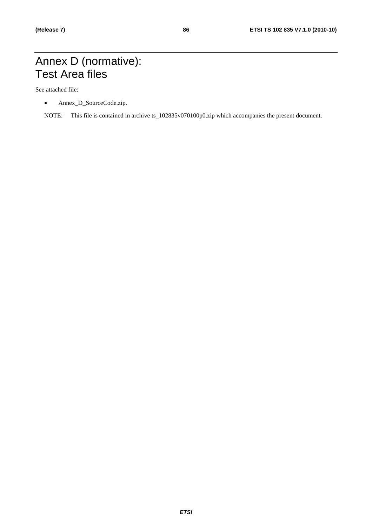### Annex D (normative): Test Area files

See attached file:

- Annex\_D\_SourceCode.zip.
- NOTE: This file is contained in archive ts\_102835v070100p0.zip which accompanies the present document.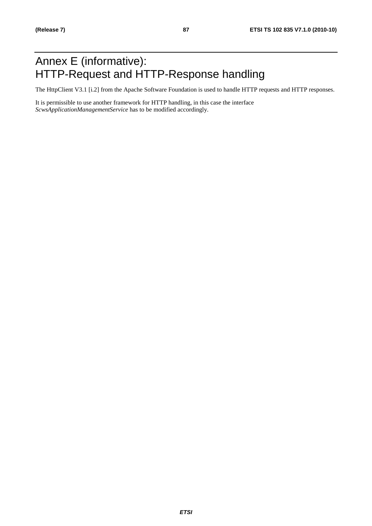## Annex E (informative): HTTP-Request and HTTP-Response handling

The HttpClient V3.1 [i.2] from the Apache Software Foundation is used to handle HTTP requests and HTTP responses.

It is permissible to use another framework for HTTP handling, in this case the interface *ScwsApplicationManagementService* has to be modified accordingly.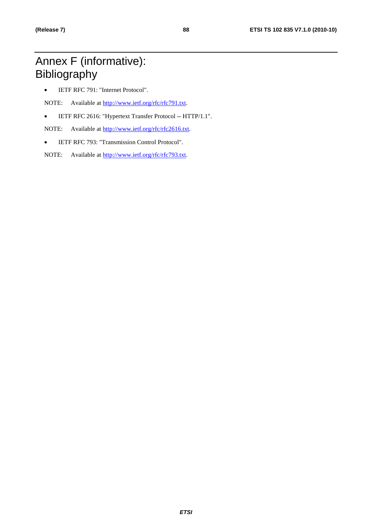## Annex F (informative): Bibliography

• IETF RFC 791: "Internet Protocol".

NOTE: Available at [http://www.ietf.org/rfc/rfc791.txt.](http://www.ietf.org/rfc/rfc791.txt)

• IETF RFC 2616: "Hypertext Transfer Protocol -- HTTP/1.1".

NOTE: Available at [http://www.ietf.org/rfc/rfc2616.txt.](http://www.ietf.org/rfc/rfc2616.txt)

• IETF RFC 793: "Transmission Control Protocol".

NOTE: Available at [http://www.ietf.org/rfc/rfc793.txt.](http://www.ietf.org/rfc/rfc793.txt)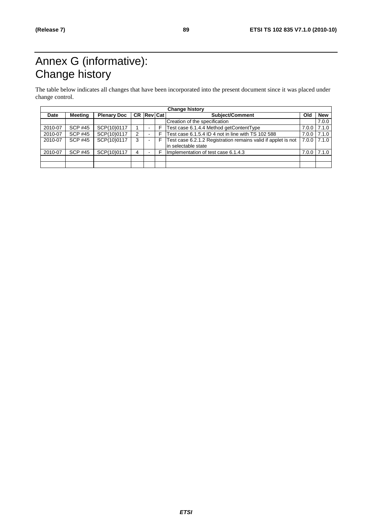# Annex G (informative): Change history

The table below indicates all changes that have been incorporated into the present document since it was placed under change control.

| <b>Change history</b> |                |                    |   |                |    |                                                               |     |                 |
|-----------------------|----------------|--------------------|---|----------------|----|---------------------------------------------------------------|-----|-----------------|
| Date                  | <b>Meeting</b> | <b>Plenary Doc</b> |   | CR Rev Cat     |    | Subject/Comment                                               | Old | <b>New</b>      |
|                       |                |                    |   |                |    | Creation of the specification                                 |     | 7.0.0           |
| 2010-07               | <b>SCP #45</b> | SCP(10)0117        |   |                |    | Test case 6.1.4.4 Method getContentType                       |     | $7.0.0$ 7.1.0   |
| 2010-07               | <b>SCP #45</b> | SCP(10)0117        | 2 |                |    | Test case 6.1.5.4 ID 4 not in line with TS 102 588            |     | $7.0.0$ 7.1.0   |
| 2010-07               | <b>SCP #45</b> | SCP(10)0117        | 3 | $\blacksquare$ | -F | Test case 6.2.1.2 Registration remains valid if applet is not |     | $7.0.0$ $7.1.0$ |
|                       |                |                    |   |                |    | lin selectable state                                          |     |                 |
| 2010-07               | <b>SCP #45</b> | SCP(10)0117        | 4 |                |    | Implementation of test case 6.1.4.3                           |     | $7.0.0$ 7.1.0   |
|                       |                |                    |   |                |    |                                                               |     |                 |
|                       |                |                    |   |                |    |                                                               |     |                 |